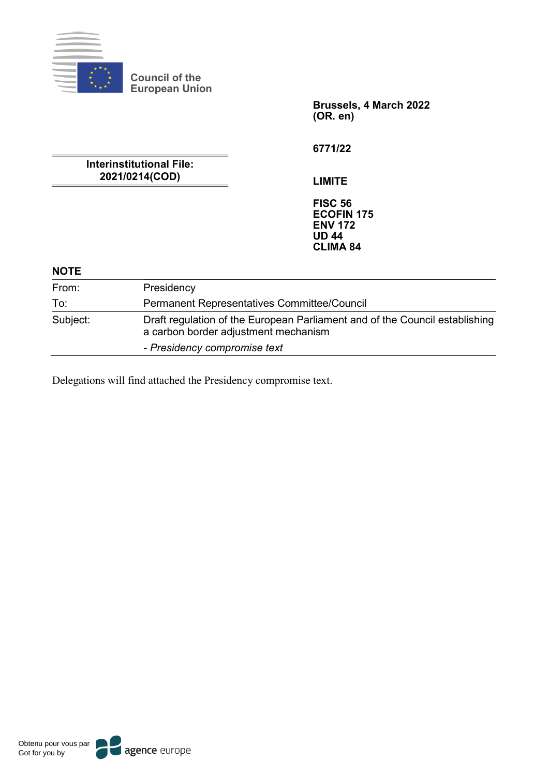

**Council of the European Union**

> **Brussels, 4 March 2022 (OR. en)**

**6771/22**

**Interinstitutional File: 2021/0214(COD)**

**LIMITE**

**FISC 56 ECOFIN 175 ENV 172 UD 44 CLIMA 84**

# **NOTE**

| From:    | Presidency                                                                                                          |
|----------|---------------------------------------------------------------------------------------------------------------------|
| To:      | <b>Permanent Representatives Committee/Council</b>                                                                  |
| Subject: | Draft regulation of the European Parliament and of the Council establishing<br>a carbon border adjustment mechanism |
|          | - Presidency compromise text                                                                                        |

Delegations will find attached the Presidency compromise text.

agence europe Obtenu pour vous par Got for you by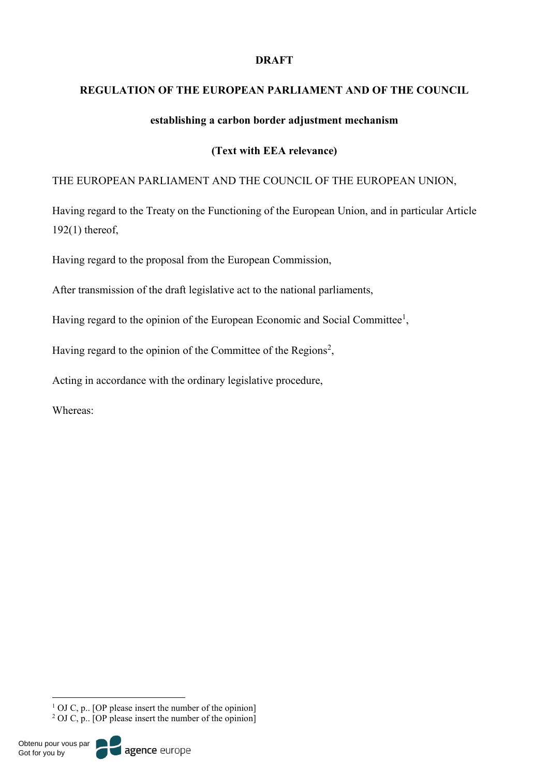# **DRAFT**

# **REGULATION OF THE EUROPEAN PARLIAMENT AND OF THE COUNCIL**

# **establishing a carbon border adjustment mechanism**

# **(Text with EEA relevance)**

# THE EUROPEAN PARLIAMENT AND THE COUNCIL OF THE EUROPEAN UNION,

Having regard to the Treaty on the Functioning of the European Union, and in particular Article 192(1) thereof,

Having regard to the proposal from the European Commission,

After transmission of the draft legislative act to the national parliaments,

Having regard to the opinion of the European Economic and Social Committee<sup>1</sup>,

Having regard to the opinion of the Committee of the Regions<sup>2</sup>,

Acting in accordance with the ordinary legislative procedure,

Whereas:



<sup>&</sup>lt;sup>1</sup> OJ C, p.. [OP please insert the number of the opinion] <sup>2</sup> OJ C, p.. [OP please insert the number of the opinion]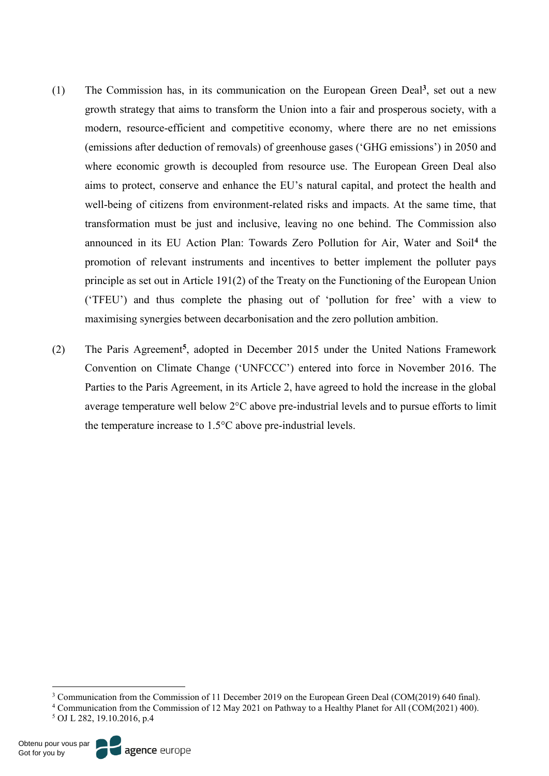- (1) The Commission has, in its communication on the European Green Deal**<sup>3</sup>**, set out a new growth strategy that aims to transform the Union into a fair and prosperous society, with a modern, resource-efficient and competitive economy, where there are no net emissions (emissions after deduction of removals) of greenhouse gases ('GHG emissions') in 2050 and where economic growth is decoupled from resource use. The European Green Deal also aims to protect, conserve and enhance the EU's natural capital, and protect the health and well-being of citizens from environment-related risks and impacts. At the same time, that transformation must be just and inclusive, leaving no one behind. The Commission also announced in its EU Action Plan: Towards Zero Pollution for Air, Water and Soil**<sup>4</sup>** the promotion of relevant instruments and incentives to better implement the polluter pays principle as set out in Article 191(2) of the Treaty on the Functioning of the European Union ('TFEU') and thus complete the phasing out of 'pollution for free' with a view to maximising synergies between decarbonisation and the zero pollution ambition.
- (2) The Paris Agreement**<sup>5</sup>**, adopted in December 2015 under the United Nations Framework Convention on Climate Change ('UNFCCC') entered into force in November 2016. The Parties to the Paris Agreement, in its Article 2, have agreed to hold the increase in the global average temperature well below 2°C above pre-industrial levels and to pursue efforts to limit the temperature increase to 1.5°C above pre-industrial levels.

 <sup>3</sup> Communication from the Commission of 11 December 2019 on the European Green Deal (COM(2019) 640 final).

<sup>4</sup> Communication from the Commission of 12 May 2021 on Pathway to a Healthy Planet for All (COM(2021) 400). <sup>5</sup> OJ L 282, 19.10.2016, p.4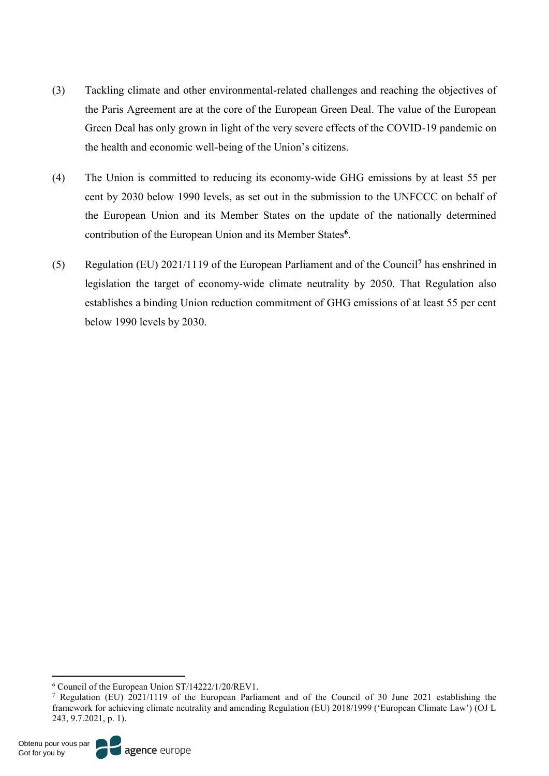- (3) Tackling climate and other environmental-related challenges and reaching the objectives of the Paris Agreement are at the core of the European Green Deal. The value of the European Green Deal has only grown in light of the very severe effects of the COVID-19 pandemic on the health and economic well-being of the Union's citizens.
- (4) The Union is committed to reducing its economy-wide GHG emissions by at least 55 per cent by 2030 below 1990 levels, as set out in the submission to the UNFCCC on behalf of the European Union and its Member States on the update of the nationally determined contribution of the European Union and its Member States**<sup>6</sup>**.
- (5) Regulation (EU) 2021/1119 of the European Parliament and of the Council**<sup>7</sup>** has enshrined in legislation the target of economy-wide climate neutrality by 2050. That Regulation also establishes a binding Union reduction commitment of GHG emissions of at least 55 per cent below 1990 levels by 2030.

 <sup>6</sup> [Council](https://myintracomm-collab.ec.europa.eu/dg/TAXUD/unitc2/CBAM/Council) of the European Union ST/14222/1/20/REV1.

<sup>7</sup> Regulation (EU) 2021/1119 of the European Parliament and of the Council of 30 June 2021 establishing the framework for achieving climate neutrality and amending Regulation (EU) 2018/1999 ('European Climate Law') (OJ L 243, 9.7.2021, p. 1).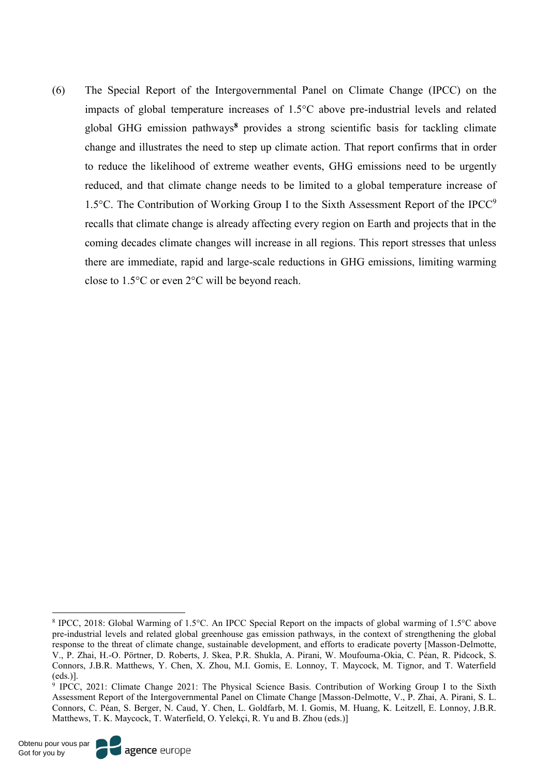(6) The Special Report of the Intergovernmental Panel on Climate Change (IPCC) on the impacts of global temperature increases of 1.5°C above pre-industrial levels and related global GHG emission pathways**<sup>8</sup>** provides a strong scientific basis for tackling climate change and illustrates the need to step up climate action. That report confirms that in order to reduce the likelihood of extreme weather events, GHG emissions need to be urgently reduced, and that climate change needs to be limited to a global temperature increase of 1.5 $^{\circ}$ C. The Contribution of Working Group I to the Sixth Assessment Report of the IPCC<sup>9</sup> recalls that climate change is already affecting every region on Earth and projects that in the coming decades climate changes will increase in all regions. This report stresses that unless there are immediate, rapid and large-scale reductions in GHG emissions, limiting warming close to 1.5°C or even 2°C will be beyond reach.

 <sup>8</sup> IPCC, 2018: Global Warming of 1.5°C. An IPCC Special Report on the impacts of global warming of 1.5°C above pre-industrial levels and related global greenhouse gas emission pathways, in the context of strengthening the global response to the threat of climate change, sustainable development, and efforts to eradicate poverty [Masson-Delmotte, V., P. Zhai, H.-O. Pörtner, D. Roberts, J. Skea, P.R. Shukla, A. Pirani, W. Moufouma-Okia, C. Péan, R. Pidcock, S. Connors, J.B.R. Matthews, Y. Chen, X. Zhou, M.I. Gomis, E. Lonnoy, T. Maycock, M. Tignor, and T. Waterfield (eds.)].

<sup>9</sup> IPCC, 2021: Climate Change 2021: The Physical Science Basis. Contribution of Working Group I to the Sixth Assessment Report of the Intergovernmental Panel on Climate Change [Masson-Delmotte, V., P. Zhai, A. Pirani, S. L. Connors, C. Péan, S. Berger, N. Caud, Y. Chen, L. Goldfarb, M. I. Gomis, M. Huang, K. Leitzell, E. Lonnoy, J.B.R. Matthews, T. K. Maycock, T. Waterfield, O. Yelekçi, R. Yu and B. Zhou (eds.)]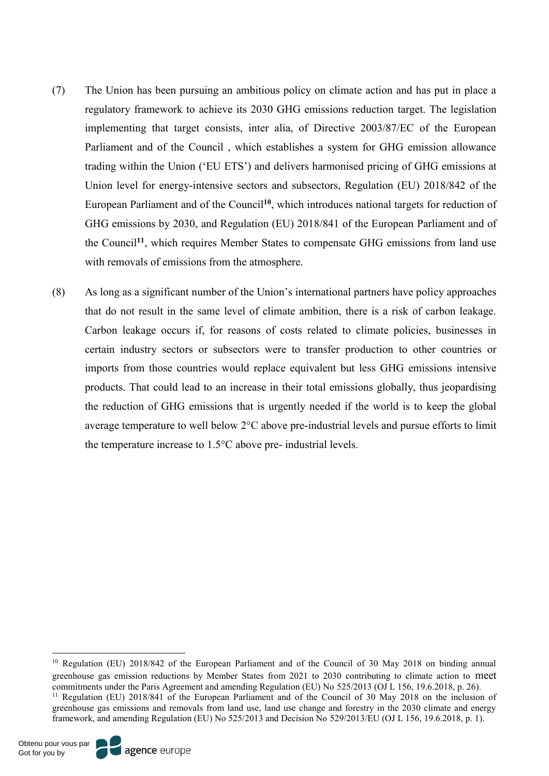- (7) The Union has been pursuing an ambitious policy on climate action and has put in place a regulatory framework to achieve its 2030 GHG emissions reduction target. The legislation implementing that target consists, inter alia, of Directive 2003/87/EC of the European Parliament and of the Council , which establishes a system for GHG emission allowance trading within the Union ('EU ETS') and delivers harmonised pricing of GHG emissions at Union level for energy-intensive sectors and subsectors, Regulation (EU) 2018/842 of the European Parliament and of the Council**<sup>10</sup>**, which introduces national targets for reduction of GHG emissions by 2030, and Regulation (EU) 2018/841 of the European Parliament and of the Council**<sup>11</sup>**, which requires Member States to compensate GHG emissions from land use with removals of emissions from the atmosphere.
- (8) As long as a significant number of the Union's international partners have policy approaches that do not result in the same level of climate ambition, there is a risk of carbon leakage. Carbon leakage occurs if, for reasons of costs related to climate policies, businesses in certain industry sectors or subsectors were to transfer production to other countries or imports from those countries would replace equivalent but less GHG emissions intensive products. That could lead to an increase in their total emissions globally, thus jeopardising the reduction of GHG emissions that is urgently needed if the world is to keep the global average temperature to well below 2°C above pre-industrial levels and pursue efforts to limit the temperature increase to 1.5°C above pre- industrial levels.

<sup>&</sup>lt;sup>10</sup> Regulation (EU) 2018/842 of the European Parliament and of the Council of 30 May 2018 on binding annual greenhouse gas emission reductions by Member States from 2021 to 2030 contributing to climate action to meet commitments under the Paris Agreement and amending Regulation (EU) No 525/2013 (OJ L 156, 19.6.2018, p. 26). <sup>11</sup> Regulation (EU) 2018/841 of the European Parliament and of the Council of 30 May 2018 on the inclusion of

greenhouse gas emissions and removals from land use, land use change and forestry in the 2030 climate and energy framework, and amending Regulation (EU) No 525/2013 and Decision No 529/2013/EU (OJ L 156, 19.6.2018, p. 1).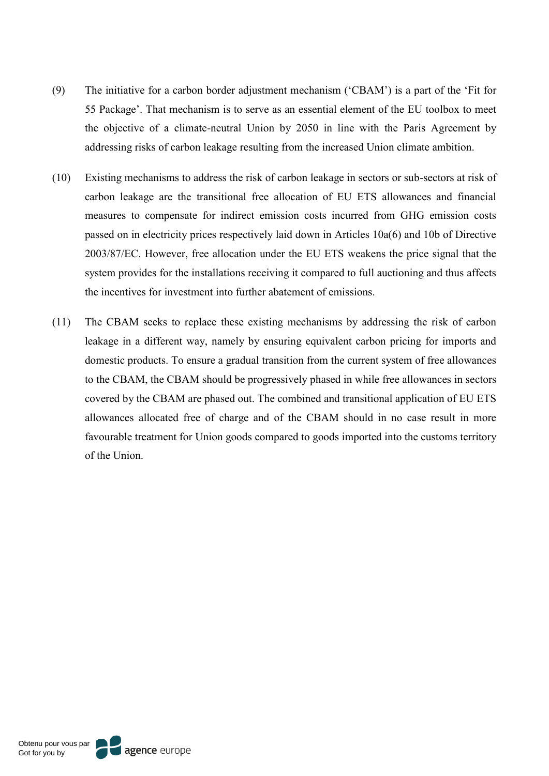- (9) The initiative for a carbon border adjustment mechanism ('CBAM') is a part of the 'Fit for 55 Package'. That mechanism is to serve as an essential element of the EU toolbox to meet the objective of a climate-neutral Union by 2050 in line with the Paris Agreement by addressing risks of carbon leakage resulting from the increased Union climate ambition.
- (10) Existing mechanisms to address the risk of carbon leakage in sectors or sub-sectors at risk of carbon leakage are the transitional free allocation of EU ETS allowances and financial measures to compensate for indirect emission costs incurred from GHG emission costs passed on in electricity prices respectively laid down in Articles 10a(6) and 10b of Directive 2003/87/EC. However, free allocation under the EU ETS weakens the price signal that the system provides for the installations receiving it compared to full auctioning and thus affects the incentives for investment into further abatement of emissions.
- (11) The CBAM seeks to replace these existing mechanisms by addressing the risk of carbon leakage in a different way, namely by ensuring equivalent carbon pricing for imports and domestic products. To ensure a gradual transition from the current system of free allowances to the CBAM, the CBAM should be progressively phased in while free allowances in sectors covered by the CBAM are phased out. The combined and transitional application of EU ETS allowances allocated free of charge and of the CBAM should in no case result in more favourable treatment for Union goods compared to goods imported into the customs territory of the Union.

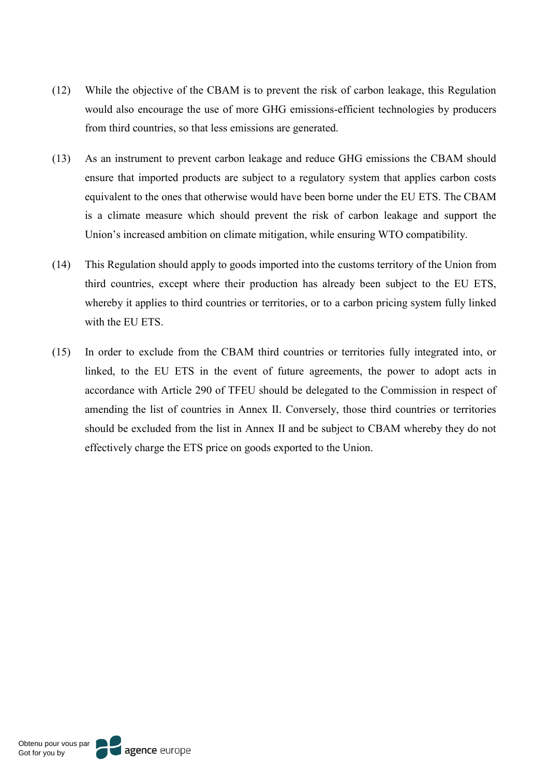- (12) While the objective of the CBAM is to prevent the risk of carbon leakage, this Regulation would also encourage the use of more GHG emissions-efficient technologies by producers from third countries, so that less emissions are generated.
- (13) As an instrument to prevent carbon leakage and reduce GHG emissions the CBAM should ensure that imported products are subject to a regulatory system that applies carbon costs equivalent to the ones that otherwise would have been borne under the EU ETS. The CBAM is a climate measure which should prevent the risk of carbon leakage and support the Union's increased ambition on climate mitigation, while ensuring WTO compatibility.
- (14) This Regulation should apply to goods imported into the customs territory of the Union from third countries, except where their production has already been subject to the EU ETS, whereby it applies to third countries or territories, or to a carbon pricing system fully linked with the EU ETS
- (15) In order to exclude from the CBAM third countries or territories fully integrated into, or linked, to the EU ETS in the event of future agreements, the power to adopt acts in accordance with Article 290 of TFEU should be delegated to the Commission in respect of amending the list of countries in Annex II. Conversely, those third countries or territories should be excluded from the list in Annex II and be subject to CBAM whereby they do not effectively charge the ETS price on goods exported to the Union.

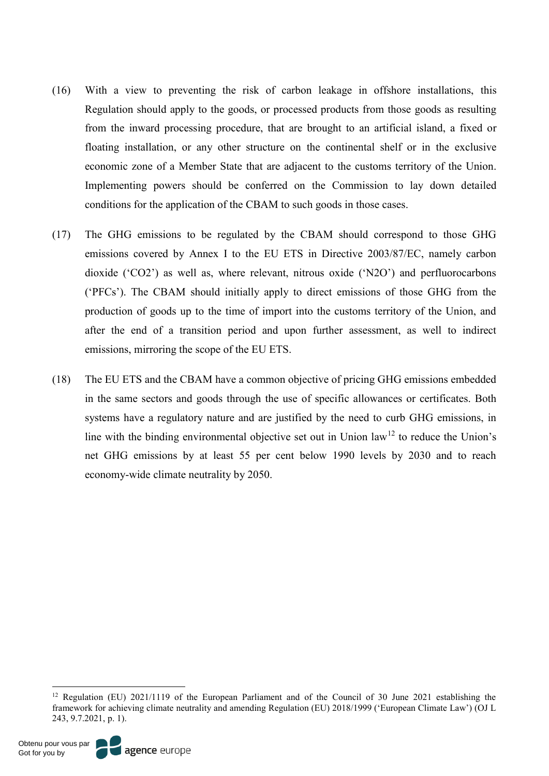- (16) With a view to preventing the risk of carbon leakage in offshore installations, this Regulation should apply to the goods, or processed products from those goods as resulting from the inward processing procedure, that are brought to an artificial island, a fixed or floating installation, or any other structure on the continental shelf or in the exclusive economic zone of a Member State that are adjacent to the customs territory of the Union. Implementing powers should be conferred on the Commission to lay down detailed conditions for the application of the CBAM to such goods in those cases.
- (17) The GHG emissions to be regulated by the CBAM should correspond to those GHG emissions covered by Annex I to the EU ETS in Directive 2003/87/EC, namely carbon dioxide ('CO2') as well as, where relevant, nitrous oxide ('N2O') and perfluorocarbons ('PFCs'). The CBAM should initially apply to direct emissions of those GHG from the production of goods up to the time of import into the customs territory of the Union, and after the end of a transition period and upon further assessment, as well to indirect emissions, mirroring the scope of the EU ETS.
- (18) The EU ETS and the CBAM have a common objective of pricing GHG emissions embedded in the same sectors and goods through the use of specific allowances or certificates. Both systems have a regulatory nature and are justified by the need to curb GHG emissions, in line with the binding environmental objective set out in Union law<sup>12</sup> to reduce the Union's net GHG emissions by at least 55 per cent below 1990 levels by 2030 and to reach economy-wide climate neutrality by 2050.

 <sup>12</sup> Regulation (EU) 2021/1119 of the European Parliament and of the Council of 30 June 2021 establishing the framework for achieving climate neutrality and amending Regulation (EU) 2018/1999 ('European Climate Law') (OJ L 243, 9.7.2021, p. 1).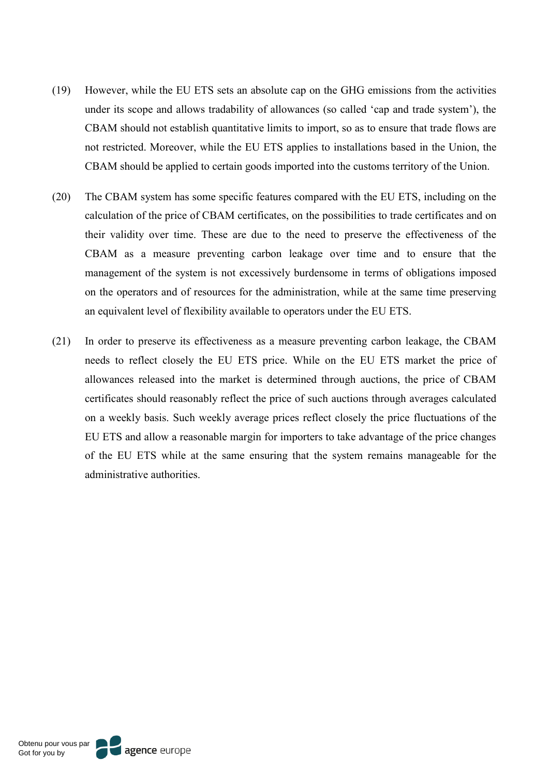- (19) However, while the EU ETS sets an absolute cap on the GHG emissions from the activities under its scope and allows tradability of allowances (so called 'cap and trade system'), the CBAM should not establish quantitative limits to import, so as to ensure that trade flows are not restricted. Moreover, while the EU ETS applies to installations based in the Union, the CBAM should be applied to certain goods imported into the customs territory of the Union.
- (20) The CBAM system has some specific features compared with the EU ETS, including on the calculation of the price of CBAM certificates, on the possibilities to trade certificates and on their validity over time. These are due to the need to preserve the effectiveness of the CBAM as a measure preventing carbon leakage over time and to ensure that the management of the system is not excessively burdensome in terms of obligations imposed on the operators and of resources for the administration, while at the same time preserving an equivalent level of flexibility available to operators under the EU ETS.
- (21) In order to preserve its effectiveness as a measure preventing carbon leakage, the CBAM needs to reflect closely the EU ETS price. While on the EU ETS market the price of allowances released into the market is determined through auctions, the price of CBAM certificates should reasonably reflect the price of such auctions through averages calculated on a weekly basis. Such weekly average prices reflect closely the price fluctuations of the EU ETS and allow a reasonable margin for importers to take advantage of the price changes of the EU ETS while at the same ensuring that the system remains manageable for the administrative authorities.

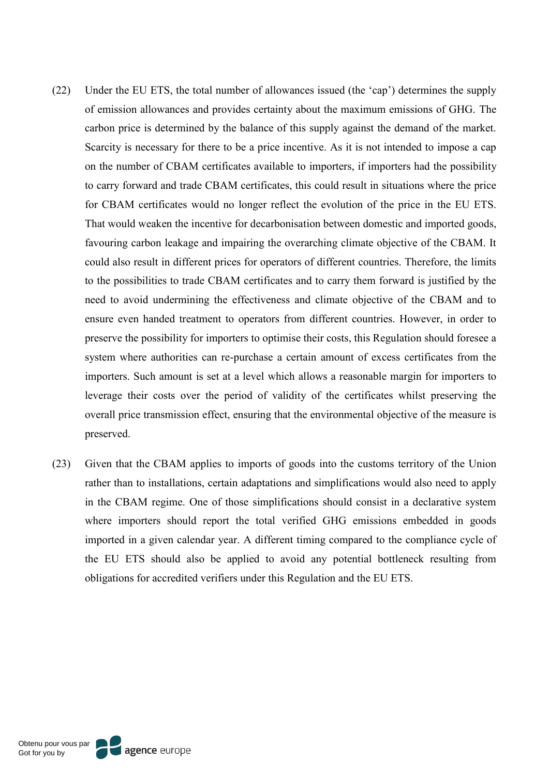- (22) Under the EU ETS, the total number of allowances issued (the 'cap') determines the supply of emission allowances and provides certainty about the maximum emissions of GHG. The carbon price is determined by the balance of this supply against the demand of the market. Scarcity is necessary for there to be a price incentive. As it is not intended to impose a cap on the number of CBAM certificates available to importers, if importers had the possibility to carry forward and trade CBAM certificates, this could result in situations where the price for CBAM certificates would no longer reflect the evolution of the price in the EU ETS. That would weaken the incentive for decarbonisation between domestic and imported goods, favouring carbon leakage and impairing the overarching climate objective of the CBAM. It could also result in different prices for operators of different countries. Therefore, the limits to the possibilities to trade CBAM certificates and to carry them forward is justified by the need to avoid undermining the effectiveness and climate objective of the CBAM and to ensure even handed treatment to operators from different countries. However, in order to preserve the possibility for importers to optimise their costs, this Regulation should foresee a system where authorities can re-purchase a certain amount of excess certificates from the importers. Such amount is set at a level which allows a reasonable margin for importers to leverage their costs over the period of validity of the certificates whilst preserving the overall price transmission effect, ensuring that the environmental objective of the measure is preserved.
- (23) Given that the CBAM applies to imports of goods into the customs territory of the Union rather than to installations, certain adaptations and simplifications would also need to apply in the CBAM regime. One of those simplifications should consist in a declarative system where importers should report the total verified GHG emissions embedded in goods imported in a given calendar year. A different timing compared to the compliance cycle of the EU ETS should also be applied to avoid any potential bottleneck resulting from obligations for accredited verifiers under this Regulation and the EU ETS.

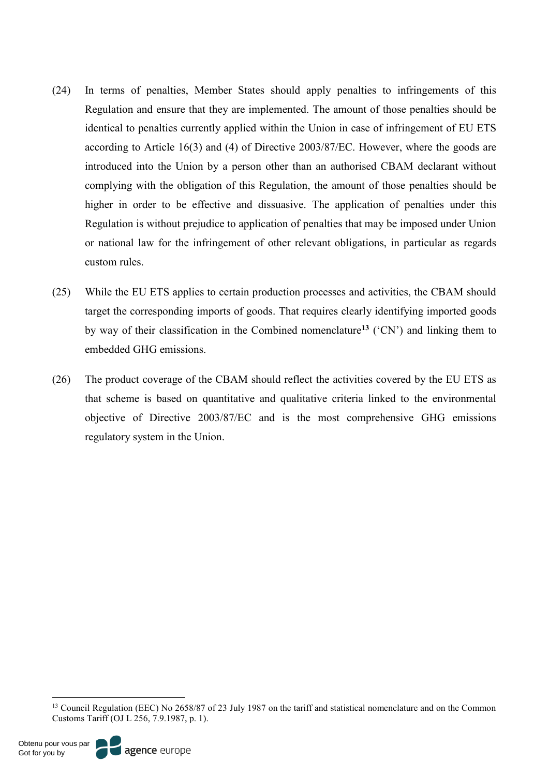- (24) In terms of penalties, Member States should apply penalties to infringements of this Regulation and ensure that they are implemented. The amount of those penalties should be identical to penalties currently applied within the Union in case of infringement of EU ETS according to Article 16(3) and (4) of Directive 2003/87/EC. However, where the goods are introduced into the Union by a person other than an authorised CBAM declarant without complying with the obligation of this Regulation, the amount of those penalties should be higher in order to be effective and dissuasive. The application of penalties under this Regulation is without prejudice to application of penalties that may be imposed under Union or national law for the infringement of other relevant obligations, in particular as regards custom rules.
- (25) While the EU ETS applies to certain production processes and activities, the CBAM should target the corresponding imports of goods. That requires clearly identifying imported goods by way of their classification in the Combined nomenclature**<sup>13</sup>** ('CN') and linking them to embedded GHG emissions.
- (26) The product coverage of the CBAM should reflect the activities covered by the EU ETS as that scheme is based on quantitative and qualitative criteria linked to the environmental objective of Directive 2003/87/EC and is the most comprehensive GHG emissions regulatory system in the Union.

<sup>&</sup>lt;sup>13</sup> Council Regulation (EEC) No 2658/87 of 23 July 1987 on the tariff and statistical nomenclature and on the Common Customs Tariff (OJ L 256, 7.9.1987, p. 1).

agence europe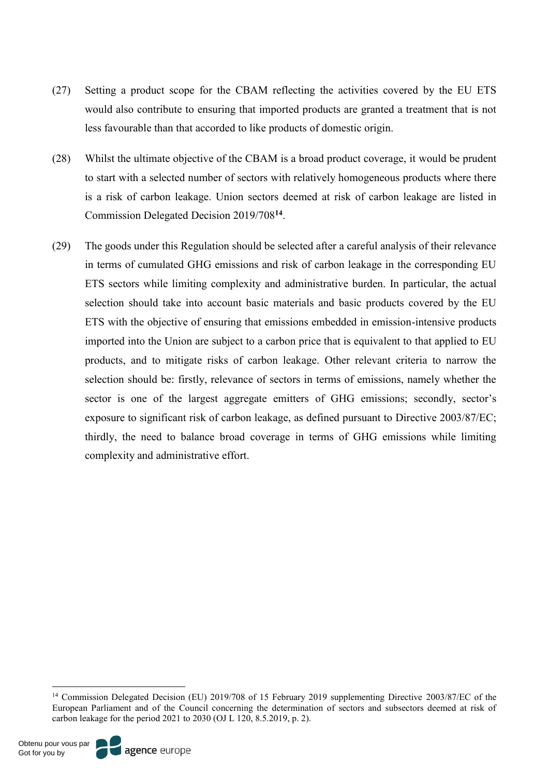- (27) Setting a product scope for the CBAM reflecting the activities covered by the EU ETS would also contribute to ensuring that imported products are granted a treatment that is not less favourable than that accorded to like products of domestic origin.
- (28) Whilst the ultimate objective of the CBAM is a broad product coverage, it would be prudent to start with a selected number of sectors with relatively homogeneous products where there is a risk of carbon leakage. Union sectors deemed at risk of carbon leakage are listed in Commission Delegated Decision 2019/708**<sup>14</sup>**.
- (29) The goods under this Regulation should be selected after a careful analysis of their relevance in terms of cumulated GHG emissions and risk of carbon leakage in the corresponding EU ETS sectors while limiting complexity and administrative burden. In particular, the actual selection should take into account basic materials and basic products covered by the EU ETS with the objective of ensuring that emissions embedded in emission-intensive products imported into the Union are subject to a carbon price that is equivalent to that applied to EU products, and to mitigate risks of carbon leakage. Other relevant criteria to narrow the selection should be: firstly, relevance of sectors in terms of emissions, namely whether the sector is one of the largest aggregate emitters of GHG emissions; secondly, sector's exposure to significant risk of carbon leakage, as defined pursuant to Directive 2003/87/EC; thirdly, the need to balance broad coverage in terms of GHG emissions while limiting complexity and administrative effort.



<sup>&</sup>lt;sup>14</sup> Commission Delegated Decision (EU) 2019/708 of 15 February 2019 supplementing Directive 2003/87/EC of the European Parliament and of the Council concerning the determination of sectors and subsectors deemed at risk of carbon leakage for the period 2021 to 2030 (OJ L 120, 8.5.2019, p. 2).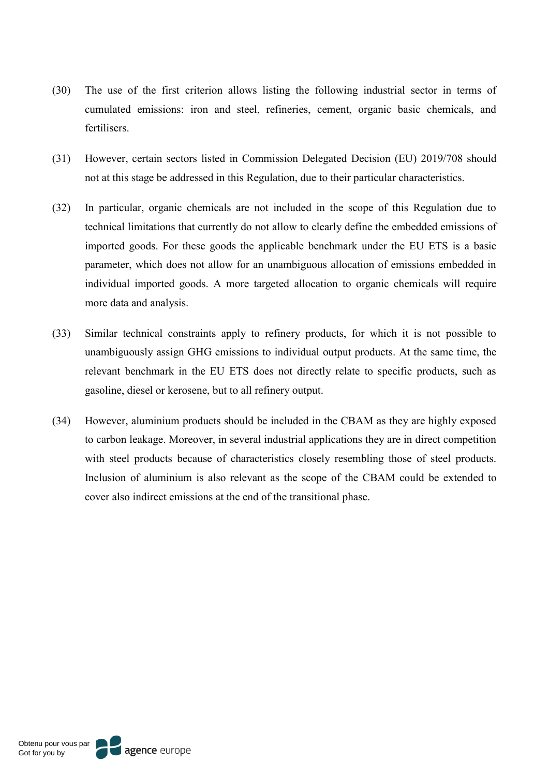- (30) The use of the first criterion allows listing the following industrial sector in terms of cumulated emissions: iron and steel, refineries, cement, organic basic chemicals, and fertilisers.
- (31) However, certain sectors listed in Commission Delegated Decision (EU) 2019/708 should not at this stage be addressed in this Regulation, due to their particular characteristics.
- (32) In particular, organic chemicals are not included in the scope of this Regulation due to technical limitations that currently do not allow to clearly define the embedded emissions of imported goods. For these goods the applicable benchmark under the EU ETS is a basic parameter, which does not allow for an unambiguous allocation of emissions embedded in individual imported goods. A more targeted allocation to organic chemicals will require more data and analysis.
- (33) Similar technical constraints apply to refinery products, for which it is not possible to unambiguously assign GHG emissions to individual output products. At the same time, the relevant benchmark in the EU ETS does not directly relate to specific products, such as gasoline, diesel or kerosene, but to all refinery output.
- (34) However, aluminium products should be included in the CBAM as they are highly exposed to carbon leakage. Moreover, in several industrial applications they are in direct competition with steel products because of characteristics closely resembling those of steel products. Inclusion of aluminium is also relevant as the scope of the CBAM could be extended to cover also indirect emissions at the end of the transitional phase.

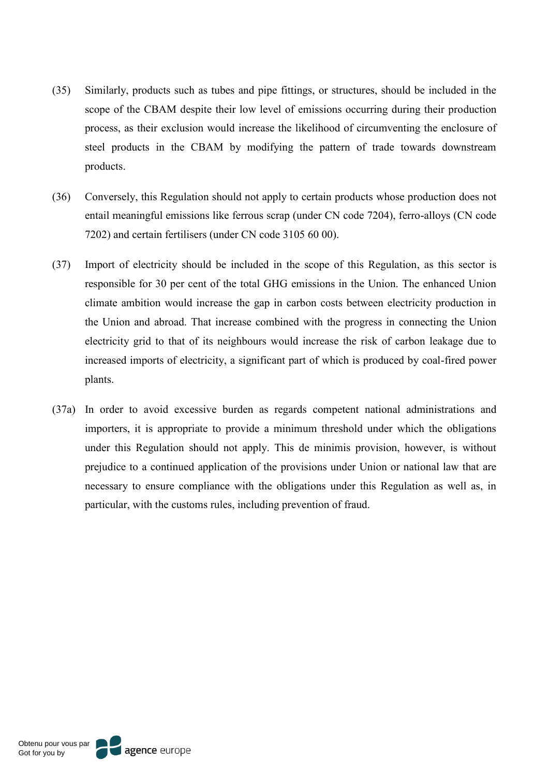- (35) Similarly, products such as tubes and pipe fittings, or structures, should be included in the scope of the CBAM despite their low level of emissions occurring during their production process, as their exclusion would increase the likelihood of circumventing the enclosure of steel products in the CBAM by modifying the pattern of trade towards downstream products.
- (36) Conversely, this Regulation should not apply to certain products whose production does not entail meaningful emissions like ferrous scrap (under CN code 7204), ferro-alloys (CN code 7202) and certain fertilisers (under CN code 3105 60 00).
- (37) Import of electricity should be included in the scope of this Regulation, as this sector is responsible for 30 per cent of the total GHG emissions in the Union. The enhanced Union climate ambition would increase the gap in carbon costs between electricity production in the Union and abroad. That increase combined with the progress in connecting the Union electricity grid to that of its neighbours would increase the risk of carbon leakage due to increased imports of electricity, a significant part of which is produced by coal-fired power plants.
- (37a) In order to avoid excessive burden as regards competent national administrations and importers, it is appropriate to provide a minimum threshold under which the obligations under this Regulation should not apply. This de minimis provision, however, is without prejudice to a continued application of the provisions under Union or national law that are necessary to ensure compliance with the obligations under this Regulation as well as, in particular, with the customs rules, including prevention of fraud.

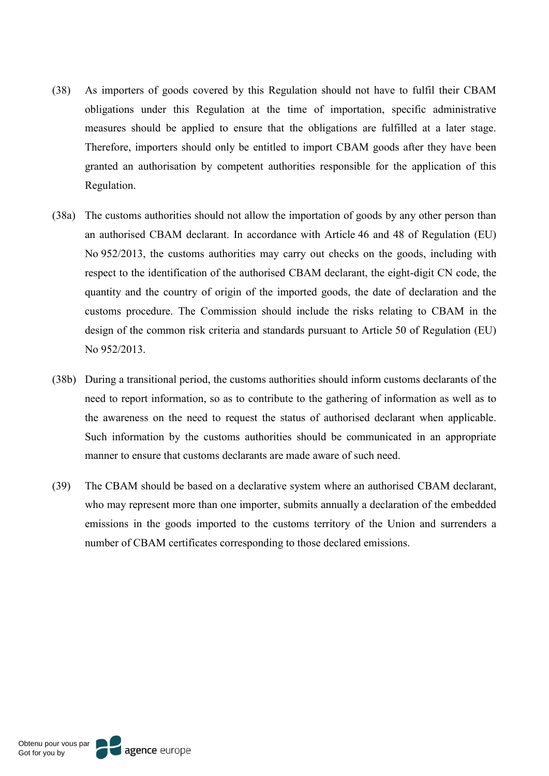- (38) As importers of goods covered by this Regulation should not have to fulfil their CBAM obligations under this Regulation at the time of importation, specific administrative measures should be applied to ensure that the obligations are fulfilled at a later stage. Therefore, importers should only be entitled to import CBAM goods after they have been granted an authorisation by competent authorities responsible for the application of this Regulation.
- (38a) The customs authorities should not allow the importation of goods by any other person than an authorised CBAM declarant. In accordance with Article 46 and 48 of Regulation (EU) No 952/2013, the customs authorities may carry out checks on the goods, including with respect to the identification of the authorised CBAM declarant, the eight-digit CN code, the quantity and the country of origin of the imported goods, the date of declaration and the customs procedure. The Commission should include the risks relating to CBAM in the design of the common risk criteria and standards pursuant to Article 50 of Regulation (EU) No 952/2013.
- (38b) During a transitional period, the customs authorities should inform customs declarants of the need to report information, so as to contribute to the gathering of information as well as to the awareness on the need to request the status of authorised declarant when applicable. Such information by the customs authorities should be communicated in an appropriate manner to ensure that customs declarants are made aware of such need.
- (39) The CBAM should be based on a declarative system where an authorised CBAM declarant, who may represent more than one importer, submits annually a declaration of the embedded emissions in the goods imported to the customs territory of the Union and surrenders a number of CBAM certificates corresponding to those declared emissions.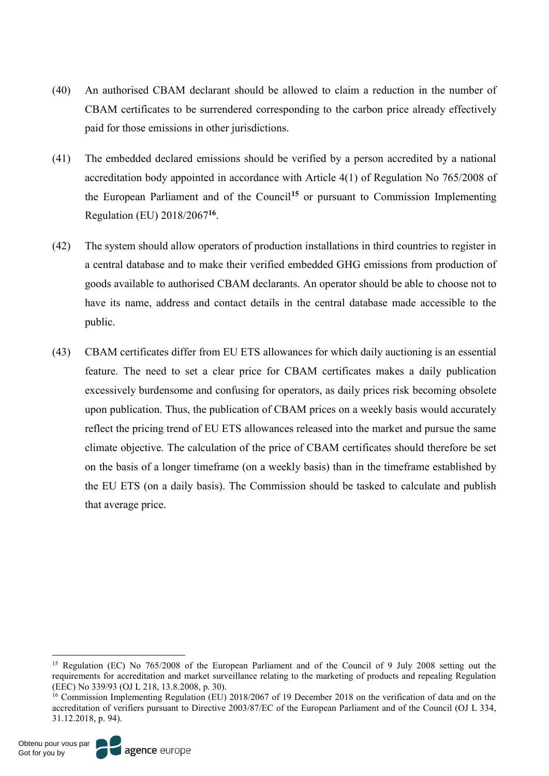- (40) An authorised CBAM declarant should be allowed to claim a reduction in the number of CBAM certificates to be surrendered corresponding to the carbon price already effectively paid for those emissions in other jurisdictions.
- (41) The embedded declared emissions should be verified by a person accredited by a national accreditation body appointed in accordance with Article 4(1) of Regulation No 765/2008 of the European Parliament and of the Council**<sup>15</sup>** or pursuant to Commission Implementing Regulation (EU) 2018/2067**<sup>16</sup>**.
- (42) The system should allow operators of production installations in third countries to register in a central database and to make their verified embedded GHG emissions from production of goods available to authorised CBAM declarants. An operator should be able to choose not to have its name, address and contact details in the central database made accessible to the public.
- (43) CBAM certificates differ from EU ETS allowances for which daily auctioning is an essential feature. The need to set a clear price for CBAM certificates makes a daily publication excessively burdensome and confusing for operators, as daily prices risk becoming obsolete upon publication. Thus, the publication of CBAM prices on a weekly basis would accurately reflect the pricing trend of EU ETS allowances released into the market and pursue the same climate objective. The calculation of the price of CBAM certificates should therefore be set on the basis of a longer timeframe (on a weekly basis) than in the timeframe established by the EU ETS (on a daily basis). The Commission should be tasked to calculate and publish that average price.

 <sup>15</sup> Regulation (EC) No 765/2008 of the European Parliament and of the Council of 9 July 2008 setting out the requirements for accreditation and market surveillance relating to the marketing of products and repealing Regulation (EEC) No 339/93 (OJ L 218, 13.8.2008, p. 30).

<sup>&</sup>lt;sup>16</sup> Commission Implementing Regulation (EU) 2018/2067 of 19 December 2018 on the verification of data and on the accreditation of verifiers pursuant to Directive 2003/87/EC of the European Parliament and of the Council (OJ L 334, 31.12.2018, p. 94).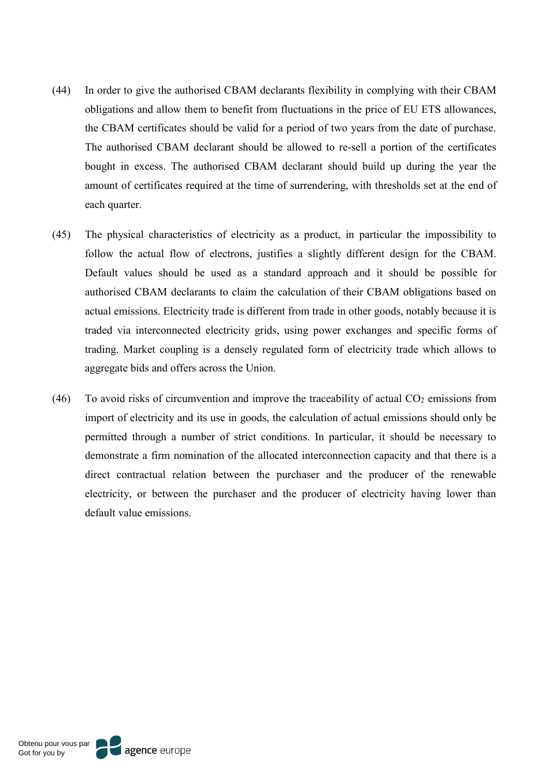- (44) In order to give the authorised CBAM declarants flexibility in complying with their CBAM obligations and allow them to benefit from fluctuations in the price of EU ETS allowances, the CBAM certificates should be valid for a period of two years from the date of purchase. The authorised CBAM declarant should be allowed to re-sell a portion of the certificates bought in excess. The authorised CBAM declarant should build up during the year the amount of certificates required at the time of surrendering, with thresholds set at the end of each quarter.
- (45) The physical characteristics of electricity as a product, in particular the impossibility to follow the actual flow of electrons, justifies a slightly different design for the CBAM. Default values should be used as a standard approach and it should be possible for authorised CBAM declarants to claim the calculation of their CBAM obligations based on actual emissions. Electricity trade is different from trade in other goods, notably because it is traded via interconnected electricity grids, using power exchanges and specific forms of trading. Market coupling is a densely regulated form of electricity trade which allows to aggregate bids and offers across the Union.
- (46) To avoid risks of circumvention and improve the traceability of actual  $CO<sub>2</sub>$  emissions from import of electricity and its use in goods, the calculation of actual emissions should only be permitted through a number of strict conditions. In particular, it should be necessary to demonstrate a firm nomination of the allocated interconnection capacity and that there is a direct contractual relation between the purchaser and the producer of the renewable electricity, or between the purchaser and the producer of electricity having lower than default value emissions.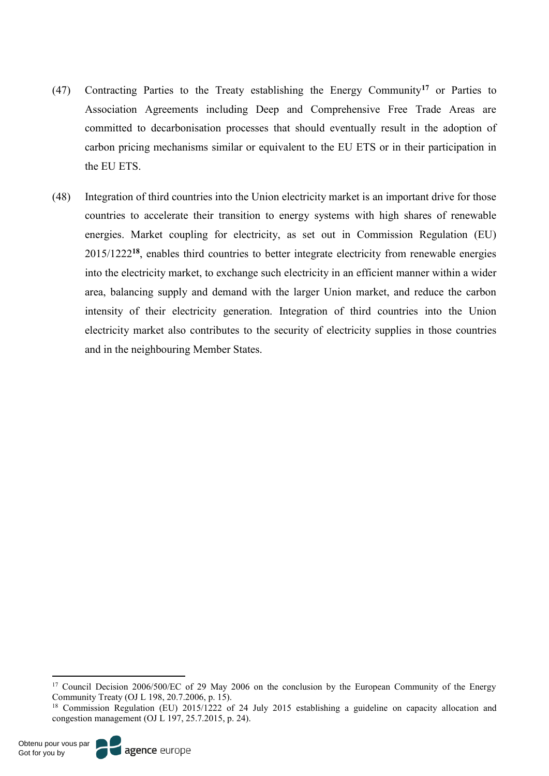- (47) Contracting Parties to the Treaty establishing the Energy Community**<sup>17</sup>** or Parties to Association Agreements including Deep and Comprehensive Free Trade Areas are committed to decarbonisation processes that should eventually result in the adoption of carbon pricing mechanisms similar or equivalent to the EU ETS or in their participation in the EU ETS.
- (48) Integration of third countries into the Union electricity market is an important drive for those countries to accelerate their transition to energy systems with high shares of renewable energies. Market coupling for electricity, as set out in Commission Regulation (EU) 2015/1222**<sup>18</sup>**, enables third countries to better integrate electricity from renewable energies into the electricity market, to exchange such electricity in an efficient manner within a wider area, balancing supply and demand with the larger Union market, and reduce the carbon intensity of their electricity generation. Integration of third countries into the Union electricity market also contributes to the security of electricity supplies in those countries and in the neighbouring Member States.



<sup>&</sup>lt;sup>17</sup> Council Decision 2006/500/EC of 29 May 2006 on the conclusion by the European Community of the Energy Community Treaty (OJ L 198, 20.7.2006, p. 15).

<sup>&</sup>lt;sup>18</sup> Commission Regulation (EU) 2015/1222 of 24 July 2015 establishing a guideline on capacity allocation and congestion management (OJ L 197, 25.7.2015, p. 24).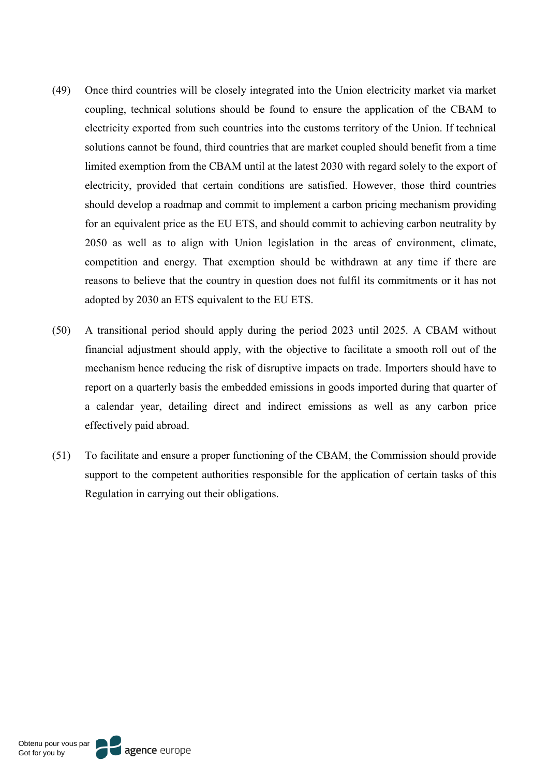- (49) Once third countries will be closely integrated into the Union electricity market via market coupling, technical solutions should be found to ensure the application of the CBAM to electricity exported from such countries into the customs territory of the Union. If technical solutions cannot be found, third countries that are market coupled should benefit from a time limited exemption from the CBAM until at the latest 2030 with regard solely to the export of electricity, provided that certain conditions are satisfied. However, those third countries should develop a roadmap and commit to implement a carbon pricing mechanism providing for an equivalent price as the EU ETS, and should commit to achieving carbon neutrality by 2050 as well as to align with Union legislation in the areas of environment, climate, competition and energy. That exemption should be withdrawn at any time if there are reasons to believe that the country in question does not fulfil its commitments or it has not adopted by 2030 an ETS equivalent to the EU ETS.
- (50) A transitional period should apply during the period 2023 until 2025. A CBAM without financial adjustment should apply, with the objective to facilitate a smooth roll out of the mechanism hence reducing the risk of disruptive impacts on trade. Importers should have to report on a quarterly basis the embedded emissions in goods imported during that quarter of a calendar year, detailing direct and indirect emissions as well as any carbon price effectively paid abroad.
- (51) To facilitate and ensure a proper functioning of the CBAM, the Commission should provide support to the competent authorities responsible for the application of certain tasks of this Regulation in carrying out their obligations.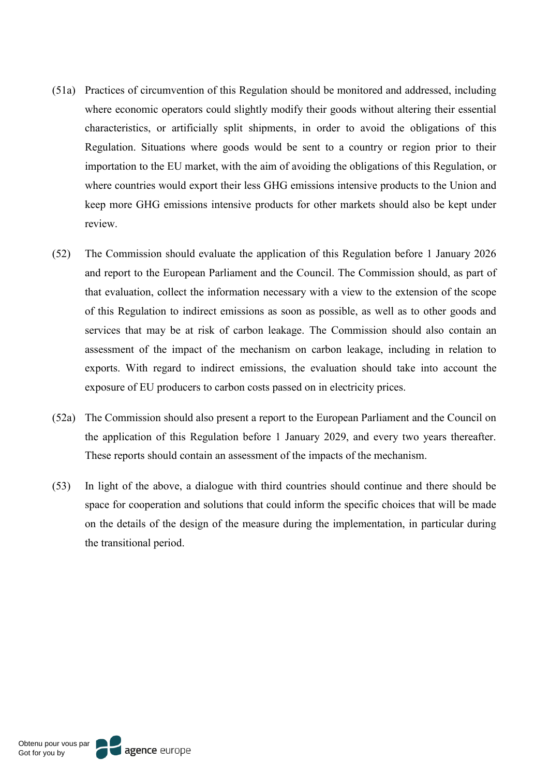- (51a) Practices of circumvention of this Regulation should be monitored and addressed, including where economic operators could slightly modify their goods without altering their essential characteristics, or artificially split shipments, in order to avoid the obligations of this Regulation. Situations where goods would be sent to a country or region prior to their importation to the EU market, with the aim of avoiding the obligations of this Regulation, or where countries would export their less GHG emissions intensive products to the Union and keep more GHG emissions intensive products for other markets should also be kept under review.
- (52) The Commission should evaluate the application of this Regulation before 1 January 2026 and report to the European Parliament and the Council. The Commission should, as part of that evaluation, collect the information necessary with a view to the extension of the scope of this Regulation to indirect emissions as soon as possible, as well as to other goods and services that may be at risk of carbon leakage. The Commission should also contain an assessment of the impact of the mechanism on carbon leakage, including in relation to exports. With regard to indirect emissions, the evaluation should take into account the exposure of EU producers to carbon costs passed on in electricity prices.
- (52a) The Commission should also present a report to the European Parliament and the Council on the application of this Regulation before 1 January 2029, and every two years thereafter. These reports should contain an assessment of the impacts of the mechanism.
- (53) In light of the above, a dialogue with third countries should continue and there should be space for cooperation and solutions that could inform the specific choices that will be made on the details of the design of the measure during the implementation, in particular during the transitional period.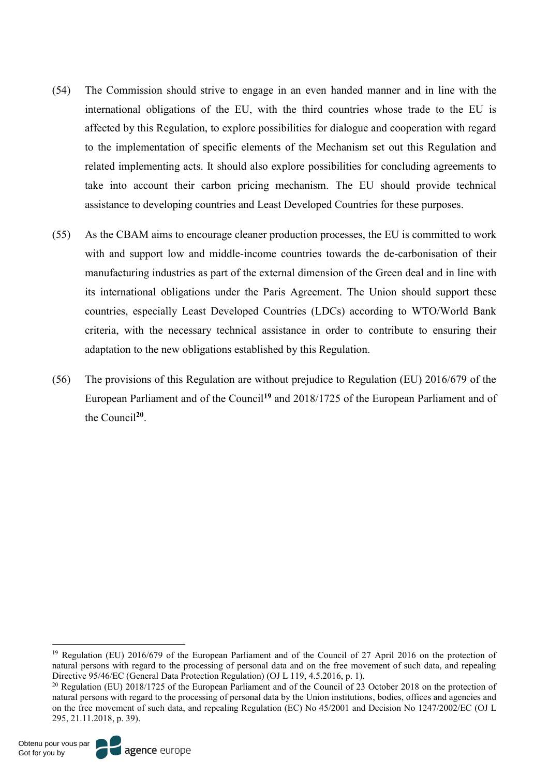- (54) The Commission should strive to engage in an even handed manner and in line with the international obligations of the EU, with the third countries whose trade to the EU is affected by this Regulation, to explore possibilities for dialogue and cooperation with regard to the implementation of specific elements of the Mechanism set out this Regulation and related implementing acts. It should also explore possibilities for concluding agreements to take into account their carbon pricing mechanism. The EU should provide technical assistance to developing countries and Least Developed Countries for these purposes.
- (55) As the CBAM aims to encourage cleaner production processes, the EU is committed to work with and support low and middle-income countries towards the de-carbonisation of their manufacturing industries as part of the external dimension of the Green deal and in line with its international obligations under the Paris Agreement. The Union should support these countries, especially Least Developed Countries (LDCs) according to WTO/World Bank criteria, with the necessary technical assistance in order to contribute to ensuring their adaptation to the new obligations established by this Regulation.
- (56) The provisions of this Regulation are without prejudice to Regulation (EU) 2016/679 of the European Parliament and of the Council**<sup>19</sup>** and 2018/1725 of the European Parliament and of the Council**<sup>20</sup>**.

<sup>&</sup>lt;sup>19</sup> Regulation (EU) 2016/679 of the European Parliament and of the Council of 27 April 2016 on the protection of natural persons with regard to the processing of personal data and on the free movement of such data, and repealing Directive 95/46/EC (General Data Protection Regulation) (OJ L 119, 4.5.2016, p. 1).

<sup>&</sup>lt;sup>20</sup> Regulation (EU) 2018/1725 of the European Parliament and of the Council of 23 October 2018 on the protection of natural persons with regard to the processing of personal data by the Union institutions, bodies, offices and agencies and on the free movement of such data, and repealing Regulation (EC) No 45/2001 and Decision No 1247/2002/EC (OJ L 295, 21.11.2018, p. 39).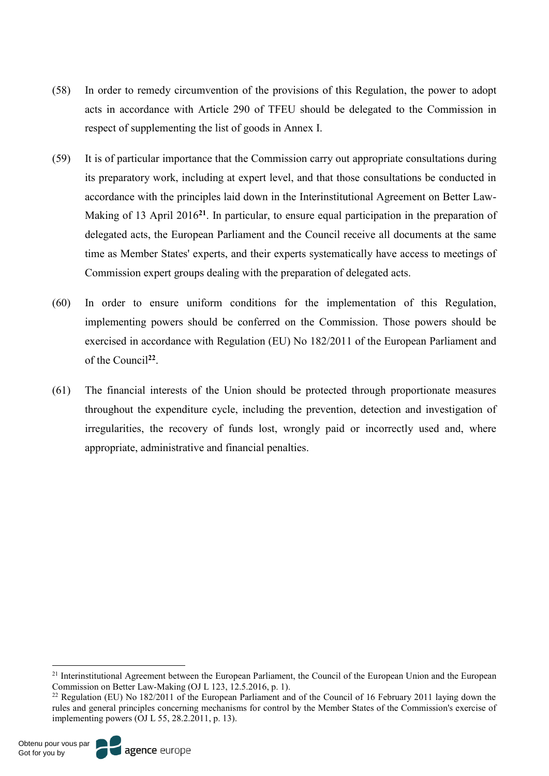- (58) In order to remedy circumvention of the provisions of this Regulation, the power to adopt acts in accordance with Article 290 of TFEU should be delegated to the Commission in respect of supplementing the list of goods in Annex I.
- (59) It is of particular importance that the Commission carry out appropriate consultations during its preparatory work, including at expert level, and that those consultations be conducted in accordance with the principles laid down in the Interinstitutional Agreement on Better Law-Making of 13 April 2016**<sup>21</sup>**. In particular, to ensure equal participation in the preparation of delegated acts, the European Parliament and the Council receive all documents at the same time as Member States' experts, and their experts systematically have access to meetings of Commission expert groups dealing with the preparation of delegated acts.
- (60) In order to ensure uniform conditions for the implementation of this Regulation, implementing powers should be conferred on the Commission. Those powers should be exercised in accordance with Regulation (EU) No 182/2011 of the European Parliament and of the Council**<sup>22</sup>**.
- (61) The financial interests of the Union should be protected through proportionate measures throughout the expenditure cycle, including the prevention, detection and investigation of irregularities, the recovery of funds lost, wrongly paid or incorrectly used and, where appropriate, administrative and financial penalties.



<sup>&</sup>lt;sup>21</sup> Interinstitutional Agreement between the European Parliament, the Council of the European Union and the European Commission on Better Law-Making (OJ L 123, 12.5.2016, p. 1).

<sup>&</sup>lt;sup>22</sup> Regulation (EU) No 182/2011 of the European Parliament and of the Council of 16 February 2011 laying down the rules and general principles concerning mechanisms for control by the Member States of the Commission's exercise of implementing powers (OJ L 55, 28.2.2011, p. 13).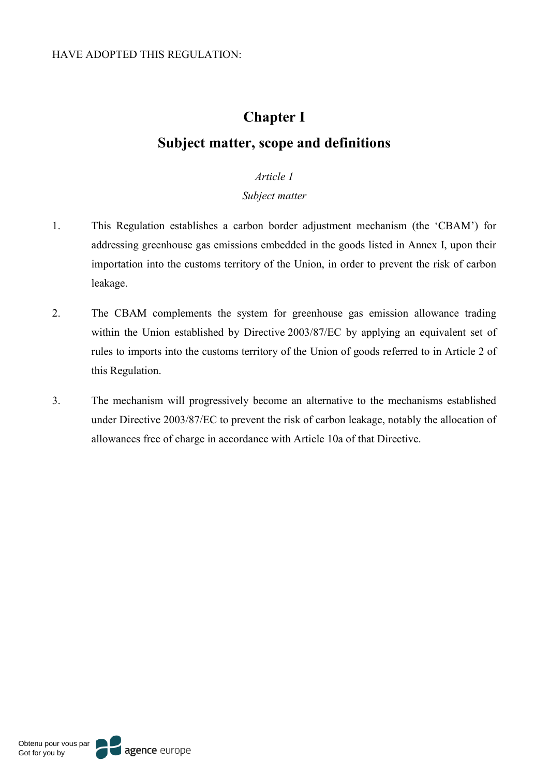# **Chapter I Subject matter, scope and definitions**

# *Article 1*

# *Subject matter*

- 1. This Regulation establishes a carbon border adjustment mechanism (the 'CBAM') for addressing greenhouse gas emissions embedded in the goods listed in Annex I, upon their importation into the customs territory of the Union, in order to prevent the risk of carbon leakage.
- 2. The CBAM complements the system for greenhouse gas emission allowance trading within the Union established by Directive 2003/87/EC by applying an equivalent set of rules to imports into the customs territory of the Union of goods referred to in Article 2 of this Regulation.
- 3. The mechanism will progressively become an alternative to the mechanisms established under Directive 2003/87/EC to prevent the risk of carbon leakage, notably the allocation of allowances free of charge in accordance with Article 10a of that Directive.

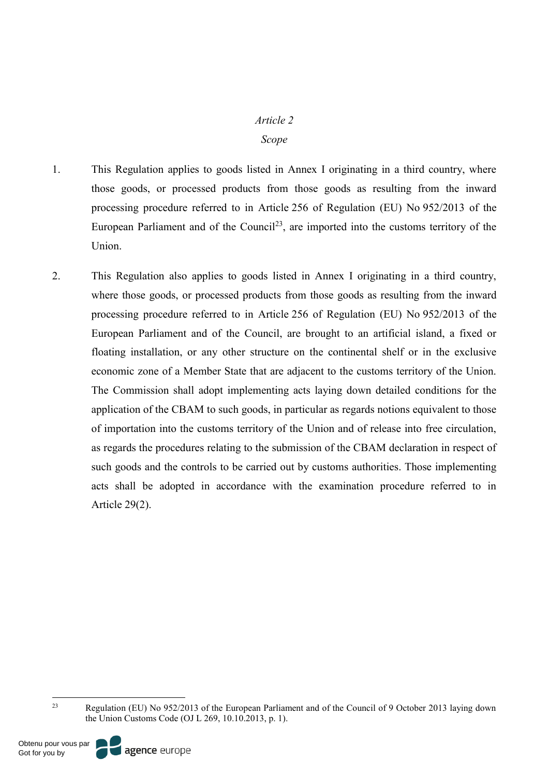#### *Article 2*

#### *Scope*

- 1. This Regulation applies to goods listed in Annex I originating in a third country, where those goods, or processed products from those goods as resulting from the inward processing procedure referred to in Article 256 of Regulation (EU) No 952/2013 of the European Parliament and of the Council<sup>23</sup>, are imported into the customs territory of the Union.
- 2. This Regulation also applies to goods listed in Annex I originating in a third country, where those goods, or processed products from those goods as resulting from the inward processing procedure referred to in Article 256 of Regulation (EU) No 952/2013 of the European Parliament and of the Council, are brought to an artificial island, a fixed or floating installation, or any other structure on the continental shelf or in the exclusive economic zone of a Member State that are adjacent to the customs territory of the Union. The Commission shall adopt implementing acts laying down detailed conditions for the application of the CBAM to such goods, in particular as regards notions equivalent to those of importation into the customs territory of the Union and of release into free circulation, as regards the procedures relating to the submission of the CBAM declaration in respect of such goods and the controls to be carried out by customs authorities. Those implementing acts shall be adopted in accordance with the examination procedure referred to in Article 29(2).



 <sup>23</sup> Regulation (EU) No 952/2013 of the European Parliament and of the Council of 9 October 2013 laying down the Union Customs Code (OJ L 269, 10.10.2013, p. 1).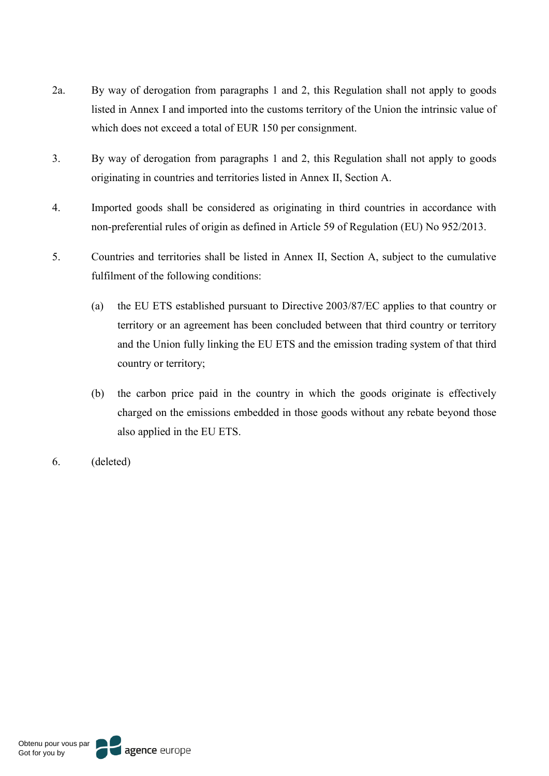- 2a. By way of derogation from paragraphs 1 and 2, this Regulation shall not apply to goods listed in Annex I and imported into the customs territory of the Union the intrinsic value of which does not exceed a total of EUR 150 per consignment.
- 3. By way of derogation from paragraphs 1 and 2, this Regulation shall not apply to goods originating in countries and territories listed in Annex II, Section A.
- 4. Imported goods shall be considered as originating in third countries in accordance with non-preferential rules of origin as defined in Article 59 of Regulation (EU) No 952/2013.
- 5. Countries and territories shall be listed in Annex II, Section A, subject to the cumulative fulfilment of the following conditions:
	- (a) the EU ETS established pursuant to Directive 2003/87/EC applies to that country or territory or an agreement has been concluded between that third country or territory and the Union fully linking the EU ETS and the emission trading system of that third country or territory;
	- (b) the carbon price paid in the country in which the goods originate is effectively charged on the emissions embedded in those goods without any rebate beyond those also applied in the EU ETS.
- 6. (deleted)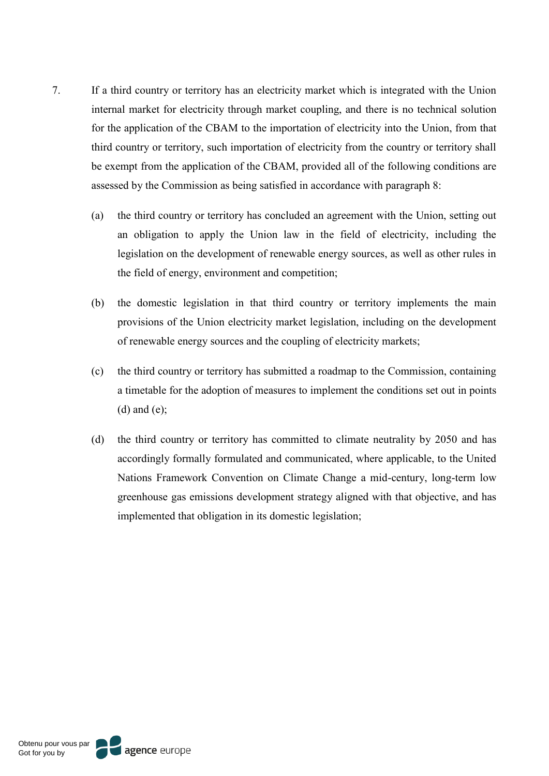- 7. If a third country or territory has an electricity market which is integrated with the Union internal market for electricity through market coupling, and there is no technical solution for the application of the CBAM to the importation of electricity into the Union, from that third country or territory, such importation of electricity from the country or territory shall be exempt from the application of the CBAM, provided all of the following conditions are assessed by the Commission as being satisfied in accordance with paragraph 8:
	- (a) the third country or territory has concluded an agreement with the Union, setting out an obligation to apply the Union law in the field of electricity, including the legislation on the development of renewable energy sources, as well as other rules in the field of energy, environment and competition;
	- (b) the domestic legislation in that third country or territory implements the main provisions of the Union electricity market legislation, including on the development of renewable energy sources and the coupling of electricity markets;
	- (c) the third country or territory has submitted a roadmap to the Commission, containing a timetable for the adoption of measures to implement the conditions set out in points  $(d)$  and  $(e)$ ;
	- (d) the third country or territory has committed to climate neutrality by 2050 and has accordingly formally formulated and communicated, where applicable, to the United Nations Framework Convention on Climate Change a mid-century, long-term low greenhouse gas emissions development strategy aligned with that objective, and has implemented that obligation in its domestic legislation;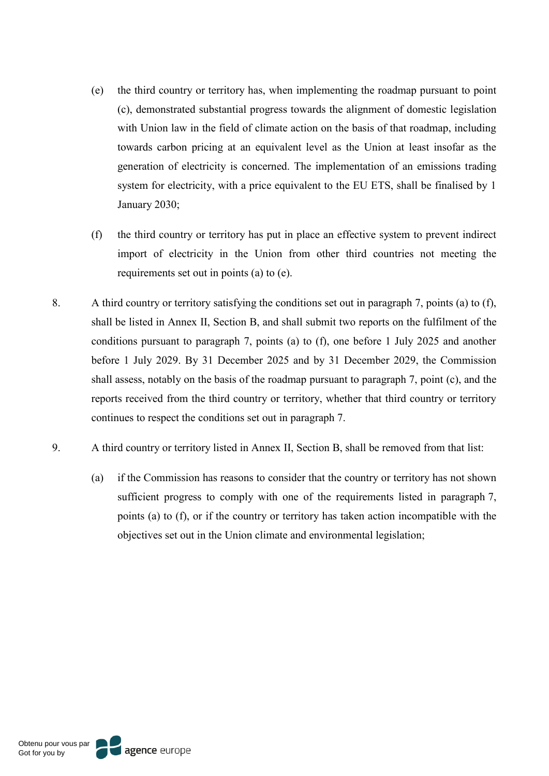- (e) the third country or territory has, when implementing the roadmap pursuant to point (c), demonstrated substantial progress towards the alignment of domestic legislation with Union law in the field of climate action on the basis of that roadmap, including towards carbon pricing at an equivalent level as the Union at least insofar as the generation of electricity is concerned. The implementation of an emissions trading system for electricity, with a price equivalent to the EU ETS, shall be finalised by 1 January 2030;
- (f) the third country or territory has put in place an effective system to prevent indirect import of electricity in the Union from other third countries not meeting the requirements set out in points (a) to (e).
- 8. A third country or territory satisfying the conditions set out in paragraph 7, points (a) to (f), shall be listed in Annex II, Section B, and shall submit two reports on the fulfilment of the conditions pursuant to paragraph 7, points (a) to (f), one before 1 July 2025 and another before 1 July 2029. By 31 December 2025 and by 31 December 2029, the Commission shall assess, notably on the basis of the roadmap pursuant to paragraph 7, point (c), and the reports received from the third country or territory, whether that third country or territory continues to respect the conditions set out in paragraph 7.
- 9. A third country or territory listed in Annex II, Section B, shall be removed from that list:
	- (a) if the Commission has reasons to consider that the country or territory has not shown sufficient progress to comply with one of the requirements listed in paragraph 7, points (a) to (f), or if the country or territory has taken action incompatible with the objectives set out in the Union climate and environmental legislation;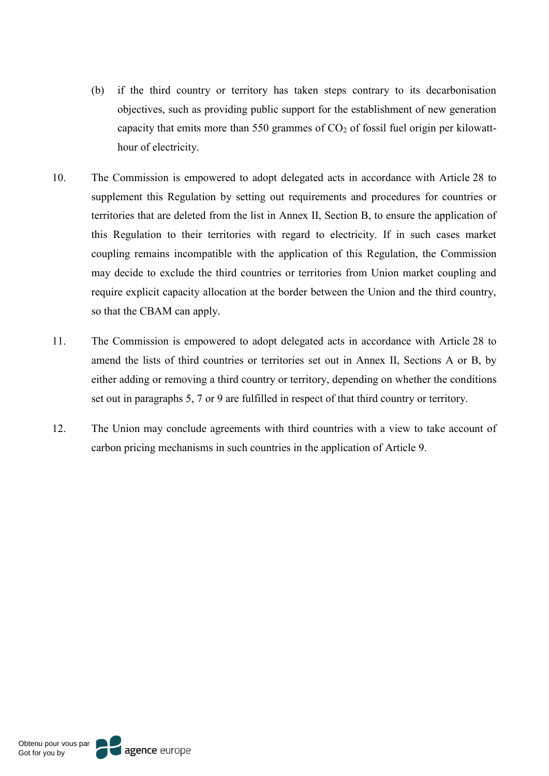- (b) if the third country or territory has taken steps contrary to its decarbonisation objectives, such as providing public support for the establishment of new generation capacity that emits more than 550 grammes of  $CO<sub>2</sub>$  of fossil fuel origin per kilowatthour of electricity.
- 10. The Commission is empowered to adopt delegated acts in accordance with Article 28 to supplement this Regulation by setting out requirements and procedures for countries or territories that are deleted from the list in Annex II, Section B, to ensure the application of this Regulation to their territories with regard to electricity. If in such cases market coupling remains incompatible with the application of this Regulation, the Commission may decide to exclude the third countries or territories from Union market coupling and require explicit capacity allocation at the border between the Union and the third country, so that the CBAM can apply.
- 11. The Commission is empowered to adopt delegated acts in accordance with Article 28 to amend the lists of third countries or territories set out in Annex II, Sections A or B, by either adding or removing a third country or territory, depending on whether the conditions set out in paragraphs 5, 7 or 9 are fulfilled in respect of that third country or territory.
- 12. The Union may conclude agreements with third countries with a view to take account of carbon pricing mechanisms in such countries in the application of Article 9.

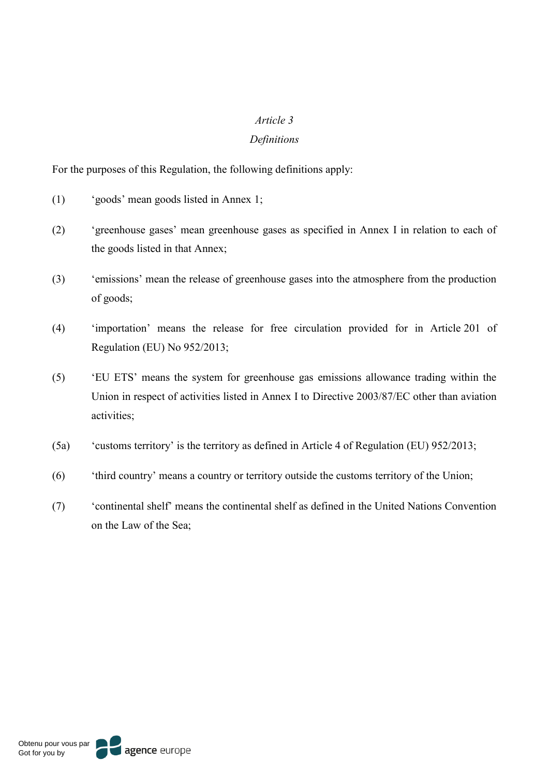#### *Article 3*

#### *Definitions*

For the purposes of this Regulation, the following definitions apply:

- (1) 'goods' mean goods listed in Annex 1;
- (2) 'greenhouse gases' mean greenhouse gases as specified in Annex I in relation to each of the goods listed in that Annex;
- (3) 'emissions' mean the release of greenhouse gases into the atmosphere from the production of goods;
- (4) 'importation' means the release for free circulation provided for in Article 201 of Regulation (EU) No 952/2013;
- (5) 'EU ETS' means the system for greenhouse gas emissions allowance trading within the Union in respect of activities listed in Annex I to Directive 2003/87/EC other than aviation activities;
- (5a) 'customs territory' is the territory as defined in Article 4 of Regulation (EU) 952/2013;
- (6) 'third country' means a country or territory outside the customs territory of the Union;
- (7) 'continental shelf' means the continental shelf as defined in the United Nations Convention on the Law of the Sea;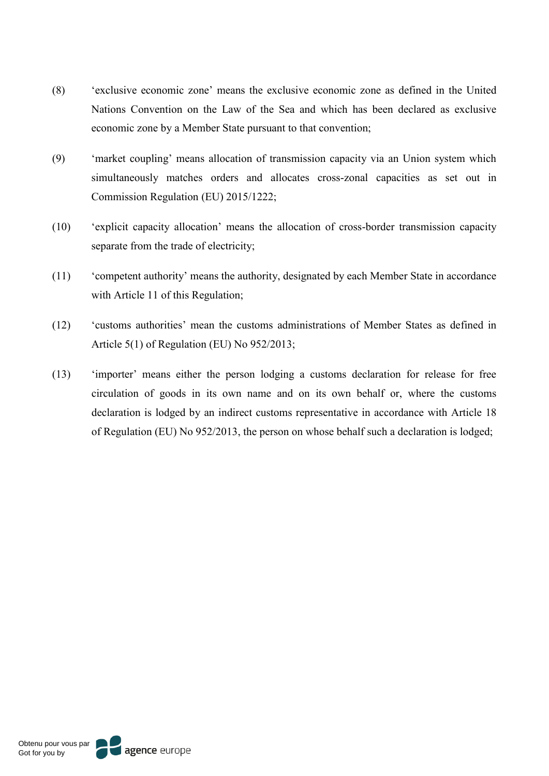- (8) 'exclusive economic zone' means the exclusive economic zone as defined in the United Nations Convention on the Law of the Sea and which has been declared as exclusive economic zone by a Member State pursuant to that convention;
- (9) 'market coupling' means allocation of transmission capacity via an Union system which simultaneously matches orders and allocates cross-zonal capacities as set out in Commission Regulation (EU) 2015/1222;
- (10) 'explicit capacity allocation' means the allocation of cross-border transmission capacity separate from the trade of electricity;
- (11) 'competent authority' means the authority, designated by each Member State in accordance with Article 11 of this Regulation;
- (12) 'customs authorities' mean the customs administrations of Member States as defined in Article 5(1) of Regulation (EU) No 952/2013;
- (13) 'importer' means either the person lodging a customs declaration for release for free circulation of goods in its own name and on its own behalf or, where the customs declaration is lodged by an indirect customs representative in accordance with Article 18 of Regulation (EU) No 952/2013, the person on whose behalf such a declaration is lodged;

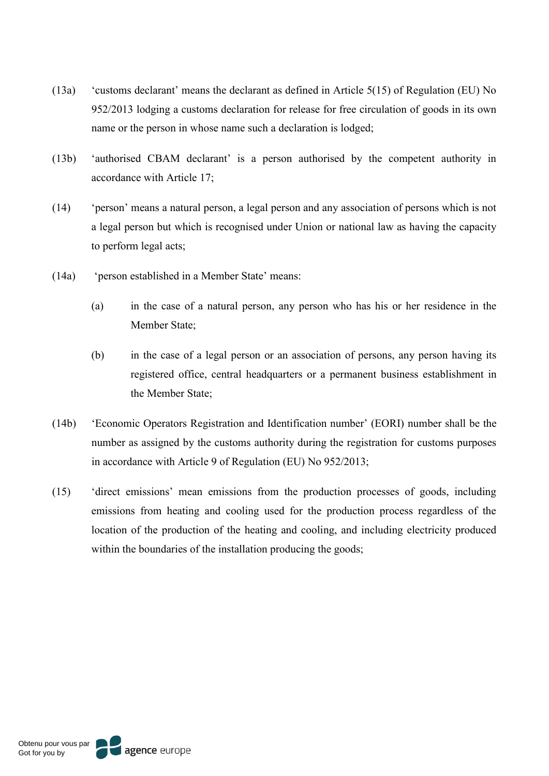- (13a) 'customs declarant' means the declarant as defined in Article 5(15) of Regulation (EU) No 952/2013 lodging a customs declaration for release for free circulation of goods in its own name or the person in whose name such a declaration is lodged;
- (13b) 'authorised CBAM declarant' is a person authorised by the competent authority in accordance with Article 17;
- (14) 'person' means a natural person, a legal person and any association of persons which is not a legal person but which is recognised under Union or national law as having the capacity to perform legal acts;
- (14a) 'person established in a Member State' means:
	- (a) in the case of a natural person, any person who has his or her residence in the Member State;
	- (b) in the case of a legal person or an association of persons, any person having its registered office, central headquarters or a permanent business establishment in the Member State;
- (14b) 'Economic Operators Registration and Identification number' (EORI) number shall be the number as assigned by the customs authority during the registration for customs purposes in accordance with Article 9 of Regulation (EU) No 952/2013;
- (15) 'direct emissions' mean emissions from the production processes of goods, including emissions from heating and cooling used for the production process regardless of the location of the production of the heating and cooling, and including electricity produced within the boundaries of the installation producing the goods;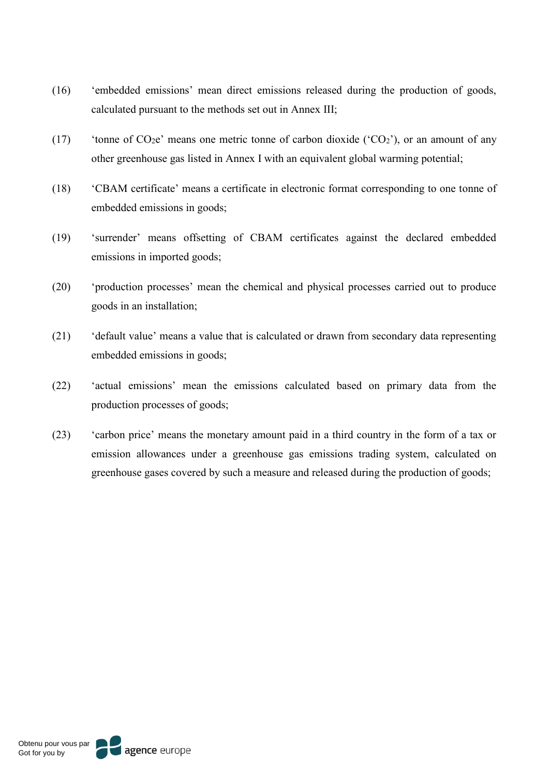- (16) 'embedded emissions' mean direct emissions released during the production of goods, calculated pursuant to the methods set out in Annex III;
- (17) 'tonne of  $CO<sub>2</sub>e$ ' means one metric tonne of carbon dioxide (' $CO<sub>2</sub>$ '), or an amount of any other greenhouse gas listed in Annex I with an equivalent global warming potential;
- (18) 'CBAM certificate' means a certificate in electronic format corresponding to one tonne of embedded emissions in goods;
- (19) 'surrender' means offsetting of CBAM certificates against the declared embedded emissions in imported goods;
- (20) 'production processes' mean the chemical and physical processes carried out to produce goods in an installation;
- (21) 'default value' means a value that is calculated or drawn from secondary data representing embedded emissions in goods;
- (22) 'actual emissions' mean the emissions calculated based on primary data from the production processes of goods;
- (23) 'carbon price' means the monetary amount paid in a third country in the form of a tax or emission allowances under a greenhouse gas emissions trading system, calculated on greenhouse gases covered by such a measure and released during the production of goods;

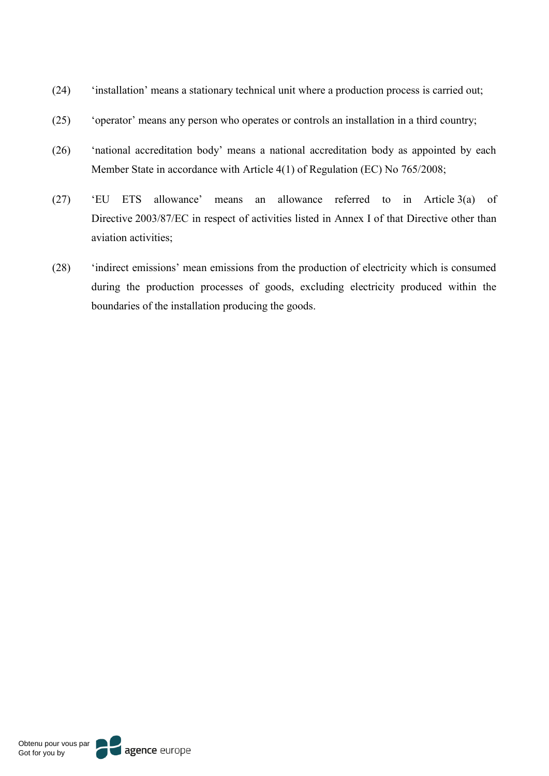- (24) 'installation' means a stationary technical unit where a production process is carried out;
- (25) 'operator' means any person who operates or controls an installation in a third country;
- (26) 'national accreditation body' means a national accreditation body as appointed by each Member State in accordance with Article 4(1) of Regulation (EC) No 765/2008;
- (27) 'EU ETS allowance' means an allowance referred to in Article 3(a) of Directive 2003/87/EC in respect of activities listed in Annex I of that Directive other than aviation activities;
- (28) 'indirect emissions' mean emissions from the production of electricity which is consumed during the production processes of goods, excluding electricity produced within the boundaries of the installation producing the goods.

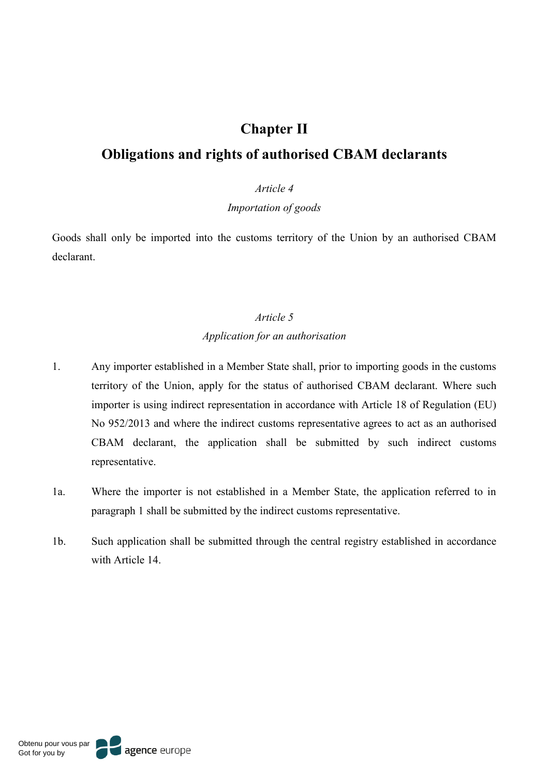# **Chapter II**

# **Obligations and rights of authorised CBAM declarants**

## *Article 4*

# *Importation of goods*

Goods shall only be imported into the customs territory of the Union by an authorised CBAM declarant.

#### *Article 5*

#### *Application for an authorisation*

- 1. Any importer established in a Member State shall, prior to importing goods in the customs territory of the Union, apply for the status of authorised CBAM declarant. Where such importer is using indirect representation in accordance with Article 18 of Regulation (EU) No 952/2013 and where the indirect customs representative agrees to act as an authorised CBAM declarant, the application shall be submitted by such indirect customs representative.
- 1a. Where the importer is not established in a Member State, the application referred to in paragraph 1 shall be submitted by the indirect customs representative.
- 1b. Such application shall be submitted through the central registry established in accordance with Article 14.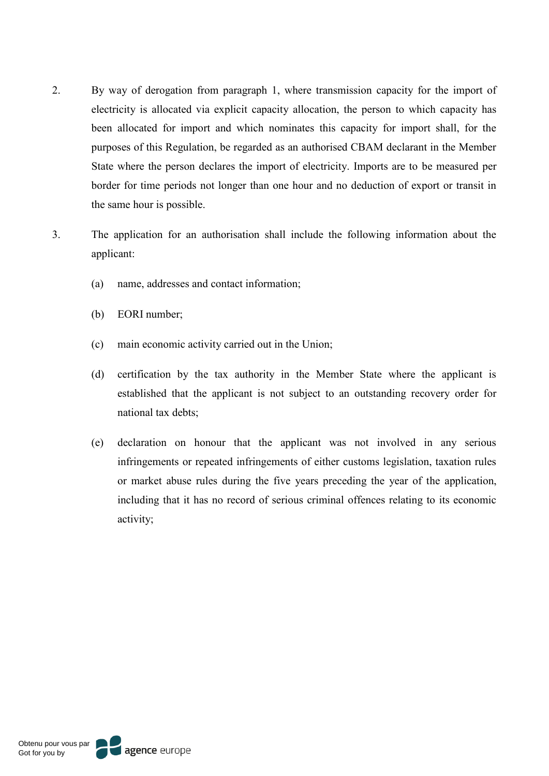- 2. By way of derogation from paragraph 1, where transmission capacity for the import of electricity is allocated via explicit capacity allocation, the person to which capacity has been allocated for import and which nominates this capacity for import shall, for the purposes of this Regulation, be regarded as an authorised CBAM declarant in the Member State where the person declares the import of electricity. Imports are to be measured per border for time periods not longer than one hour and no deduction of export or transit in the same hour is possible.
- 3. The application for an authorisation shall include the following information about the applicant:
	- (a) name, addresses and contact information;
	- (b) EORI number;
	- (c) main economic activity carried out in the Union;
	- (d) certification by the tax authority in the Member State where the applicant is established that the applicant is not subject to an outstanding recovery order for national tax debts;
	- (e) declaration on honour that the applicant was not involved in any serious infringements or repeated infringements of either customs legislation, taxation rules or market abuse rules during the five years preceding the year of the application, including that it has no record of serious criminal offences relating to its economic activity;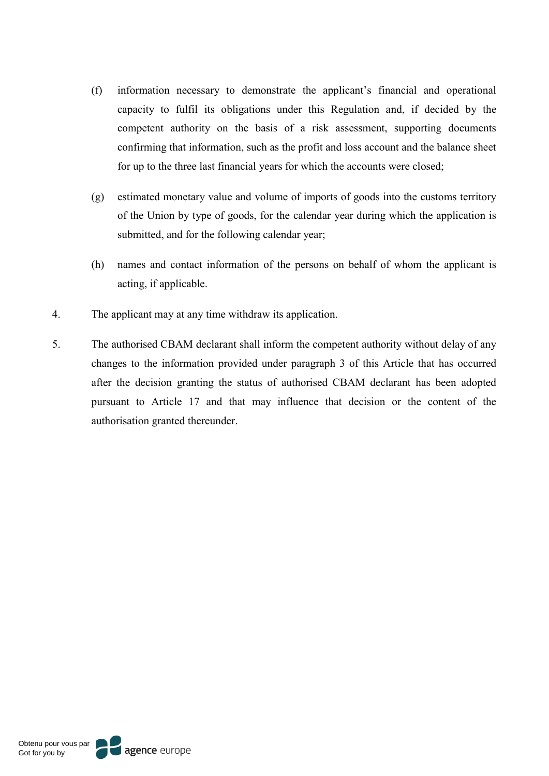- (f) information necessary to demonstrate the applicant's financial and operational capacity to fulfil its obligations under this Regulation and, if decided by the competent authority on the basis of a risk assessment, supporting documents confirming that information, such as the profit and loss account and the balance sheet for up to the three last financial years for which the accounts were closed;
- (g) estimated monetary value and volume of imports of goods into the customs territory of the Union by type of goods, for the calendar year during which the application is submitted, and for the following calendar year;
- (h) names and contact information of the persons on behalf of whom the applicant is acting, if applicable.
- 4. The applicant may at any time withdraw its application.
- 5. The authorised CBAM declarant shall inform the competent authority without delay of any changes to the information provided under paragraph 3 of this Article that has occurred after the decision granting the status of authorised CBAM declarant has been adopted pursuant to Article 17 and that may influence that decision or the content of the authorisation granted thereunder.

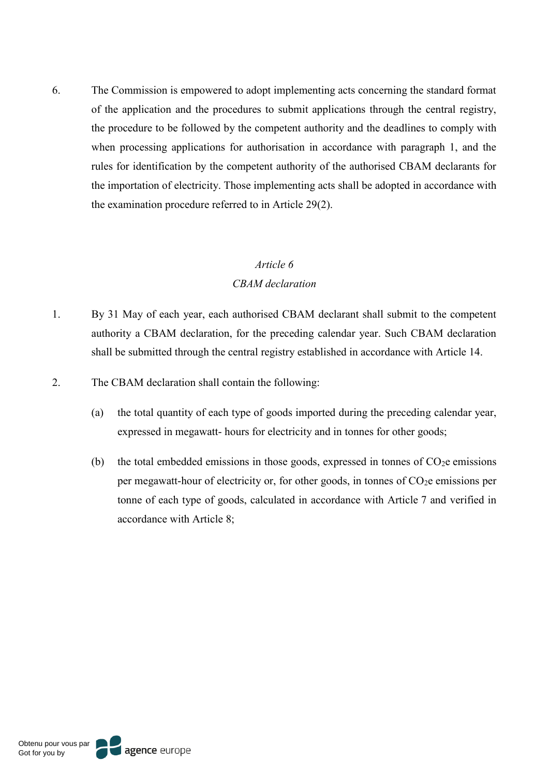6. The Commission is empowered to adopt implementing acts concerning the standard format of the application and the procedures to submit applications through the central registry, the procedure to be followed by the competent authority and the deadlines to comply with when processing applications for authorisation in accordance with paragraph 1, and the rules for identification by the competent authority of the authorised CBAM declarants for the importation of electricity. Those implementing acts shall be adopted in accordance with the examination procedure referred to in Article 29(2).

## *Article 6*

### *CBAM declaration*

- 1. By 31 May of each year, each authorised CBAM declarant shall submit to the competent authority a CBAM declaration, for the preceding calendar year. Such CBAM declaration shall be submitted through the central registry established in accordance with Article 14.
- 2. The CBAM declaration shall contain the following:
	- (a) the total quantity of each type of goods imported during the preceding calendar year, expressed in megawatt- hours for electricity and in tonnes for other goods;
	- (b) the total embedded emissions in those goods, expressed in tonnes of  $CO<sub>2</sub>e$  emissions per megawatt-hour of electricity or, for other goods, in tonnes of  $CO<sub>2</sub>e$  emissions per tonne of each type of goods, calculated in accordance with Article 7 and verified in accordance with Article 8;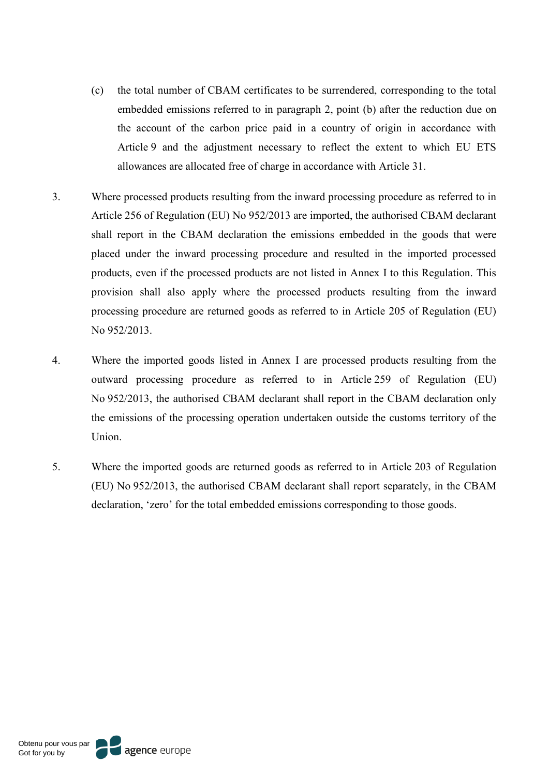- (c) the total number of CBAM certificates to be surrendered, corresponding to the total embedded emissions referred to in paragraph 2, point (b) after the reduction due on the account of the carbon price paid in a country of origin in accordance with Article 9 and the adjustment necessary to reflect the extent to which EU ETS allowances are allocated free of charge in accordance with Article 31.
- 3. Where processed products resulting from the inward processing procedure as referred to in Article 256 of Regulation (EU) No 952/2013 are imported, the authorised CBAM declarant shall report in the CBAM declaration the emissions embedded in the goods that were placed under the inward processing procedure and resulted in the imported processed products, even if the processed products are not listed in Annex I to this Regulation. This provision shall also apply where the processed products resulting from the inward processing procedure are returned goods as referred to in Article 205 of Regulation (EU) No 952/2013.
- 4. Where the imported goods listed in Annex I are processed products resulting from the outward processing procedure as referred to in Article 259 of Regulation (EU) No 952/2013, the authorised CBAM declarant shall report in the CBAM declaration only the emissions of the processing operation undertaken outside the customs territory of the Union.
- 5. Where the imported goods are returned goods as referred to in Article 203 of Regulation (EU) No 952/2013, the authorised CBAM declarant shall report separately, in the CBAM declaration, 'zero' for the total embedded emissions corresponding to those goods.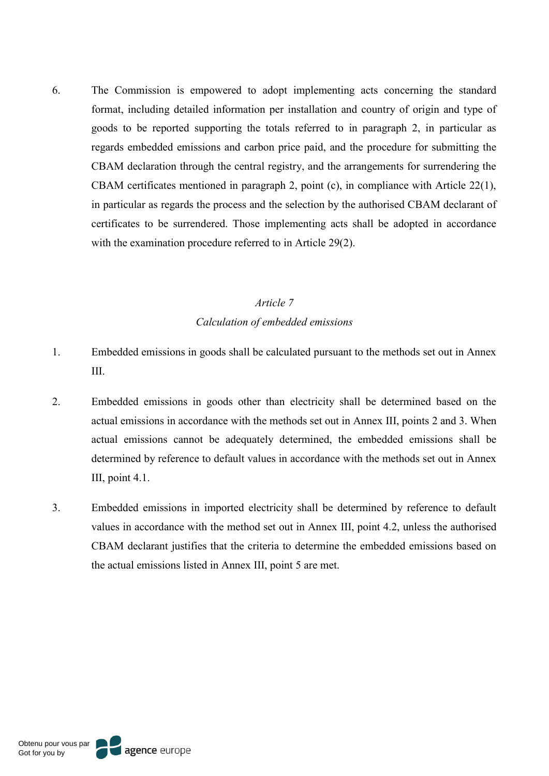6. The Commission is empowered to adopt implementing acts concerning the standard format, including detailed information per installation and country of origin and type of goods to be reported supporting the totals referred to in paragraph 2, in particular as regards embedded emissions and carbon price paid, and the procedure for submitting the CBAM declaration through the central registry, and the arrangements for surrendering the CBAM certificates mentioned in paragraph 2, point (c), in compliance with Article 22(1), in particular as regards the process and the selection by the authorised CBAM declarant of certificates to be surrendered. Those implementing acts shall be adopted in accordance with the examination procedure referred to in Article 29(2).

## *Article 7 Calculation of embedded emissions*

- 1. Embedded emissions in goods shall be calculated pursuant to the methods set out in Annex III.
- 2. Embedded emissions in goods other than electricity shall be determined based on the actual emissions in accordance with the methods set out in Annex III, points 2 and 3. When actual emissions cannot be adequately determined, the embedded emissions shall be determined by reference to default values in accordance with the methods set out in Annex III, point 4.1.
- 3. Embedded emissions in imported electricity shall be determined by reference to default values in accordance with the method set out in Annex III, point 4.2, unless the authorised CBAM declarant justifies that the criteria to determine the embedded emissions based on the actual emissions listed in Annex III, point 5 are met.

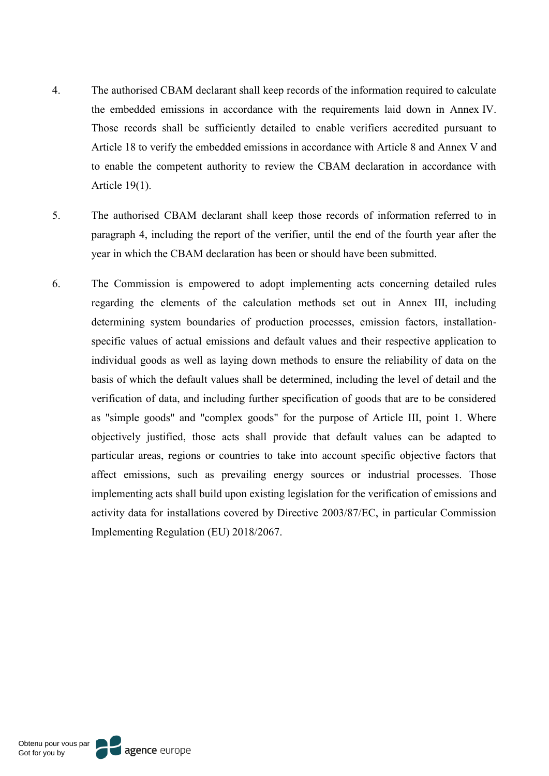- 4. The authorised CBAM declarant shall keep records of the information required to calculate the embedded emissions in accordance with the requirements laid down in Annex IV. Those records shall be sufficiently detailed to enable verifiers accredited pursuant to Article 18 to verify the embedded emissions in accordance with Article 8 and Annex V and to enable the competent authority to review the CBAM declaration in accordance with Article 19(1).
- 5. The authorised CBAM declarant shall keep those records of information referred to in paragraph 4, including the report of the verifier, until the end of the fourth year after the year in which the CBAM declaration has been or should have been submitted.
- 6. The Commission is empowered to adopt implementing acts concerning detailed rules regarding the elements of the calculation methods set out in Annex III, including determining system boundaries of production processes, emission factors, installationspecific values of actual emissions and default values and their respective application to individual goods as well as laying down methods to ensure the reliability of data on the basis of which the default values shall be determined, including the level of detail and the verification of data, and including further specification of goods that are to be considered as "simple goods" and "complex goods" for the purpose of Article III, point 1. Where objectively justified, those acts shall provide that default values can be adapted to particular areas, regions or countries to take into account specific objective factors that affect emissions, such as prevailing energy sources or industrial processes. Those implementing acts shall build upon existing legislation for the verification of emissions and activity data for installations covered by Directive 2003/87/EC, in particular Commission Implementing Regulation (EU) 2018/2067.

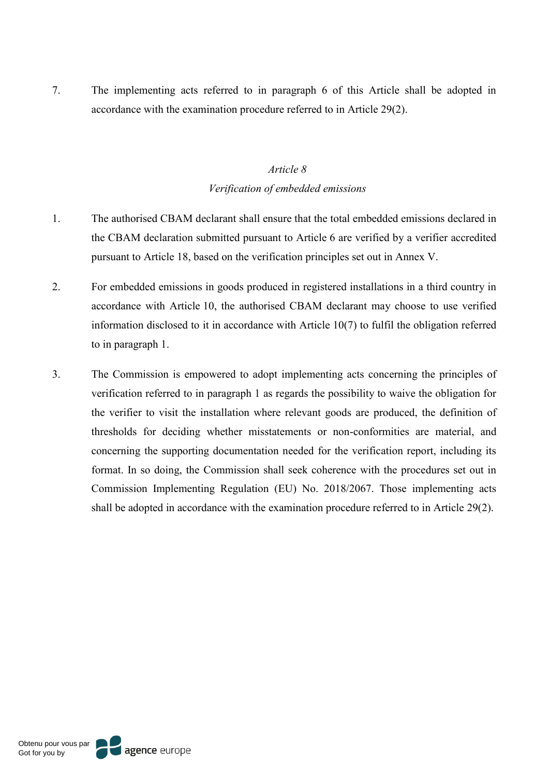7. The implementing acts referred to in paragraph 6 of this Article shall be adopted in accordance with the examination procedure referred to in Article 29(2).

## *Article 8 Verification of embedded emissions*

- 1. The authorised CBAM declarant shall ensure that the total embedded emissions declared in the CBAM declaration submitted pursuant to Article 6 are verified by a verifier accredited pursuant to Article 18, based on the verification principles set out in Annex V.
- 2. For embedded emissions in goods produced in registered installations in a third country in accordance with Article 10, the authorised CBAM declarant may choose to use verified information disclosed to it in accordance with Article 10(7) to fulfil the obligation referred to in paragraph 1.
- 3. The Commission is empowered to adopt implementing acts concerning the principles of verification referred to in paragraph 1 as regards the possibility to waive the obligation for the verifier to visit the installation where relevant goods are produced, the definition of thresholds for deciding whether misstatements or non-conformities are material, and concerning the supporting documentation needed for the verification report, including its format. In so doing, the Commission shall seek coherence with the procedures set out in Commission Implementing Regulation (EU) No. 2018/2067. Those implementing acts shall be adopted in accordance with the examination procedure referred to in Article 29(2).

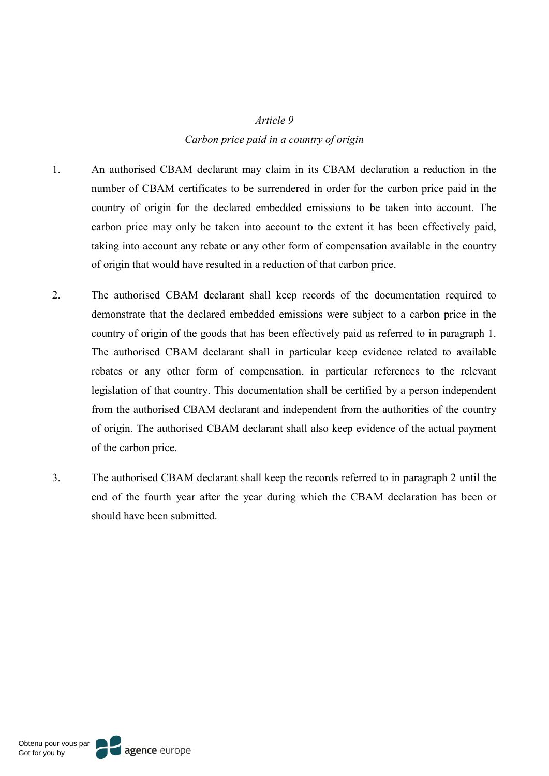#### *Article 9*

#### *Carbon price paid in a country of origin*

- 1. An authorised CBAM declarant may claim in its CBAM declaration a reduction in the number of CBAM certificates to be surrendered in order for the carbon price paid in the country of origin for the declared embedded emissions to be taken into account. The carbon price may only be taken into account to the extent it has been effectively paid, taking into account any rebate or any other form of compensation available in the country of origin that would have resulted in a reduction of that carbon price.
- 2. The authorised CBAM declarant shall keep records of the documentation required to demonstrate that the declared embedded emissions were subject to a carbon price in the country of origin of the goods that has been effectively paid as referred to in paragraph 1. The authorised CBAM declarant shall in particular keep evidence related to available rebates or any other form of compensation, in particular references to the relevant legislation of that country. This documentation shall be certified by a person independent from the authorised CBAM declarant and independent from the authorities of the country of origin. The authorised CBAM declarant shall also keep evidence of the actual payment of the carbon price.
- 3. The authorised CBAM declarant shall keep the records referred to in paragraph 2 until the end of the fourth year after the year during which the CBAM declaration has been or should have been submitted.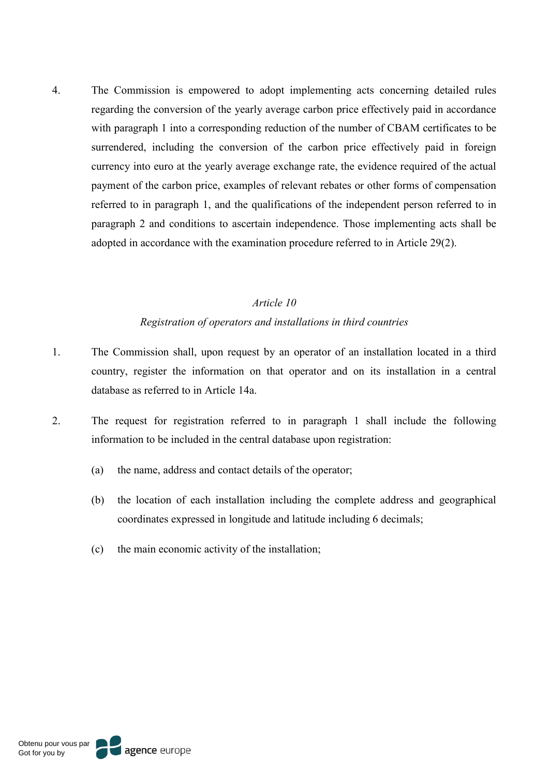4. The Commission is empowered to adopt implementing acts concerning detailed rules regarding the conversion of the yearly average carbon price effectively paid in accordance with paragraph 1 into a corresponding reduction of the number of CBAM certificates to be surrendered, including the conversion of the carbon price effectively paid in foreign currency into euro at the yearly average exchange rate, the evidence required of the actual payment of the carbon price, examples of relevant rebates or other forms of compensation referred to in paragraph 1, and the qualifications of the independent person referred to in paragraph 2 and conditions to ascertain independence. Those implementing acts shall be adopted in accordance with the examination procedure referred to in Article 29(2).

# *Article 10 Registration of operators and installations in third countries*

- 1. The Commission shall, upon request by an operator of an installation located in a third country, register the information on that operator and on its installation in a central database as referred to in Article 14a.
- 2. The request for registration referred to in paragraph 1 shall include the following information to be included in the central database upon registration:
	- (a) the name, address and contact details of the operator;
	- (b) the location of each installation including the complete address and geographical coordinates expressed in longitude and latitude including 6 decimals;
	- (c) the main economic activity of the installation;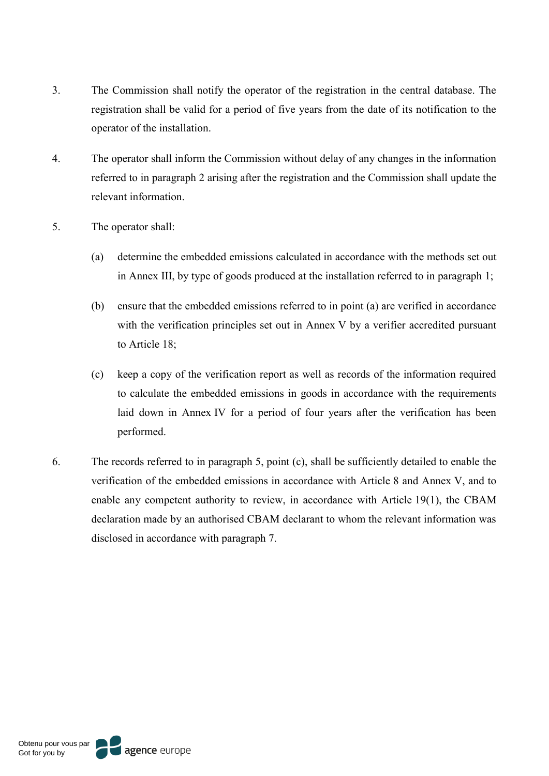- 3. The Commission shall notify the operator of the registration in the central database. The registration shall be valid for a period of five years from the date of its notification to the operator of the installation.
- 4. The operator shall inform the Commission without delay of any changes in the information referred to in paragraph 2 arising after the registration and the Commission shall update the relevant information.
- 5. The operator shall:
	- (a) determine the embedded emissions calculated in accordance with the methods set out in Annex III, by type of goods produced at the installation referred to in paragraph 1;
	- (b) ensure that the embedded emissions referred to in point (a) are verified in accordance with the verification principles set out in Annex V by a verifier accredited pursuant to Article 18;
	- (c) keep a copy of the verification report as well as records of the information required to calculate the embedded emissions in goods in accordance with the requirements laid down in Annex IV for a period of four years after the verification has been performed.
- 6. The records referred to in paragraph 5, point (c), shall be sufficiently detailed to enable the verification of the embedded emissions in accordance with Article 8 and Annex V, and to enable any competent authority to review, in accordance with Article 19(1), the CBAM declaration made by an authorised CBAM declarant to whom the relevant information was disclosed in accordance with paragraph 7.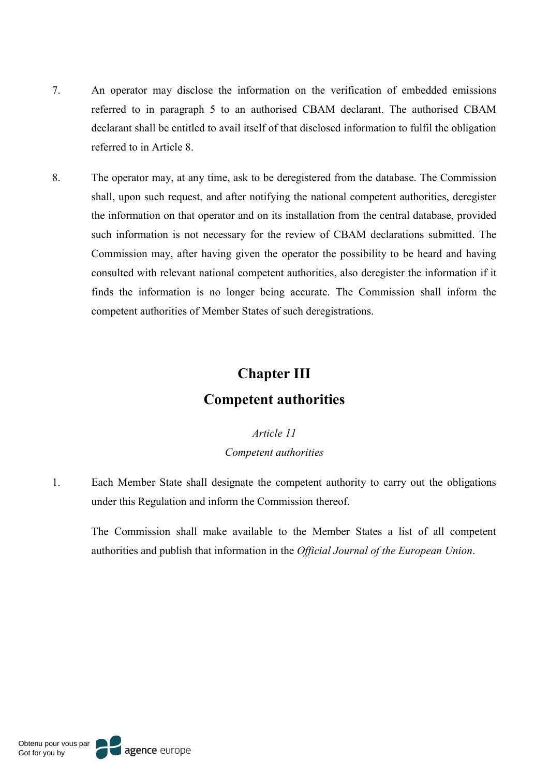- 7. An operator may disclose the information on the verification of embedded emissions referred to in paragraph 5 to an authorised CBAM declarant. The authorised CBAM declarant shall be entitled to avail itself of that disclosed information to fulfil the obligation referred to in Article 8.
- 8. The operator may, at any time, ask to be deregistered from the database. The Commission shall, upon such request, and after notifying the national competent authorities, deregister the information on that operator and on its installation from the central database, provided such information is not necessary for the review of CBAM declarations submitted. The Commission may, after having given the operator the possibility to be heard and having consulted with relevant national competent authorities, also deregister the information if it finds the information is no longer being accurate. The Commission shall inform the competent authorities of Member States of such deregistrations.

# **Chapter III Competent authorities**

### *Article 11 Competent authorities*

1. Each Member State shall designate the competent authority to carry out the obligations under this Regulation and inform the Commission thereof.

The Commission shall make available to the Member States a list of all competent authorities and publish that information in the *Official Journal of the European Union*.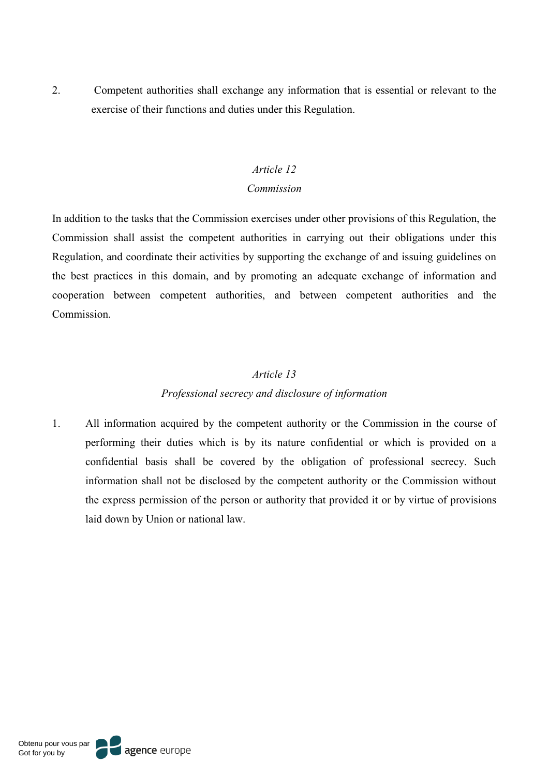2. Competent authorities shall exchange any information that is essential or relevant to the exercise of their functions and duties under this Regulation.

#### *Article 12*

#### *Commission*

In addition to the tasks that the Commission exercises under other provisions of this Regulation, the Commission shall assist the competent authorities in carrying out their obligations under this Regulation, and coordinate their activities by supporting the exchange of and issuing guidelines on the best practices in this domain, and by promoting an adequate exchange of information and cooperation between competent authorities, and between competent authorities and the Commission.

### *Article 13*

### *Professional secrecy and disclosure of information*

1. All information acquired by the competent authority or the Commission in the course of performing their duties which is by its nature confidential or which is provided on a confidential basis shall be covered by the obligation of professional secrecy. Such information shall not be disclosed by the competent authority or the Commission without the express permission of the person or authority that provided it or by virtue of provisions laid down by Union or national law.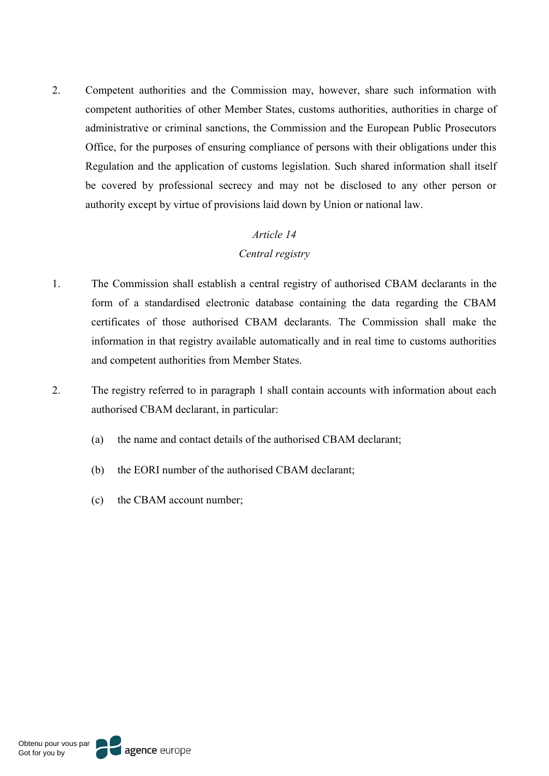2. Competent authorities and the Commission may, however, share such information with competent authorities of other Member States, customs authorities, authorities in charge of administrative or criminal sanctions, the Commission and the European Public Prosecutors Office, for the purposes of ensuring compliance of persons with their obligations under this Regulation and the application of customs legislation. Such shared information shall itself be covered by professional secrecy and may not be disclosed to any other person or authority except by virtue of provisions laid down by Union or national law.

## *Article 14 Central registry*

- 1. The Commission shall establish a central registry of authorised CBAM declarants in the form of a standardised electronic database containing the data regarding the CBAM certificates of those authorised CBAM declarants. The Commission shall make the information in that registry available automatically and in real time to customs authorities and competent authorities from Member States.
- 2. The registry referred to in paragraph 1 shall contain accounts with information about each authorised CBAM declarant, in particular:
	- (a) the name and contact details of the authorised CBAM declarant;
	- (b) the EORI number of the authorised CBAM declarant;
	- (c) the CBAM account number;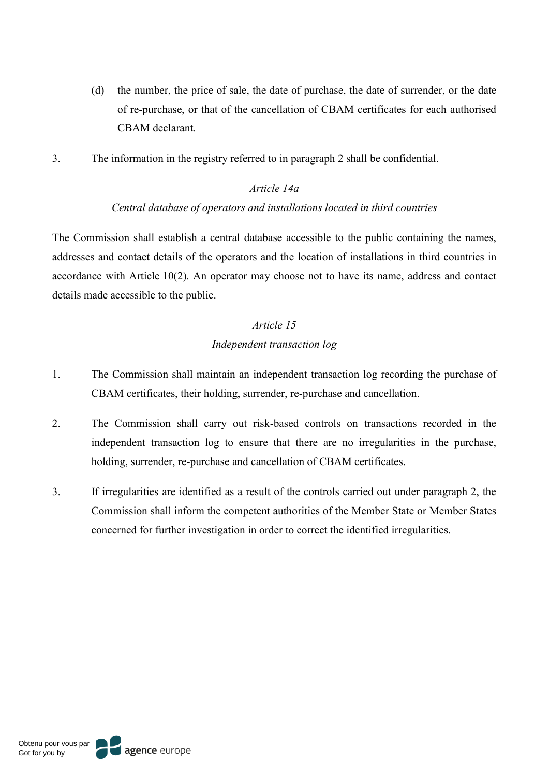- (d) the number, the price of sale, the date of purchase, the date of surrender, or the date of re-purchase, or that of the cancellation of CBAM certificates for each authorised CBAM declarant.
- 3. The information in the registry referred to in paragraph 2 shall be confidential.

### *Article 14a*

#### *Central database of operators and installations located in third countries*

The Commission shall establish a central database accessible to the public containing the names, addresses and contact details of the operators and the location of installations in third countries in accordance with Article 10(2). An operator may choose not to have its name, address and contact details made accessible to the public.

## *Article 15 Independent transaction log*

- 1. The Commission shall maintain an independent transaction log recording the purchase of CBAM certificates, their holding, surrender, re-purchase and cancellation.
- 2. The Commission shall carry out risk-based controls on transactions recorded in the independent transaction log to ensure that there are no irregularities in the purchase, holding, surrender, re-purchase and cancellation of CBAM certificates.
- 3. If irregularities are identified as a result of the controls carried out under paragraph 2, the Commission shall inform the competent authorities of the Member State or Member States concerned for further investigation in order to correct the identified irregularities.

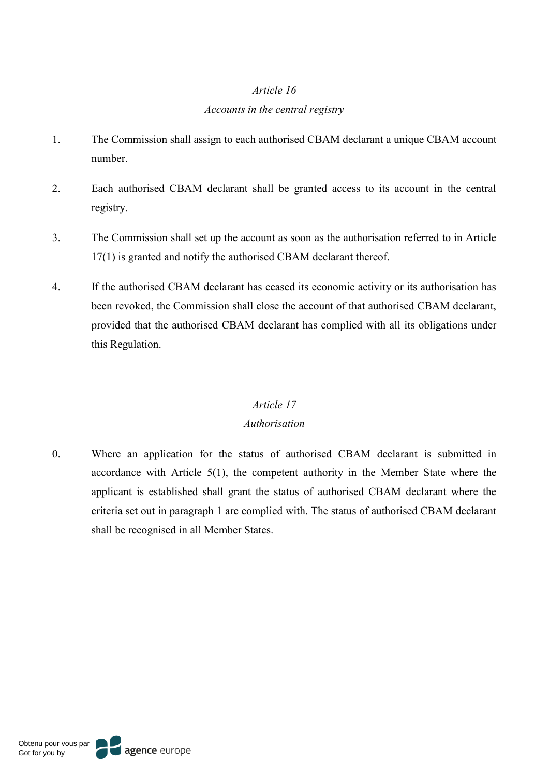### *Article 16*

#### *Accounts in the central registry*

- 1. The Commission shall assign to each authorised CBAM declarant a unique CBAM account number.
- 2. Each authorised CBAM declarant shall be granted access to its account in the central registry.
- 3. The Commission shall set up the account as soon as the authorisation referred to in Article 17(1) is granted and notify the authorised CBAM declarant thereof.
- 4. If the authorised CBAM declarant has ceased its economic activity or its authorisation has been revoked, the Commission shall close the account of that authorised CBAM declarant, provided that the authorised CBAM declarant has complied with all its obligations under this Regulation.

### *Article 17*

### *Authorisation*

0. Where an application for the status of authorised CBAM declarant is submitted in accordance with Article 5(1), the competent authority in the Member State where the applicant is established shall grant the status of authorised CBAM declarant where the criteria set out in paragraph 1 are complied with. The status of authorised CBAM declarant shall be recognised in all Member States.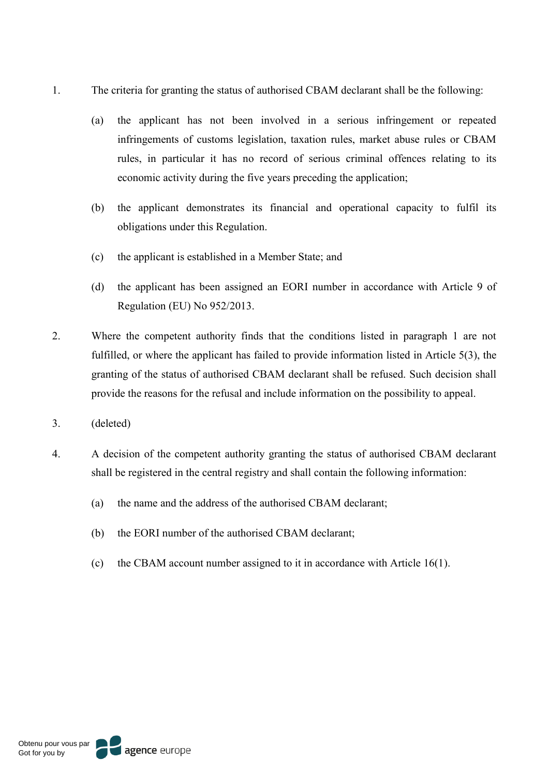- 1. The criteria for granting the status of authorised CBAM declarant shall be the following:
	- (a) the applicant has not been involved in a serious infringement or repeated infringements of customs legislation, taxation rules, market abuse rules or CBAM rules, in particular it has no record of serious criminal offences relating to its economic activity during the five years preceding the application;
	- (b) the applicant demonstrates its financial and operational capacity to fulfil its obligations under this Regulation.
	- (c) the applicant is established in a Member State; and
	- (d) the applicant has been assigned an EORI number in accordance with Article 9 of Regulation (EU) No 952/2013.
- 2. Where the competent authority finds that the conditions listed in paragraph 1 are not fulfilled, or where the applicant has failed to provide information listed in Article 5(3), the granting of the status of authorised CBAM declarant shall be refused. Such decision shall provide the reasons for the refusal and include information on the possibility to appeal.
- 3. (deleted)
- 4. A decision of the competent authority granting the status of authorised CBAM declarant shall be registered in the central registry and shall contain the following information:
	- (a) the name and the address of the authorised CBAM declarant;
	- (b) the EORI number of the authorised CBAM declarant;
	- (c) the CBAM account number assigned to it in accordance with Article 16(1).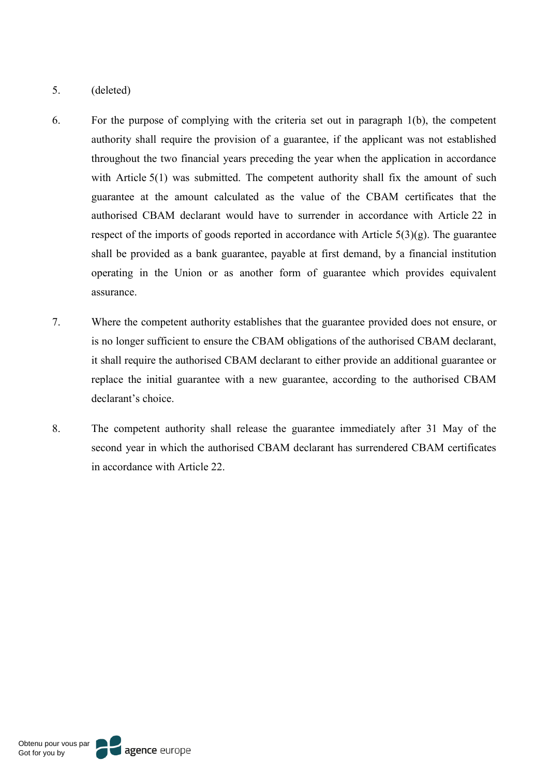- 5. (deleted)
- 6. For the purpose of complying with the criteria set out in paragraph 1(b), the competent authority shall require the provision of a guarantee, if the applicant was not established throughout the two financial years preceding the year when the application in accordance with Article 5(1) was submitted. The competent authority shall fix the amount of such guarantee at the amount calculated as the value of the CBAM certificates that the authorised CBAM declarant would have to surrender in accordance with Article 22 in respect of the imports of goods reported in accordance with Article  $5(3)(g)$ . The guarantee shall be provided as a bank guarantee, payable at first demand, by a financial institution operating in the Union or as another form of guarantee which provides equivalent assurance.
- 7. Where the competent authority establishes that the guarantee provided does not ensure, or is no longer sufficient to ensure the CBAM obligations of the authorised CBAM declarant, it shall require the authorised CBAM declarant to either provide an additional guarantee or replace the initial guarantee with a new guarantee, according to the authorised CBAM declarant's choice.
- 8. The competent authority shall release the guarantee immediately after 31 May of the second year in which the authorised CBAM declarant has surrendered CBAM certificates in accordance with Article 22.

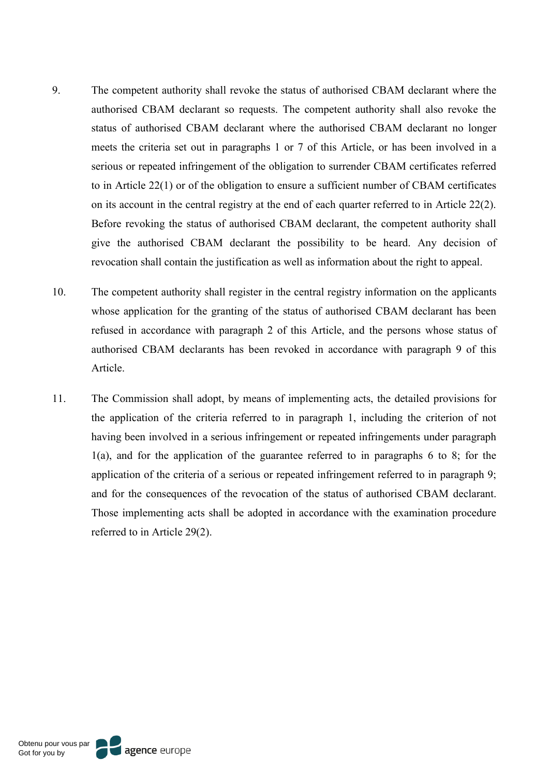- 9. The competent authority shall revoke the status of authorised CBAM declarant where the authorised CBAM declarant so requests. The competent authority shall also revoke the status of authorised CBAM declarant where the authorised CBAM declarant no longer meets the criteria set out in paragraphs 1 or 7 of this Article, or has been involved in a serious or repeated infringement of the obligation to surrender CBAM certificates referred to in Article 22(1) or of the obligation to ensure a sufficient number of CBAM certificates on its account in the central registry at the end of each quarter referred to in Article 22(2). Before revoking the status of authorised CBAM declarant, the competent authority shall give the authorised CBAM declarant the possibility to be heard. Any decision of revocation shall contain the justification as well as information about the right to appeal.
- 10. The competent authority shall register in the central registry information on the applicants whose application for the granting of the status of authorised CBAM declarant has been refused in accordance with paragraph 2 of this Article, and the persons whose status of authorised CBAM declarants has been revoked in accordance with paragraph 9 of this Article.
- 11. The Commission shall adopt, by means of implementing acts, the detailed provisions for the application of the criteria referred to in paragraph 1, including the criterion of not having been involved in a serious infringement or repeated infringements under paragraph 1(a), and for the application of the guarantee referred to in paragraphs 6 to 8; for the application of the criteria of a serious or repeated infringement referred to in paragraph 9; and for the consequences of the revocation of the status of authorised CBAM declarant. Those implementing acts shall be adopted in accordance with the examination procedure referred to in Article 29(2).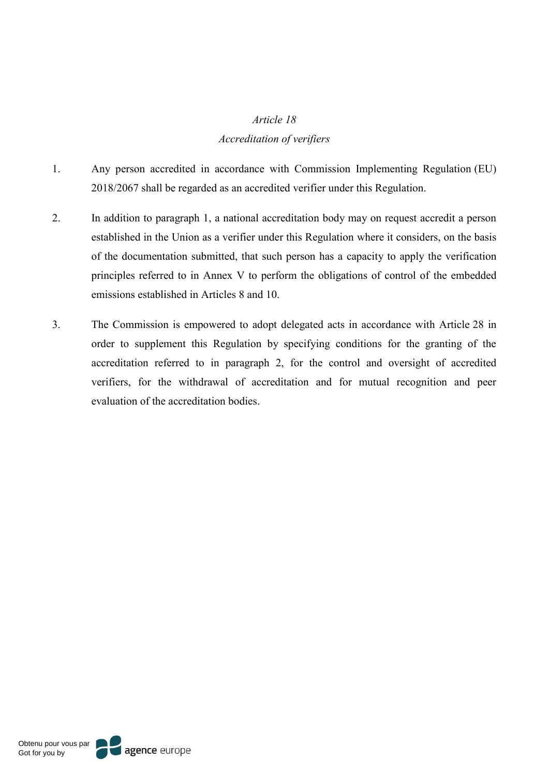#### *Article 18*

#### *Accreditation of verifiers*

- 1. Any person accredited in accordance with Commission Implementing Regulation (EU) 2018/2067 shall be regarded as an accredited verifier under this Regulation.
- 2. In addition to paragraph 1, a national accreditation body may on request accredit a person established in the Union as a verifier under this Regulation where it considers, on the basis of the documentation submitted, that such person has a capacity to apply the verification principles referred to in Annex V to perform the obligations of control of the embedded emissions established in Articles 8 and 10.
- 3. The Commission is empowered to adopt delegated acts in accordance with Article 28 in order to supplement this Regulation by specifying conditions for the granting of the accreditation referred to in paragraph 2, for the control and oversight of accredited verifiers, for the withdrawal of accreditation and for mutual recognition and peer evaluation of the accreditation bodies.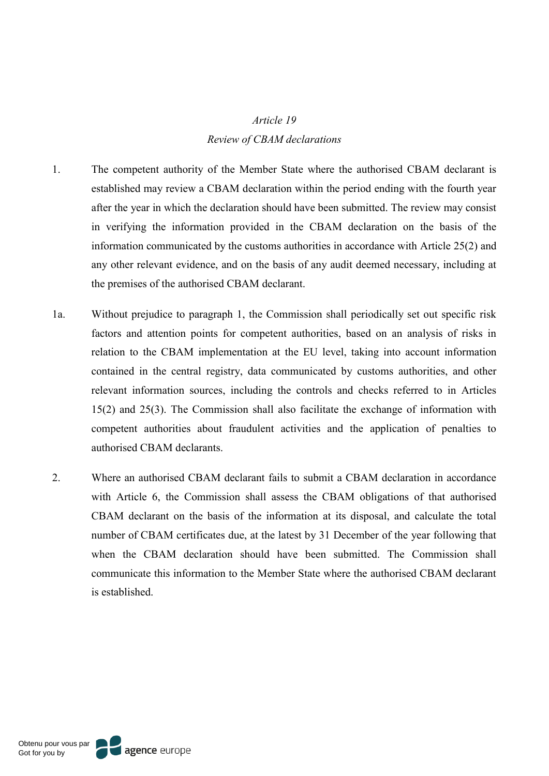# *Article 19 Review of CBAM declarations*

- 1. The competent authority of the Member State where the authorised CBAM declarant is established may review a CBAM declaration within the period ending with the fourth year after the year in which the declaration should have been submitted. The review may consist in verifying the information provided in the CBAM declaration on the basis of the information communicated by the customs authorities in accordance with Article 25(2) and any other relevant evidence, and on the basis of any audit deemed necessary, including at the premises of the authorised CBAM declarant.
- 1a. Without prejudice to paragraph 1, the Commission shall periodically set out specific risk factors and attention points for competent authorities, based on an analysis of risks in relation to the CBAM implementation at the EU level, taking into account information contained in the central registry, data communicated by customs authorities, and other relevant information sources, including the controls and checks referred to in Articles 15(2) and 25(3). The Commission shall also facilitate the exchange of information with competent authorities about fraudulent activities and the application of penalties to authorised CBAM declarants.
- 2. Where an authorised CBAM declarant fails to submit a CBAM declaration in accordance with Article 6, the Commission shall assess the CBAM obligations of that authorised CBAM declarant on the basis of the information at its disposal, and calculate the total number of CBAM certificates due, at the latest by 31 December of the year following that when the CBAM declaration should have been submitted. The Commission shall communicate this information to the Member State where the authorised CBAM declarant is established.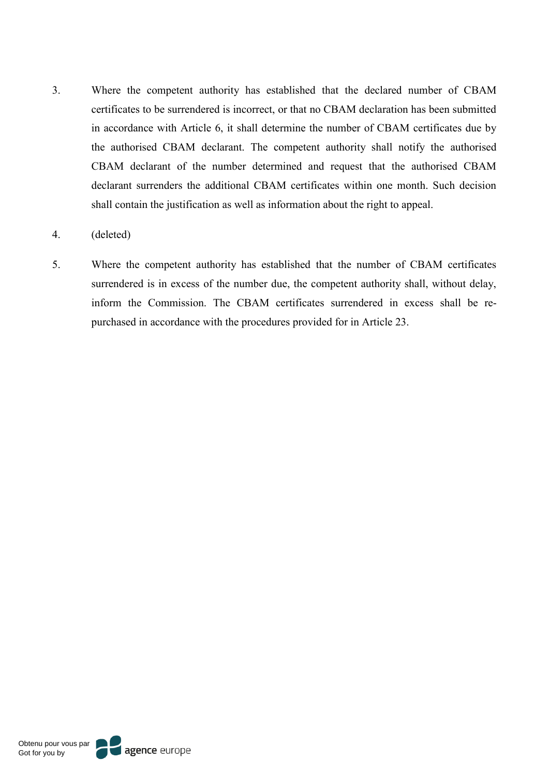3. Where the competent authority has established that the declared number of CBAM certificates to be surrendered is incorrect, or that no CBAM declaration has been submitted in accordance with Article 6, it shall determine the number of CBAM certificates due by the authorised CBAM declarant. The competent authority shall notify the authorised CBAM declarant of the number determined and request that the authorised CBAM declarant surrenders the additional CBAM certificates within one month. Such decision shall contain the justification as well as information about the right to appeal.

#### 4. (deleted)

5. Where the competent authority has established that the number of CBAM certificates surrendered is in excess of the number due, the competent authority shall, without delay, inform the Commission. The CBAM certificates surrendered in excess shall be repurchased in accordance with the procedures provided for in Article 23.

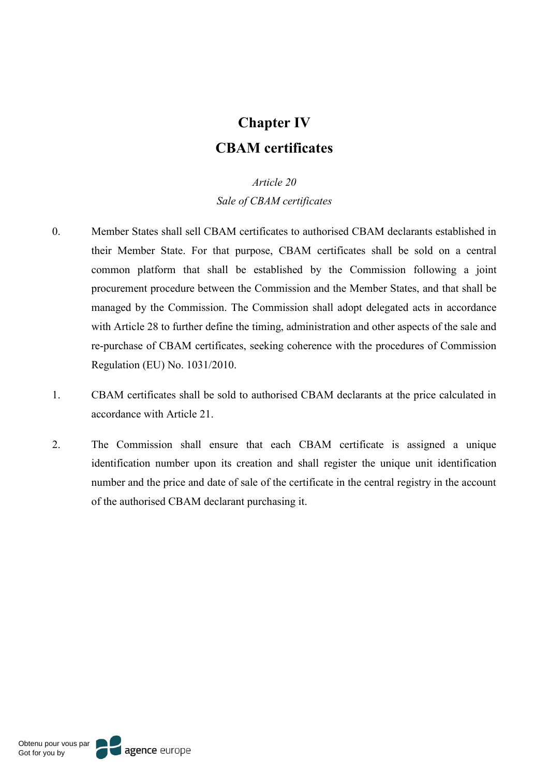# **Chapter IV CBAM certificates**

#### *Article 20*

*Sale of CBAM certificates*

- 0. Member States shall sell CBAM certificates to authorised CBAM declarants established in their Member State. For that purpose, CBAM certificates shall be sold on a central common platform that shall be established by the Commission following a joint procurement procedure between the Commission and the Member States, and that shall be managed by the Commission. The Commission shall adopt delegated acts in accordance with Article 28 to further define the timing, administration and other aspects of the sale and re-purchase of CBAM certificates, seeking coherence with the procedures of Commission Regulation (EU) No. 1031/2010.
- 1. CBAM certificates shall be sold to authorised CBAM declarants at the price calculated in accordance with Article 21.
- 2. The Commission shall ensure that each CBAM certificate is assigned a unique identification number upon its creation and shall register the unique unit identification number and the price and date of sale of the certificate in the central registry in the account of the authorised CBAM declarant purchasing it.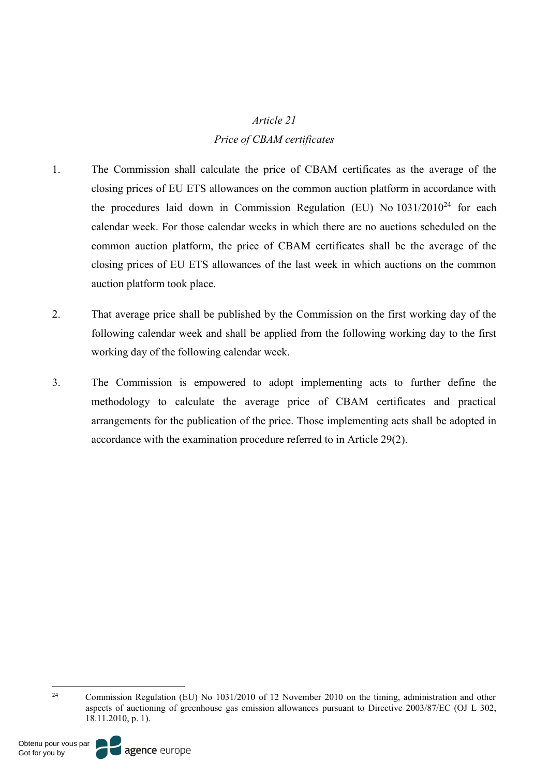# *Article 21 Price of CBAM certificates*

- 1. The Commission shall calculate the price of CBAM certificates as the average of the closing prices of EU ETS allowances on the common auction platform in accordance with the procedures laid down in Commission Regulation (EU) No  $1031/2010^{24}$  for each calendar week. For those calendar weeks in which there are no auctions scheduled on the common auction platform, the price of CBAM certificates shall be the average of the closing prices of EU ETS allowances of the last week in which auctions on the common auction platform took place.
- 2. That average price shall be published by the Commission on the first working day of the following calendar week and shall be applied from the following working day to the first working day of the following calendar week.
- 3. The Commission is empowered to adopt implementing acts to further define the methodology to calculate the average price of CBAM certificates and practical arrangements for the publication of the price. Those implementing acts shall be adopted in accordance with the examination procedure referred to in Article 29(2).

Obtenu pour vous par Got for you by



<sup>&</sup>lt;sup>24</sup> Commission Regulation (EU) No 1031/2010 of 12 November 2010 on the timing, administration and other aspects of auctioning of greenhouse gas emission allowances pursuant to Directive 2003/87/EC (OJ L 302, 18.11.2010, p. 1).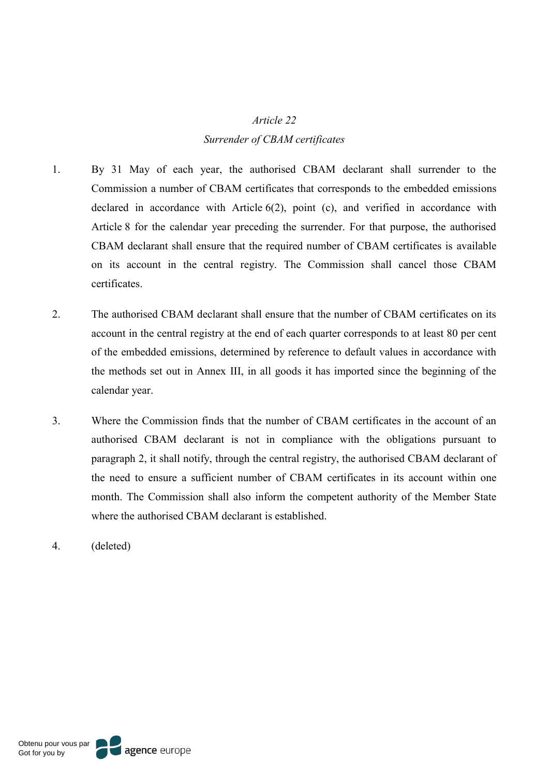#### *Article 22*

#### *Surrender of CBAM certificates*

- 1. By 31 May of each year, the authorised CBAM declarant shall surrender to the Commission a number of CBAM certificates that corresponds to the embedded emissions declared in accordance with Article 6(2), point (c), and verified in accordance with Article 8 for the calendar year preceding the surrender. For that purpose, the authorised CBAM declarant shall ensure that the required number of CBAM certificates is available on its account in the central registry. The Commission shall cancel those CBAM certificates.
- 2. The authorised CBAM declarant shall ensure that the number of CBAM certificates on its account in the central registry at the end of each quarter corresponds to at least 80 per cent of the embedded emissions, determined by reference to default values in accordance with the methods set out in Annex III, in all goods it has imported since the beginning of the calendar year.
- 3. Where the Commission finds that the number of CBAM certificates in the account of an authorised CBAM declarant is not in compliance with the obligations pursuant to paragraph 2, it shall notify, through the central registry, the authorised CBAM declarant of the need to ensure a sufficient number of CBAM certificates in its account within one month. The Commission shall also inform the competent authority of the Member State where the authorised CBAM declarant is established.
- 4. (deleted)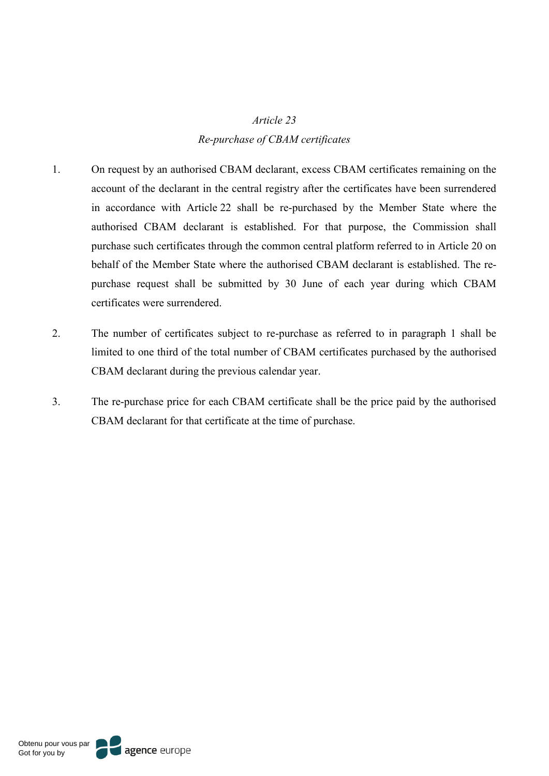#### *Article 23*

#### *Re-purchase of CBAM certificates*

- 1. On request by an authorised CBAM declarant, excess CBAM certificates remaining on the account of the declarant in the central registry after the certificates have been surrendered in accordance with Article 22 shall be re-purchased by the Member State where the authorised CBAM declarant is established. For that purpose, the Commission shall purchase such certificates through the common central platform referred to in Article 20 on behalf of the Member State where the authorised CBAM declarant is established. The repurchase request shall be submitted by 30 June of each year during which CBAM certificates were surrendered.
- 2. The number of certificates subject to re-purchase as referred to in paragraph 1 shall be limited to one third of the total number of CBAM certificates purchased by the authorised CBAM declarant during the previous calendar year.
- 3. The re-purchase price for each CBAM certificate shall be the price paid by the authorised CBAM declarant for that certificate at the time of purchase.

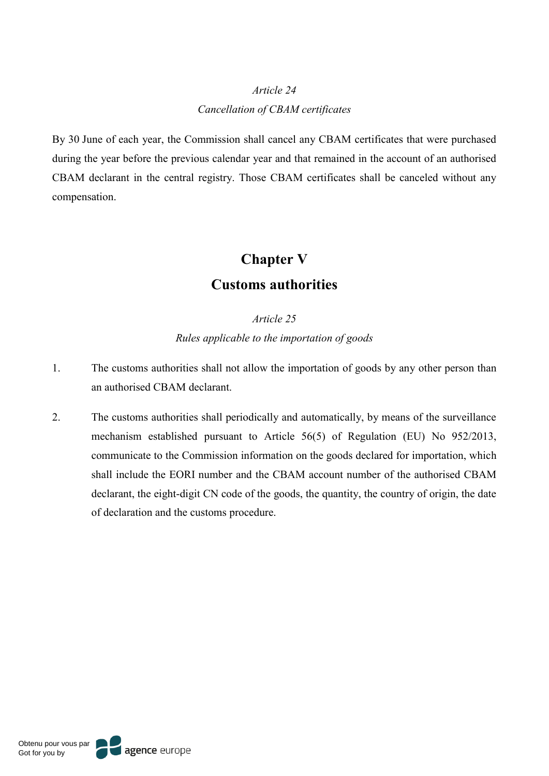# *Article 24 Cancellation of CBAM certificates*

By 30 June of each year, the Commission shall cancel any CBAM certificates that were purchased during the year before the previous calendar year and that remained in the account of an authorised CBAM declarant in the central registry. Those CBAM certificates shall be canceled without any compensation.

# **Chapter V**

# **Customs authorities**

*Article 25 Rules applicable to the importation of goods*

- 1. The customs authorities shall not allow the importation of goods by any other person than an authorised CBAM declarant.
- 2. The customs authorities shall periodically and automatically, by means of the surveillance mechanism established pursuant to Article 56(5) of Regulation (EU) No 952/2013, communicate to the Commission information on the goods declared for importation, which shall include the EORI number and the CBAM account number of the authorised CBAM declarant, the eight-digit CN code of the goods, the quantity, the country of origin, the date of declaration and the customs procedure.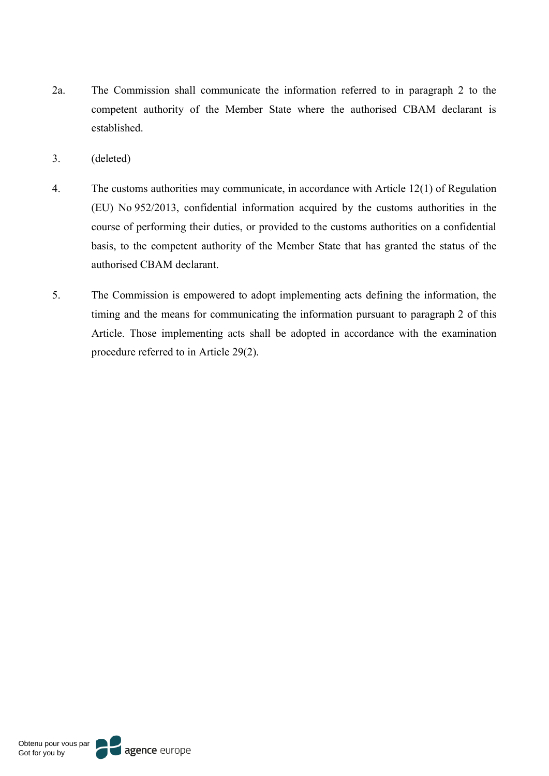- 2a. The Commission shall communicate the information referred to in paragraph 2 to the competent authority of the Member State where the authorised CBAM declarant is established.
- 3. (deleted)
- 4. The customs authorities may communicate, in accordance with Article 12(1) of Regulation (EU) No 952/2013, confidential information acquired by the customs authorities in the course of performing their duties, or provided to the customs authorities on a confidential basis, to the competent authority of the Member State that has granted the status of the authorised CBAM declarant.
- 5. The Commission is empowered to adopt implementing acts defining the information, the timing and the means for communicating the information pursuant to paragraph 2 of this Article. Those implementing acts shall be adopted in accordance with the examination procedure referred to in Article 29(2).

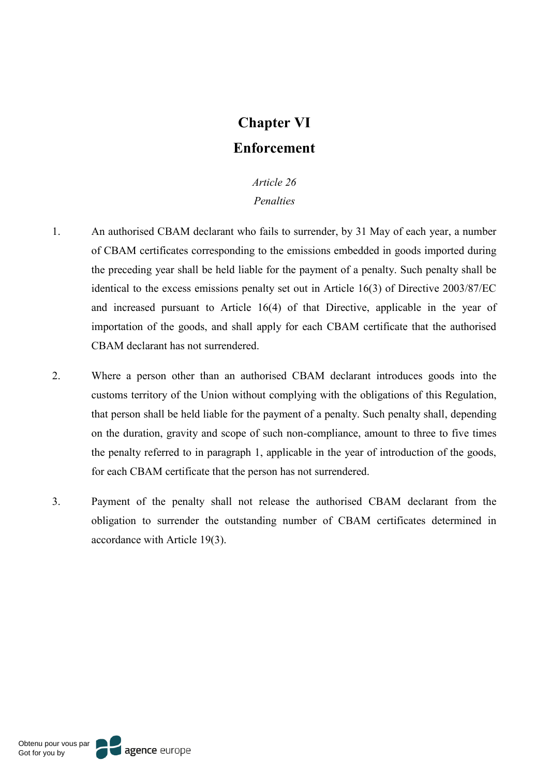# **Chapter VI Enforcement**

### *Article 26 Penalties*

- 1. An authorised CBAM declarant who fails to surrender, by 31 May of each year, a number of CBAM certificates corresponding to the emissions embedded in goods imported during the preceding year shall be held liable for the payment of a penalty. Such penalty shall be identical to the excess emissions penalty set out in Article 16(3) of Directive 2003/87/EC and increased pursuant to Article 16(4) of that Directive, applicable in the year of importation of the goods, and shall apply for each CBAM certificate that the authorised CBAM declarant has not surrendered.
- 2. Where a person other than an authorised CBAM declarant introduces goods into the customs territory of the Union without complying with the obligations of this Regulation, that person shall be held liable for the payment of a penalty. Such penalty shall, depending on the duration, gravity and scope of such non-compliance, amount to three to five times the penalty referred to in paragraph 1, applicable in the year of introduction of the goods, for each CBAM certificate that the person has not surrendered.
- 3. Payment of the penalty shall not release the authorised CBAM declarant from the obligation to surrender the outstanding number of CBAM certificates determined in accordance with Article 19(3).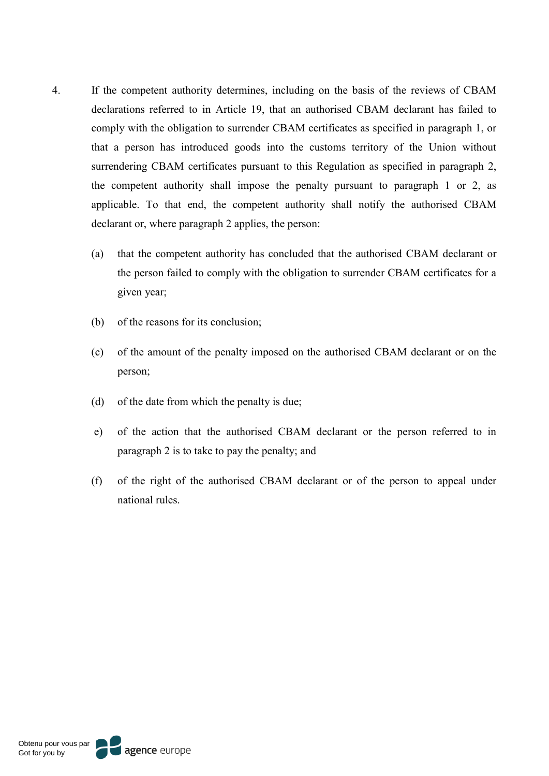- 4. If the competent authority determines, including on the basis of the reviews of CBAM declarations referred to in Article 19, that an authorised CBAM declarant has failed to comply with the obligation to surrender CBAM certificates as specified in paragraph 1, or that a person has introduced goods into the customs territory of the Union without surrendering CBAM certificates pursuant to this Regulation as specified in paragraph 2, the competent authority shall impose the penalty pursuant to paragraph 1 or 2, as applicable. To that end, the competent authority shall notify the authorised CBAM declarant or, where paragraph 2 applies, the person:
	- (a) that the competent authority has concluded that the authorised CBAM declarant or the person failed to comply with the obligation to surrender CBAM certificates for a given year;
	- (b) of the reasons for its conclusion;
	- (c) of the amount of the penalty imposed on the authorised CBAM declarant or on the person;
	- (d) of the date from which the penalty is due;
	- e) of the action that the authorised CBAM declarant or the person referred to in paragraph 2 is to take to pay the penalty; and
	- (f) of the right of the authorised CBAM declarant or of the person to appeal under national rules.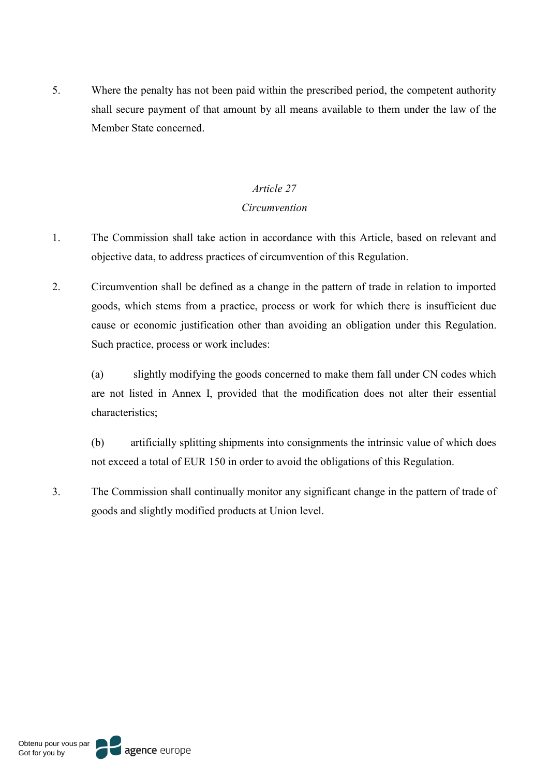5. Where the penalty has not been paid within the prescribed period, the competent authority shall secure payment of that amount by all means available to them under the law of the Member State concerned.

### *Article 27*

### *Circumvention*

- 1. The Commission shall take action in accordance with this Article, based on relevant and objective data, to address practices of circumvention of this Regulation.
- 2. Circumvention shall be defined as a change in the pattern of trade in relation to imported goods, which stems from a practice, process or work for which there is insufficient due cause or economic justification other than avoiding an obligation under this Regulation. Such practice, process or work includes:

(a) slightly modifying the goods concerned to make them fall under CN codes which are not listed in Annex I, provided that the modification does not alter their essential characteristics;

(b) artificially splitting shipments into consignments the intrinsic value of which does not exceed a total of EUR 150 in order to avoid the obligations of this Regulation.

3. The Commission shall continually monitor any significant change in the pattern of trade of goods and slightly modified products at Union level.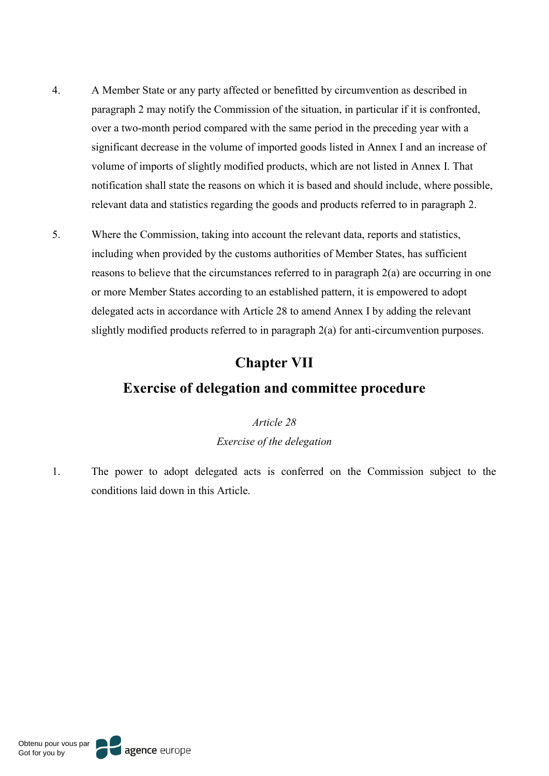- 4. A Member State or any party affected or benefitted by circumvention as described in paragraph 2 may notify the Commission of the situation, in particular if it is confronted, over a two-month period compared with the same period in the preceding year with a significant decrease in the volume of imported goods listed in Annex I and an increase of volume of imports of slightly modified products, which are not listed in Annex I. That notification shall state the reasons on which it is based and should include, where possible, relevant data and statistics regarding the goods and products referred to in paragraph 2.
- 5. Where the Commission, taking into account the relevant data, reports and statistics, including when provided by the customs authorities of Member States, has sufficient reasons to believe that the circumstances referred to in paragraph 2(a) are occurring in one or more Member States according to an established pattern, it is empowered to adopt delegated acts in accordance with Article 28 to amend Annex I by adding the relevant slightly modified products referred to in paragraph 2(a) for anti-circumvention purposes.

# **Chapter VII**

# **Exercise of delegation and committee procedure**

*Article 28 Exercise of the delegation*

1. The power to adopt delegated acts is conferred on the Commission subject to the conditions laid down in this Article.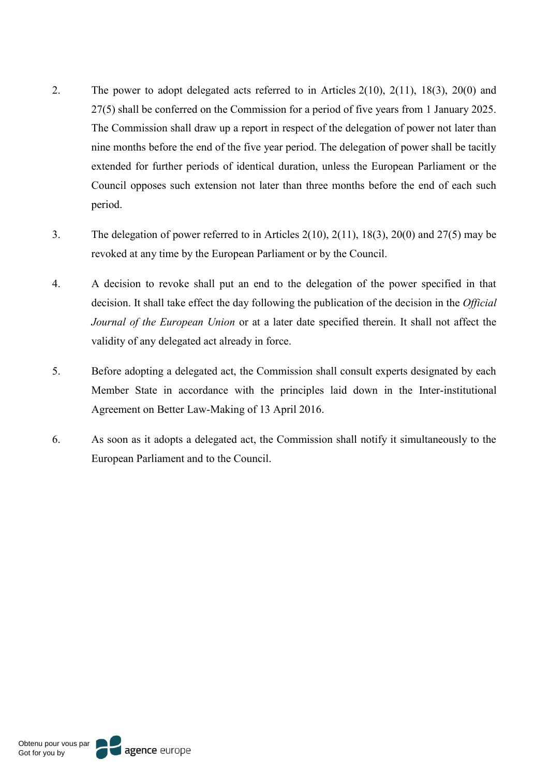- 2. The power to adopt delegated acts referred to in Articles 2(10), 2(11), 18(3), 20(0) and 27(5) shall be conferred on the Commission for a period of five years from 1 January 2025. The Commission shall draw up a report in respect of the delegation of power not later than nine months before the end of the five year period. The delegation of power shall be tacitly extended for further periods of identical duration, unless the European Parliament or the Council opposes such extension not later than three months before the end of each such period.
- 3. The delegation of power referred to in Articles 2(10), 2(11), 18(3), 20(0) and 27(5) may be revoked at any time by the European Parliament or by the Council.
- 4. A decision to revoke shall put an end to the delegation of the power specified in that decision. It shall take effect the day following the publication of the decision in the *Official Journal of the European Union* or at a later date specified therein. It shall not affect the validity of any delegated act already in force.
- 5. Before adopting a delegated act, the Commission shall consult experts designated by each Member State in accordance with the principles laid down in the Inter-institutional Agreement on Better Law-Making of 13 April 2016.
- 6. As soon as it adopts a delegated act, the Commission shall notify it simultaneously to the European Parliament and to the Council.

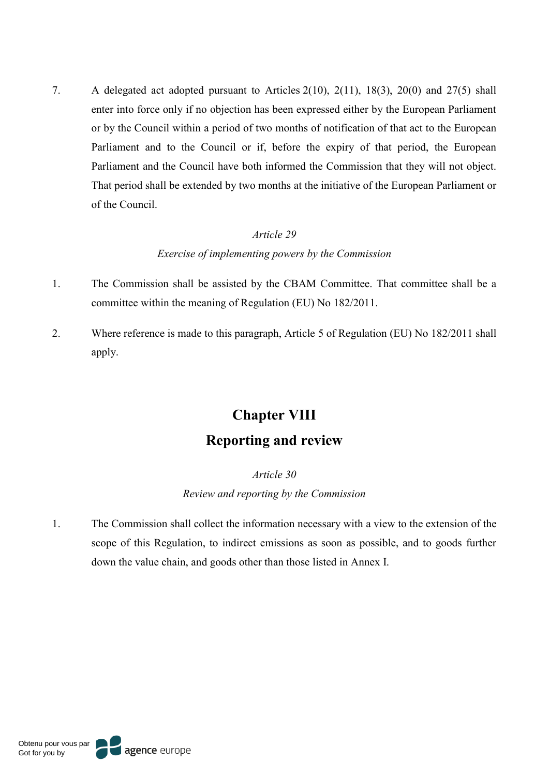7. A delegated act adopted pursuant to Articles 2(10), 2(11), 18(3), 20(0) and 27(5) shall enter into force only if no objection has been expressed either by the European Parliament or by the Council within a period of two months of notification of that act to the European Parliament and to the Council or if, before the expiry of that period, the European Parliament and the Council have both informed the Commission that they will not object. That period shall be extended by two months at the initiative of the European Parliament or of the Council.

#### *Article 29*

### *Exercise of implementing powers by the Commission*

- 1. The Commission shall be assisted by the CBAM Committee. That committee shall be a committee within the meaning of Regulation (EU) No 182/2011.
- 2. Where reference is made to this paragraph, Article 5 of Regulation (EU) No 182/2011 shall apply.

# **Chapter VIII Reporting and review**

### *Article 30*

*Review and reporting by the Commission* 

1. The Commission shall collect the information necessary with a view to the extension of the scope of this Regulation, to indirect emissions as soon as possible, and to goods further down the value chain, and goods other than those listed in Annex I.

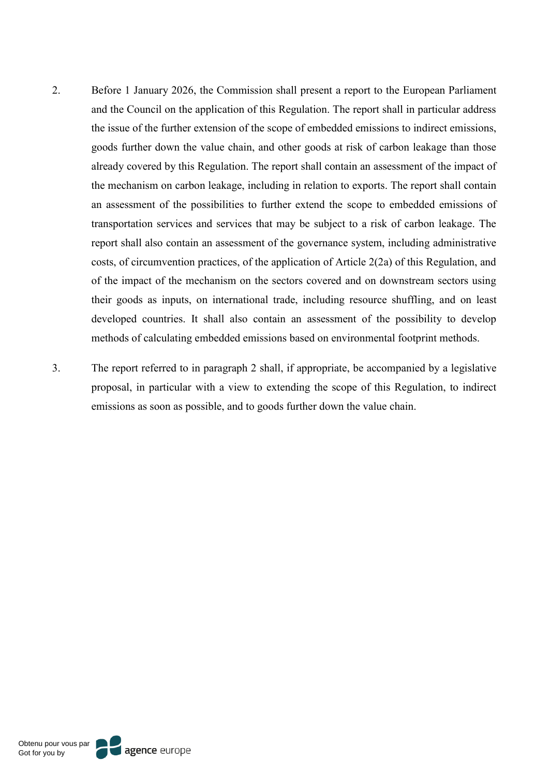- 2. Before 1 January 2026, the Commission shall present a report to the European Parliament and the Council on the application of this Regulation. The report shall in particular address the issue of the further extension of the scope of embedded emissions to indirect emissions, goods further down the value chain, and other goods at risk of carbon leakage than those already covered by this Regulation. The report shall contain an assessment of the impact of the mechanism on carbon leakage, including in relation to exports. The report shall contain an assessment of the possibilities to further extend the scope to embedded emissions of transportation services and services that may be subject to a risk of carbon leakage. The report shall also contain an assessment of the governance system, including administrative costs, of circumvention practices, of the application of Article 2(2a) of this Regulation, and of the impact of the mechanism on the sectors covered and on downstream sectors using their goods as inputs, on international trade, including resource shuffling, and on least developed countries. It shall also contain an assessment of the possibility to develop methods of calculating embedded emissions based on environmental footprint methods.
- 3. The report referred to in paragraph 2 shall, if appropriate, be accompanied by a legislative proposal, in particular with a view to extending the scope of this Regulation, to indirect emissions as soon as possible, and to goods further down the value chain.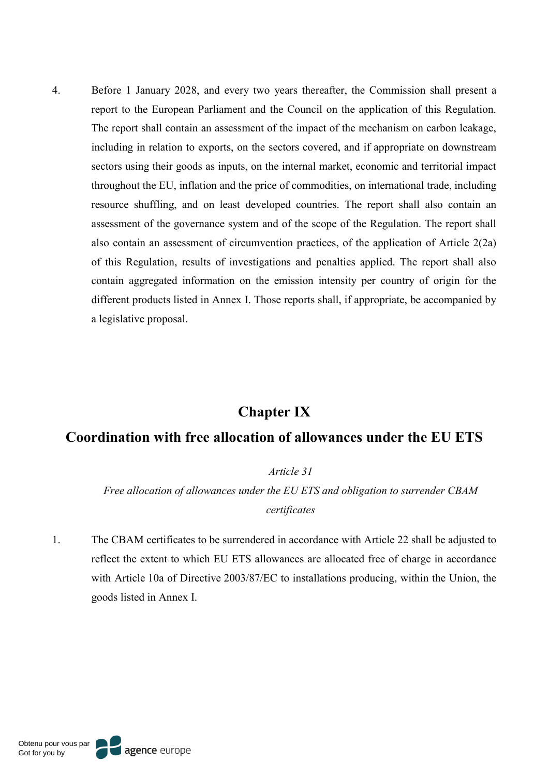4. Before 1 January 2028, and every two years thereafter, the Commission shall present a report to the European Parliament and the Council on the application of this Regulation. The report shall contain an assessment of the impact of the mechanism on carbon leakage, including in relation to exports, on the sectors covered, and if appropriate on downstream sectors using their goods as inputs, on the internal market, economic and territorial impact throughout the EU, inflation and the price of commodities, on international trade, including resource shuffling, and on least developed countries. The report shall also contain an assessment of the governance system and of the scope of the Regulation. The report shall also contain an assessment of circumvention practices, of the application of Article 2(2a) of this Regulation, results of investigations and penalties applied. The report shall also contain aggregated information on the emission intensity per country of origin for the different products listed in Annex I. Those reports shall, if appropriate, be accompanied by a legislative proposal.

### **Chapter IX**

### **Coordination with free allocation of allowances under the EU ETS**

*Article 31*

*Free allocation of allowances under the EU ETS and obligation to surrender CBAM certificates*

1. The CBAM certificates to be surrendered in accordance with Article 22 shall be adjusted to reflect the extent to which EU ETS allowances are allocated free of charge in accordance with Article 10a of Directive 2003/87/EC to installations producing, within the Union, the goods listed in Annex I.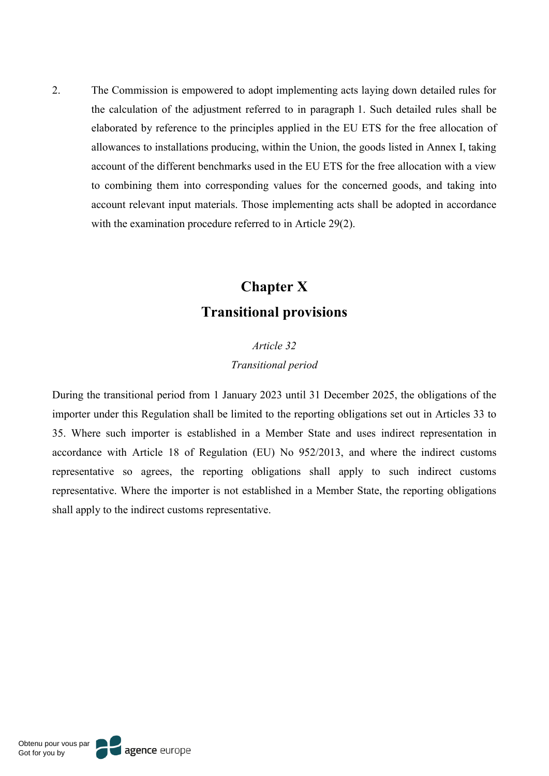2. The Commission is empowered to adopt implementing acts laying down detailed rules for the calculation of the adjustment referred to in paragraph 1. Such detailed rules shall be elaborated by reference to the principles applied in the EU ETS for the free allocation of allowances to installations producing, within the Union, the goods listed in Annex I, taking account of the different benchmarks used in the EU ETS for the free allocation with a view to combining them into corresponding values for the concerned goods, and taking into account relevant input materials. Those implementing acts shall be adopted in accordance with the examination procedure referred to in Article 29(2).

# **Chapter X Transitional provisions**

# *Article 32 Transitional period*

During the transitional period from 1 January 2023 until 31 December 2025, the obligations of the importer under this Regulation shall be limited to the reporting obligations set out in Articles 33 to 35. Where such importer is established in a Member State and uses indirect representation in accordance with Article 18 of Regulation (EU) No 952/2013, and where the indirect customs representative so agrees, the reporting obligations shall apply to such indirect customs representative. Where the importer is not established in a Member State, the reporting obligations shall apply to the indirect customs representative.

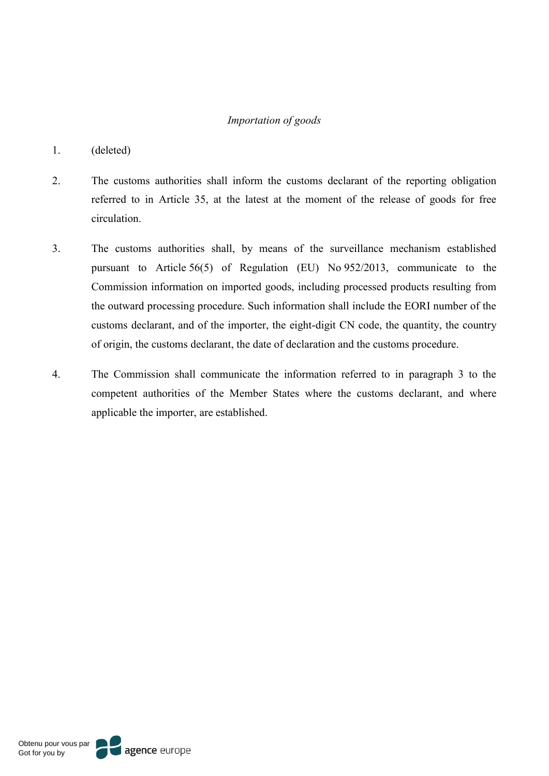#### *Importation of goods*

- 1. (deleted)
- 2. The customs authorities shall inform the customs declarant of the reporting obligation referred to in Article 35, at the latest at the moment of the release of goods for free circulation.
- 3. The customs authorities shall, by means of the surveillance mechanism established pursuant to Article 56(5) of Regulation (EU) No 952/2013, communicate to the Commission information on imported goods, including processed products resulting from the outward processing procedure. Such information shall include the EORI number of the customs declarant, and of the importer, the eight-digit CN code, the quantity, the country of origin, the customs declarant, the date of declaration and the customs procedure.
- 4. The Commission shall communicate the information referred to in paragraph 3 to the competent authorities of the Member States where the customs declarant, and where applicable the importer, are established.

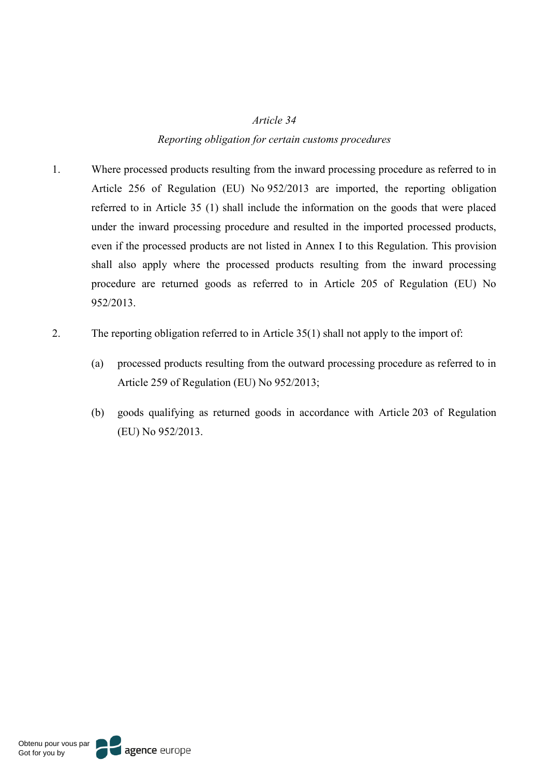#### *Article 34*

### *Reporting obligation for certain customs procedures*

- 1. Where processed products resulting from the inward processing procedure as referred to in Article 256 of Regulation (EU) No 952/2013 are imported, the reporting obligation referred to in Article 35 (1) shall include the information on the goods that were placed under the inward processing procedure and resulted in the imported processed products, even if the processed products are not listed in Annex I to this Regulation. This provision shall also apply where the processed products resulting from the inward processing procedure are returned goods as referred to in Article 205 of Regulation (EU) No 952/2013.
- 2. The reporting obligation referred to in Article 35(1) shall not apply to the import of:
	- (a) processed products resulting from the outward processing procedure as referred to in Article 259 of Regulation (EU) No 952/2013;
	- (b) goods qualifying as returned goods in accordance with Article 203 of Regulation (EU) No 952/2013.

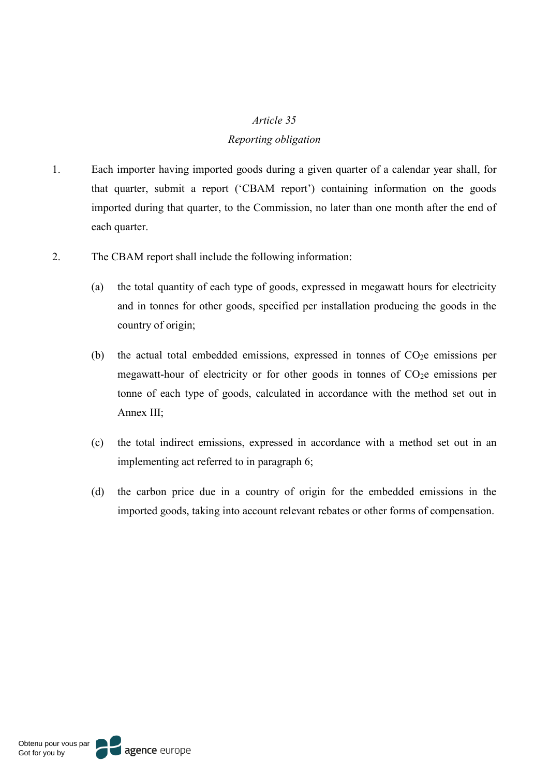#### *Article 35*

#### *Reporting obligation*

- 1. Each importer having imported goods during a given quarter of a calendar year shall, for that quarter, submit a report ('CBAM report') containing information on the goods imported during that quarter, to the Commission, no later than one month after the end of each quarter.
- 2. The CBAM report shall include the following information:
	- (a) the total quantity of each type of goods, expressed in megawatt hours for electricity and in tonnes for other goods, specified per installation producing the goods in the country of origin;
	- (b) the actual total embedded emissions, expressed in tonnes of  $CO<sub>2</sub>e$  emissions per megawatt-hour of electricity or for other goods in tonnes of  $CO<sub>2</sub>e$  emissions per tonne of each type of goods, calculated in accordance with the method set out in Annex III;
	- (c) the total indirect emissions, expressed in accordance with a method set out in an implementing act referred to in paragraph 6;
	- (d) the carbon price due in a country of origin for the embedded emissions in the imported goods, taking into account relevant rebates or other forms of compensation.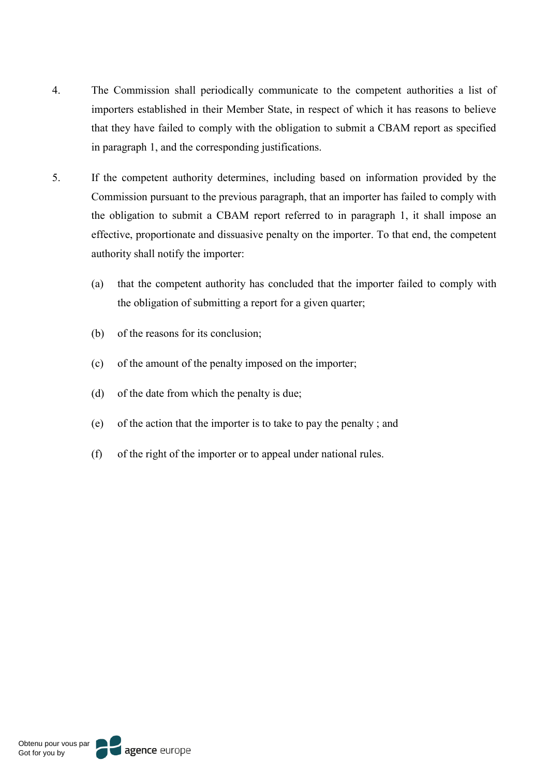- 4. The Commission shall periodically communicate to the competent authorities a list of importers established in their Member State, in respect of which it has reasons to believe that they have failed to comply with the obligation to submit a CBAM report as specified in paragraph 1, and the corresponding justifications.
- 5. If the competent authority determines, including based on information provided by the Commission pursuant to the previous paragraph, that an importer has failed to comply with the obligation to submit a CBAM report referred to in paragraph 1, it shall impose an effective, proportionate and dissuasive penalty on the importer. To that end, the competent authority shall notify the importer:
	- (a) that the competent authority has concluded that the importer failed to comply with the obligation of submitting a report for a given quarter;
	- (b) of the reasons for its conclusion;
	- (c) of the amount of the penalty imposed on the importer;
	- (d) of the date from which the penalty is due;
	- (e) of the action that the importer is to take to pay the penalty ; and
	- (f) of the right of the importer or to appeal under national rules.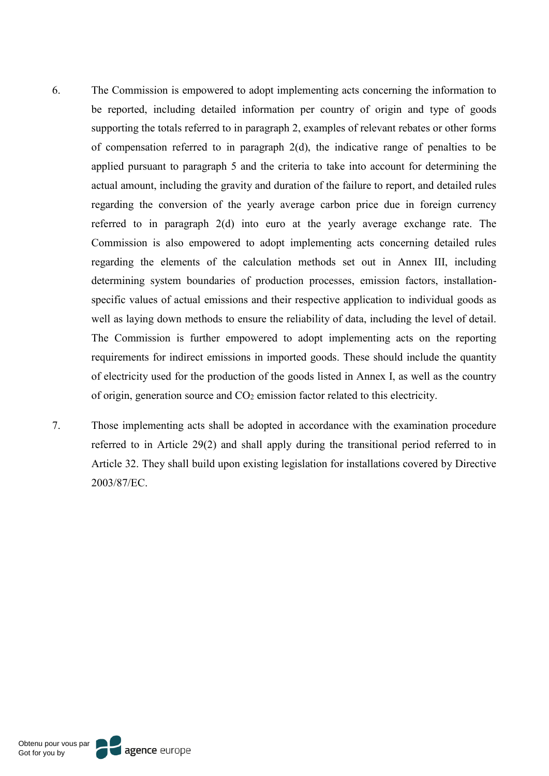- 6. The Commission is empowered to adopt implementing acts concerning the information to be reported, including detailed information per country of origin and type of goods supporting the totals referred to in paragraph 2, examples of relevant rebates or other forms of compensation referred to in paragraph 2(d), the indicative range of penalties to be applied pursuant to paragraph 5 and the criteria to take into account for determining the actual amount, including the gravity and duration of the failure to report, and detailed rules regarding the conversion of the yearly average carbon price due in foreign currency referred to in paragraph 2(d) into euro at the yearly average exchange rate. The Commission is also empowered to adopt implementing acts concerning detailed rules regarding the elements of the calculation methods set out in Annex III, including determining system boundaries of production processes, emission factors, installationspecific values of actual emissions and their respective application to individual goods as well as laying down methods to ensure the reliability of data, including the level of detail. The Commission is further empowered to adopt implementing acts on the reporting requirements for indirect emissions in imported goods. These should include the quantity of electricity used for the production of the goods listed in Annex I, as well as the country of origin, generation source and CO2 emission factor related to this electricity.
- 7. Those implementing acts shall be adopted in accordance with the examination procedure referred to in Article 29(2) and shall apply during the transitional period referred to in Article 32. They shall build upon existing legislation for installations covered by Directive 2003/87/EC.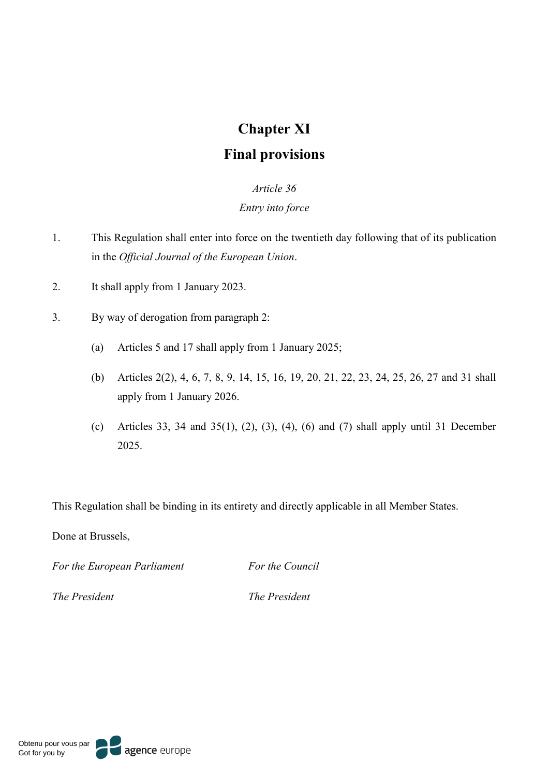# **Chapter XI**

# **Final provisions**

# *Article 36*

## *Entry into force*

- 1. This Regulation shall enter into force on the twentieth day following that of its publication in the *Official Journal of the European Union*.
- 2. It shall apply from 1 January 2023.
- 3. By way of derogation from paragraph 2:
	- (a) Articles 5 and 17 shall apply from 1 January 2025;
	- (b) Articles 2(2), 4, 6, 7, 8, 9, 14, 15, 16, 19, 20, 21, 22, 23, 24, 25, 26, 27 and 31 shall apply from 1 January 2026.
	- (c) Articles 33, 34 and 35(1), (2), (3), (4), (6) and (7) shall apply until 31 December 2025.

This Regulation shall be binding in its entirety and directly applicable in all Member States.

Done at Brussels,

*For the European Parliament For the Council*

*The President The President*

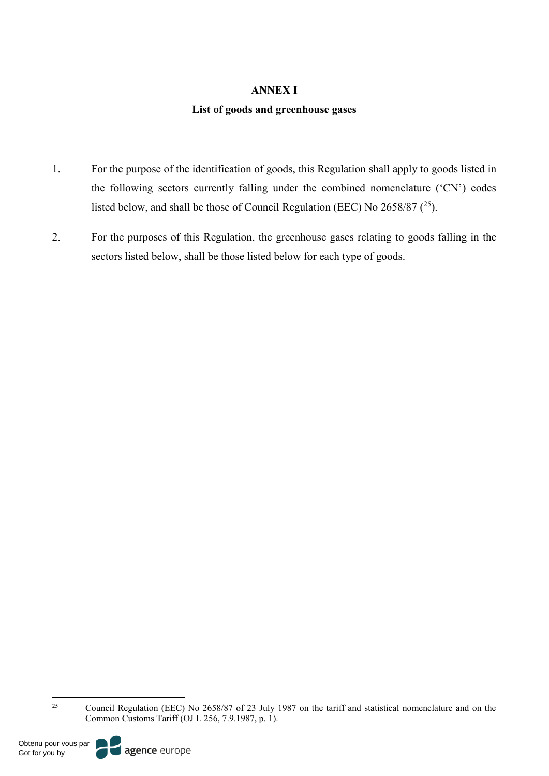### **ANNEX I**

#### **List of goods and greenhouse gases**

- 1. For the purpose of the identification of goods, this Regulation shall apply to goods listed in the following sectors currently falling under the combined nomenclature ('CN') codes listed below, and shall be those of Council Regulation (EEC) No  $2658/87$  ( $^{25}$ ).
- 2. For the purposes of this Regulation, the greenhouse gases relating to goods falling in the sectors listed below, shall be those listed below for each type of goods.

<sup>25</sup> Council Regulation (EEC) No 2658/87 of 23 July 1987 on the tariff and statistical nomenclature and on the Common Customs Tariff (OJ L 256, 7.9.1987, p. 1).

Obtenu pour vous par Got for you by

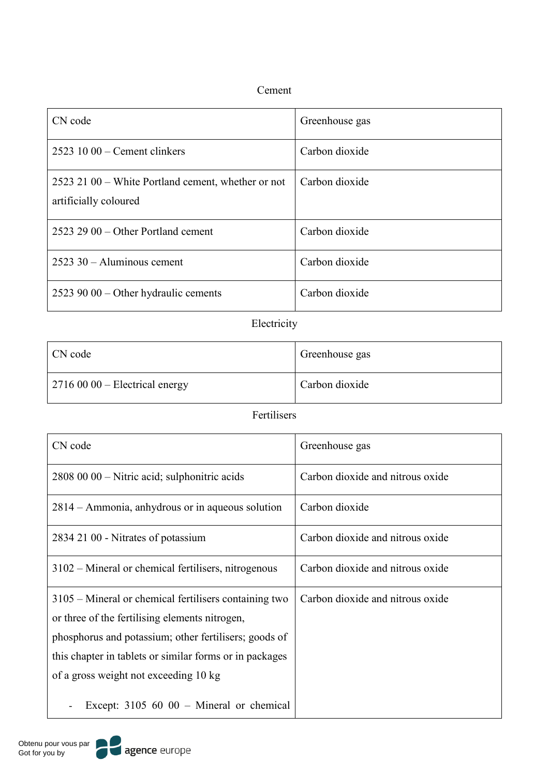# Cement

| CN code                                                                     | Greenhouse gas |
|-----------------------------------------------------------------------------|----------------|
| $25231000$ – Cement clinkers                                                | Carbon dioxide |
| 2523 21 00 – White Portland cement, whether or not<br>artificially coloured | Carbon dioxide |
| $2523$ 29 00 – Other Portland cement                                        | Carbon dioxide |
| $2523$ 30 – Aluminous cement                                                | Carbon dioxide |
| 2523 90 00 – Other hydraulic cements                                        | Carbon dioxide |

# Electricity

| CN code                                | Greenhouse gas |
|----------------------------------------|----------------|
| $\vert$ 2716 00 00 – Electrical energy | Carbon dioxide |

# Fertilisers

| CN code                                                                                                                                                                                                                                                              | Greenhouse gas                   |
|----------------------------------------------------------------------------------------------------------------------------------------------------------------------------------------------------------------------------------------------------------------------|----------------------------------|
| 2808 00 00 – Nitric acid; sulphonitric acids                                                                                                                                                                                                                         | Carbon dioxide and nitrous oxide |
| 2814 – Ammonia, anhydrous or in aqueous solution                                                                                                                                                                                                                     | Carbon dioxide                   |
| 2834 21 00 - Nitrates of potassium                                                                                                                                                                                                                                   | Carbon dioxide and nitrous oxide |
| 3102 – Mineral or chemical fertilisers, nitrogenous                                                                                                                                                                                                                  | Carbon dioxide and nitrous oxide |
| 3105 – Mineral or chemical fertilisers containing two<br>or three of the fertilising elements nitrogen,<br>phosphorus and potassium; other fertilisers; goods of<br>this chapter in tablets or similar forms or in packages<br>of a gross weight not exceeding 10 kg | Carbon dioxide and nitrous oxide |
| Except: $3105\,60\,00 -$ Mineral or chemical                                                                                                                                                                                                                         |                                  |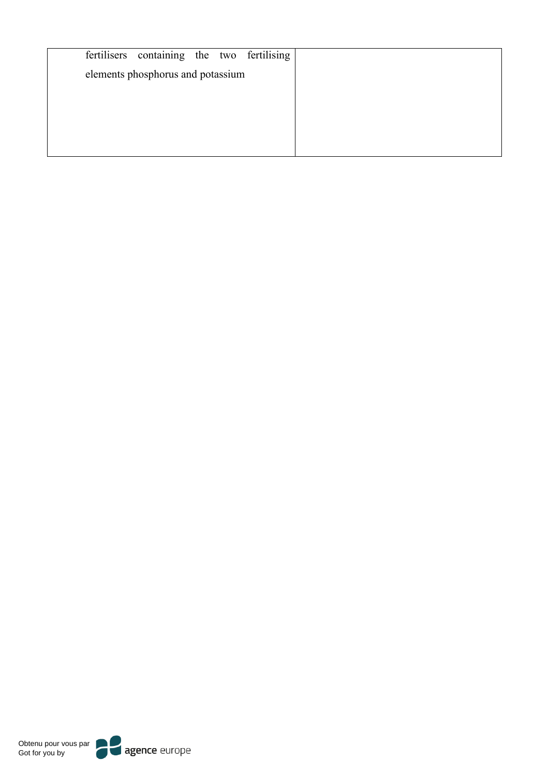| fertilisers containing the two fertilising |  |
|--------------------------------------------|--|
| elements phosphorus and potassium          |  |
|                                            |  |
|                                            |  |
|                                            |  |
|                                            |  |

Obtenu pour vous par Got for you by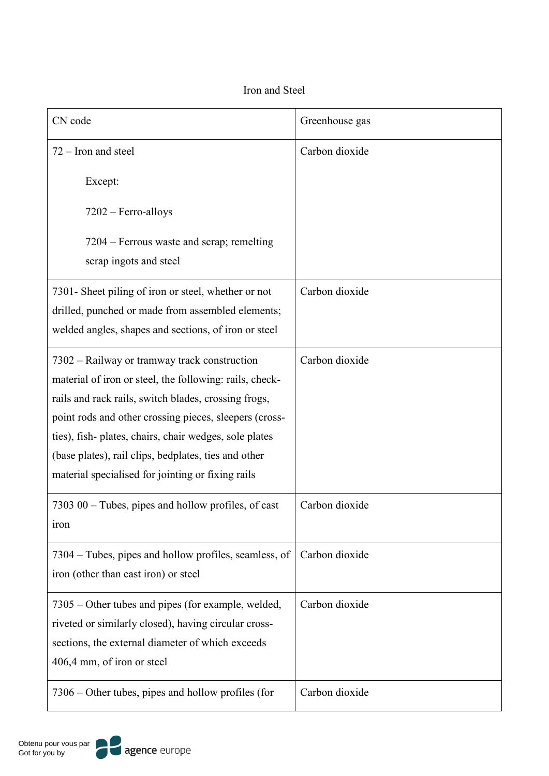# Iron and Steel

| CN code                                                                                                                                                                                                                                                                                                                                                                                         | Greenhouse gas |
|-------------------------------------------------------------------------------------------------------------------------------------------------------------------------------------------------------------------------------------------------------------------------------------------------------------------------------------------------------------------------------------------------|----------------|
| $72 -$ Iron and steel                                                                                                                                                                                                                                                                                                                                                                           | Carbon dioxide |
| Except:                                                                                                                                                                                                                                                                                                                                                                                         |                |
| $7202$ – Ferro-alloys                                                                                                                                                                                                                                                                                                                                                                           |                |
| 7204 – Ferrous waste and scrap; remelting<br>scrap ingots and steel                                                                                                                                                                                                                                                                                                                             |                |
| 7301- Sheet piling of iron or steel, whether or not<br>drilled, punched or made from assembled elements;<br>welded angles, shapes and sections, of iron or steel                                                                                                                                                                                                                                | Carbon dioxide |
| 7302 – Railway or tramway track construction<br>material of iron or steel, the following: rails, check-<br>rails and rack rails, switch blades, crossing frogs,<br>point rods and other crossing pieces, sleepers (cross-<br>ties), fish-plates, chairs, chair wedges, sole plates<br>(base plates), rail clips, bedplates, ties and other<br>material specialised for jointing or fixing rails | Carbon dioxide |
| $730300 -$ Tubes, pipes and hollow profiles, of cast<br><i>iron</i>                                                                                                                                                                                                                                                                                                                             | Carbon dioxide |
| 7304 – Tubes, pipes and hollow profiles, seamless, of<br>iron (other than cast iron) or steel                                                                                                                                                                                                                                                                                                   | Carbon dioxide |
| 7305 – Other tubes and pipes (for example, welded,<br>riveted or similarly closed), having circular cross-<br>sections, the external diameter of which exceeds<br>406,4 mm, of iron or steel                                                                                                                                                                                                    | Carbon dioxide |
| $7306 -$ Other tubes, pipes and hollow profiles (for                                                                                                                                                                                                                                                                                                                                            | Carbon dioxide |

 $\mathbf I$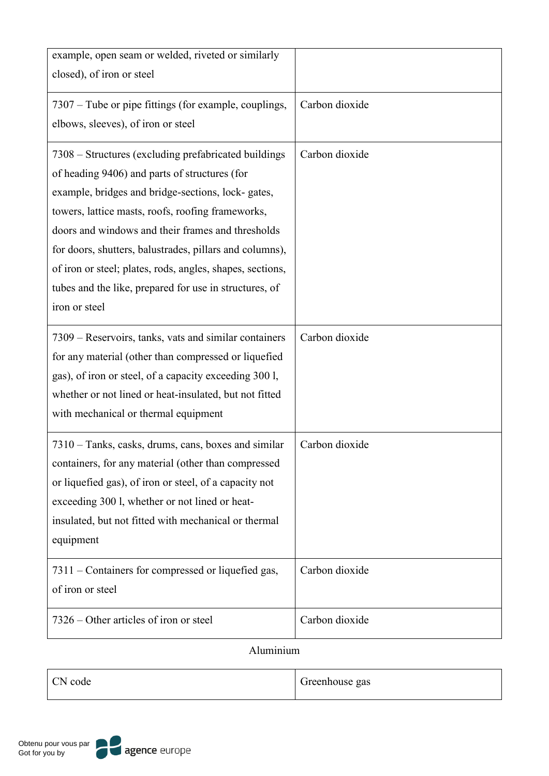| example, open seam or welded, riveted or similarly<br>closed), of iron or steel                                                                                                                                                                                                                                                                                                                                                                          |                |
|----------------------------------------------------------------------------------------------------------------------------------------------------------------------------------------------------------------------------------------------------------------------------------------------------------------------------------------------------------------------------------------------------------------------------------------------------------|----------------|
| 7307 – Tube or pipe fittings (for example, couplings,<br>elbows, sleeves), of iron or steel                                                                                                                                                                                                                                                                                                                                                              | Carbon dioxide |
| 7308 – Structures (excluding prefabricated buildings)<br>of heading 9406) and parts of structures (for<br>example, bridges and bridge-sections, lock- gates,<br>towers, lattice masts, roofs, roofing frameworks,<br>doors and windows and their frames and thresholds<br>for doors, shutters, balustrades, pillars and columns),<br>of iron or steel; plates, rods, angles, shapes, sections,<br>tubes and the like, prepared for use in structures, of | Carbon dioxide |
| iron or steel                                                                                                                                                                                                                                                                                                                                                                                                                                            |                |
| 7309 – Reservoirs, tanks, vats and similar containers<br>for any material (other than compressed or liquefied<br>gas), of iron or steel, of a capacity exceeding 300 l,<br>whether or not lined or heat-insulated, but not fitted<br>with mechanical or thermal equipment                                                                                                                                                                                | Carbon dioxide |
| 7310 – Tanks, casks, drums, cans, boxes and similar<br>containers, for any material (other than compressed<br>or liquefied gas), of iron or steel, of a capacity not<br>exceeding 300 l, whether or not lined or heat-<br>insulated, but not fitted with mechanical or thermal<br>equipment                                                                                                                                                              | Carbon dioxide |
| 7311 – Containers for compressed or liquefied gas,<br>of iron or steel                                                                                                                                                                                                                                                                                                                                                                                   | Carbon dioxide |
| 7326 – Other articles of iron or steel                                                                                                                                                                                                                                                                                                                                                                                                                   | Carbon dioxide |

Aluminium

| CN code | Greenhouse gas |
|---------|----------------|
|         |                |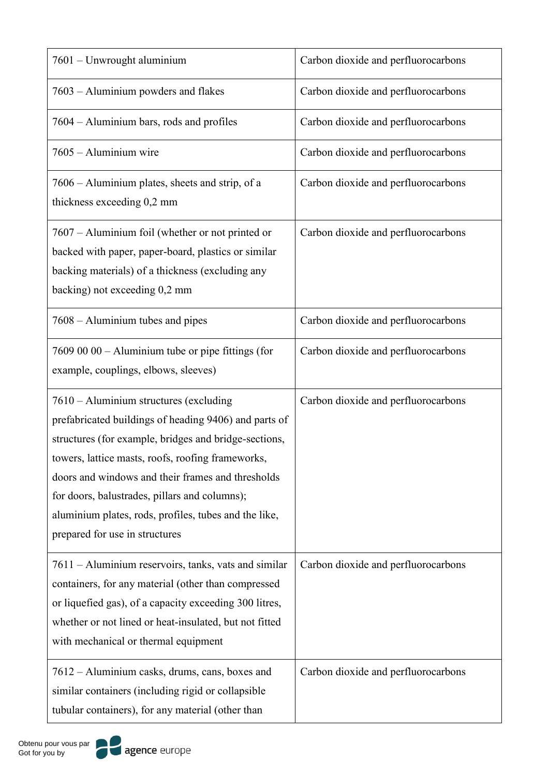| 7601 – Unwrought aluminium                                                                                                                                                                                                                                                                                                                                                                                     | Carbon dioxide and perfluorocarbons |
|----------------------------------------------------------------------------------------------------------------------------------------------------------------------------------------------------------------------------------------------------------------------------------------------------------------------------------------------------------------------------------------------------------------|-------------------------------------|
| 7603 - Aluminium powders and flakes                                                                                                                                                                                                                                                                                                                                                                            | Carbon dioxide and perfluorocarbons |
| 7604 – Aluminium bars, rods and profiles                                                                                                                                                                                                                                                                                                                                                                       | Carbon dioxide and perfluorocarbons |
| 7605 - Aluminium wire                                                                                                                                                                                                                                                                                                                                                                                          | Carbon dioxide and perfluorocarbons |
| 7606 – Aluminium plates, sheets and strip, of a<br>thickness exceeding 0,2 mm                                                                                                                                                                                                                                                                                                                                  | Carbon dioxide and perfluorocarbons |
| 7607 - Aluminium foil (whether or not printed or<br>backed with paper, paper-board, plastics or similar<br>backing materials) of a thickness (excluding any<br>backing) not exceeding 0,2 mm                                                                                                                                                                                                                   | Carbon dioxide and perfluorocarbons |
| 7608 – Aluminium tubes and pipes                                                                                                                                                                                                                                                                                                                                                                               | Carbon dioxide and perfluorocarbons |
| 7609 00 00 - Aluminium tube or pipe fittings (for<br>example, couplings, elbows, sleeves)                                                                                                                                                                                                                                                                                                                      | Carbon dioxide and perfluorocarbons |
| 7610 – Aluminium structures (excluding<br>prefabricated buildings of heading 9406) and parts of<br>structures (for example, bridges and bridge-sections,<br>towers, lattice masts, roofs, roofing frameworks,<br>doors and windows and their frames and thresholds<br>for doors, balustrades, pillars and columns);<br>aluminium plates, rods, profiles, tubes and the like,<br>prepared for use in structures | Carbon dioxide and perfluorocarbons |
| 7611 – Aluminium reservoirs, tanks, vats and similar<br>containers, for any material (other than compressed<br>or liquefied gas), of a capacity exceeding 300 litres,<br>whether or not lined or heat-insulated, but not fitted<br>with mechanical or thermal equipment                                                                                                                                        | Carbon dioxide and perfluorocarbons |
| 7612 – Aluminium casks, drums, cans, boxes and<br>similar containers (including rigid or collapsible<br>tubular containers), for any material (other than                                                                                                                                                                                                                                                      | Carbon dioxide and perfluorocarbons |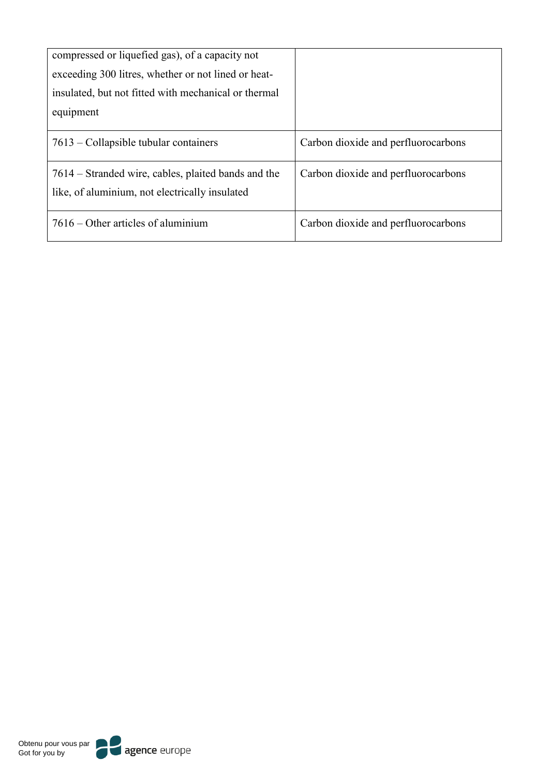| compressed or liquefied gas), of a capacity not                                                       |                                     |
|-------------------------------------------------------------------------------------------------------|-------------------------------------|
| exceeding 300 litres, whether or not lined or heat-                                                   |                                     |
| insulated, but not fitted with mechanical or thermal                                                  |                                     |
| equipment                                                                                             |                                     |
| $7613$ – Collapsible tubular containers                                                               | Carbon dioxide and perfluorocarbons |
| 7614 – Stranded wire, cables, plaited bands and the<br>like, of aluminium, not electrically insulated | Carbon dioxide and perfluorocarbons |
| $7616 -$ Other articles of aluminium                                                                  | Carbon dioxide and perfluorocarbons |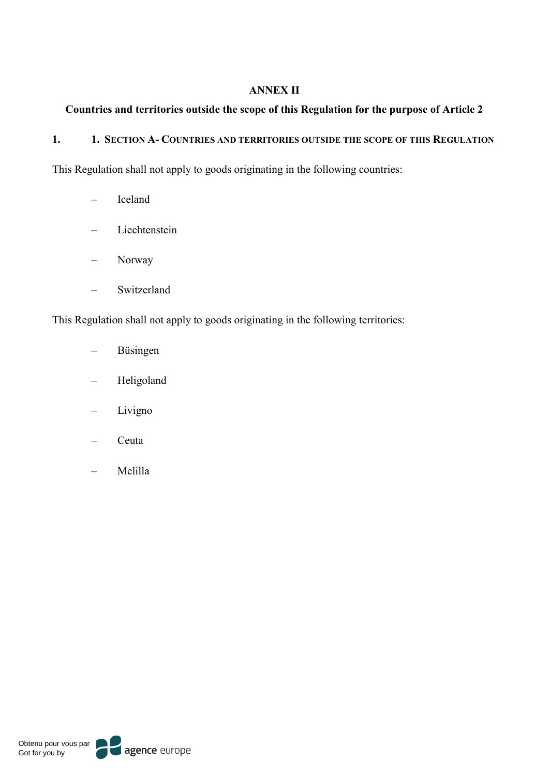## **ANNEX II**

# **Countries and territories outside the scope of this Regulation for the purpose of Article 2**

## **1. 1. SECTION A- COUNTRIES AND TERRITORIES OUTSIDE THE SCOPE OF THIS REGULATION**

This Regulation shall not apply to goods originating in the following countries:

- Iceland
- Liechtenstein
- Norway
- Switzerland

This Regulation shall not apply to goods originating in the following territories:

- Büsingen
- Heligoland
- Livigno
- Ceuta
- Melilla

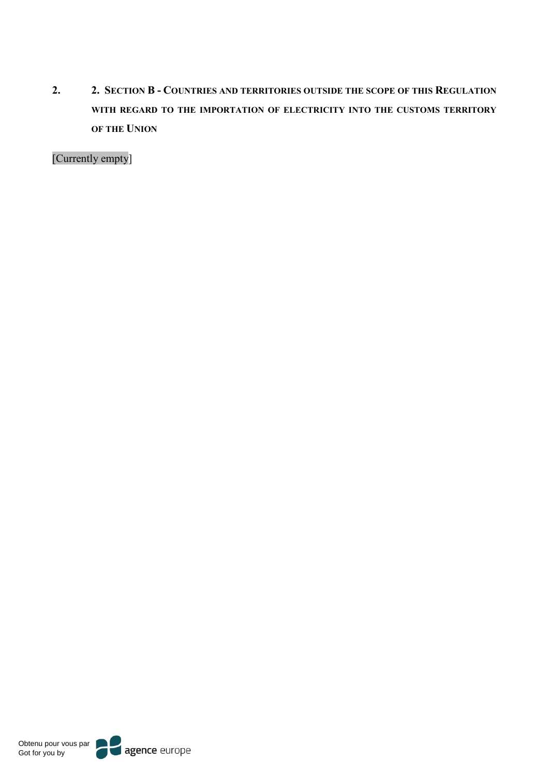**2. 2. SECTION B - COUNTRIES AND TERRITORIES OUTSIDE THE SCOPE OF THIS REGULATION WITH REGARD TO THE IMPORTATION OF ELECTRICITY INTO THE CUSTOMS TERRITORY OF THE UNION**

[Currently empty]

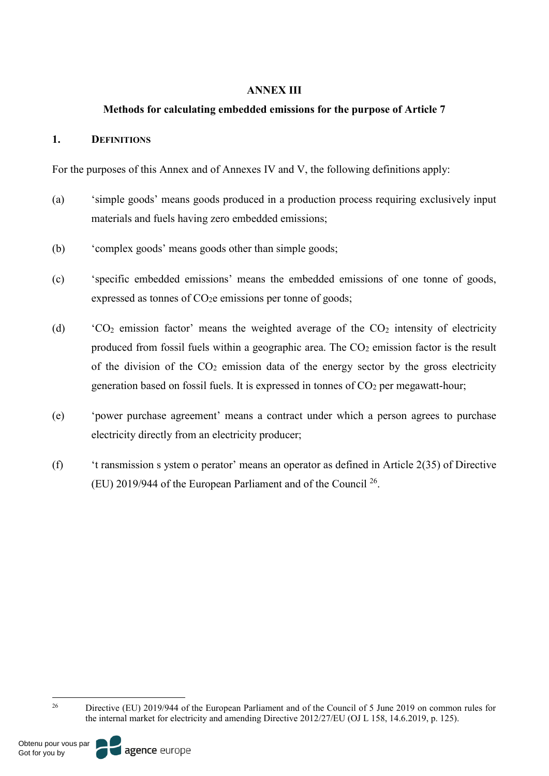## **ANNEX III**

## **Methods for calculating embedded emissions for the purpose of Article 7**

## **1. DEFINITIONS**

For the purposes of this Annex and of Annexes IV and V, the following definitions apply:

- (a) 'simple goods' means goods produced in a production process requiring exclusively input materials and fuels having zero embedded emissions;
- (b) 'complex goods' means goods other than simple goods;
- (c) 'specific embedded emissions' means the embedded emissions of one tonne of goods, expressed as tonnes of  $CO<sub>2</sub>e$  emissions per tonne of goods;
- (d)  $\angle$  CO<sub>2</sub> emission factor' means the weighted average of the CO<sub>2</sub> intensity of electricity produced from fossil fuels within a geographic area. The  $CO<sub>2</sub>$  emission factor is the result of the division of the  $CO<sub>2</sub>$  emission data of the energy sector by the gross electricity generation based on fossil fuels. It is expressed in tonnes of  $CO<sub>2</sub>$  per megawatt-hour;
- (e) 'power purchase agreement' means a contract under which a person agrees to purchase electricity directly from an electricity producer;
- (f) 't ransmission s ystem o perator' means an operator as defined in Article 2(35) of Directive (EU) 2019/944 of the European Parliament and of the Council 26.

Obtenu pour vous par Got for you by



<sup>&</sup>lt;sup>26</sup> Directive (EU) 2019/944 of the European Parliament and of the Council of 5 June 2019 on common rules for the internal market for electricity and amending Directive 2012/27/EU (OJ L 158, 14.6.2019, p. 125).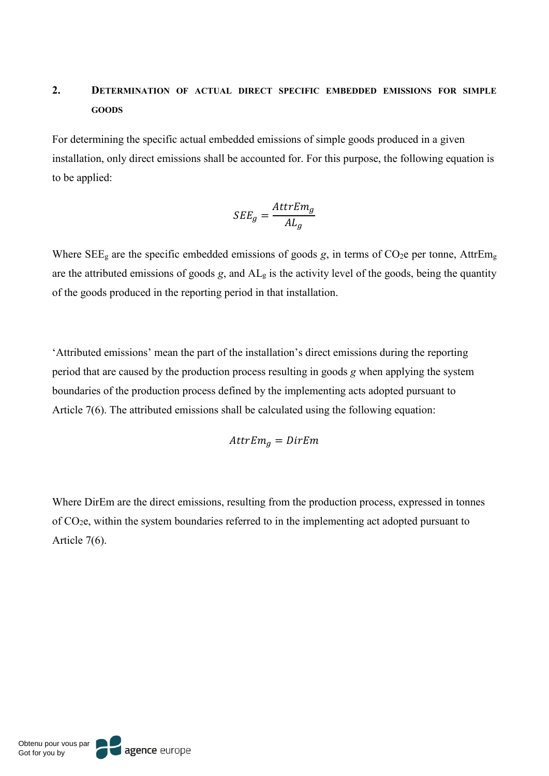# **2. DETERMINATION OF ACTUAL DIRECT SPECIFIC EMBEDDED EMISSIONS FOR SIMPLE GOODS**

For determining the specific actual embedded emissions of simple goods produced in a given installation, only direct emissions shall be accounted for. For this purpose, the following equation is to be applied:

$$
SEE_g = \frac{AttrEm_g}{AL_g}
$$

Where  $\text{SEE}_{g}$  are the specific embedded emissions of goods *g*, in terms of  $\text{CO}_2$ e per tonne, Attr $\text{Em}_g$ are the attributed emissions of goods *g*, and  $AL<sub>g</sub>$  is the activity level of the goods, being the quantity of the goods produced in the reporting period in that installation.

'Attributed emissions' mean the part of the installation's direct emissions during the reporting period that are caused by the production process resulting in goods *g* when applying the system boundaries of the production process defined by the implementing acts adopted pursuant to Article 7(6). The attributed emissions shall be calculated using the following equation:

$$
AttrEm_g = DirEm
$$

Where DirEm are the direct emissions, resulting from the production process, expressed in tonnes of CO2e, within the system boundaries referred to in the implementing act adopted pursuant to Article 7(6).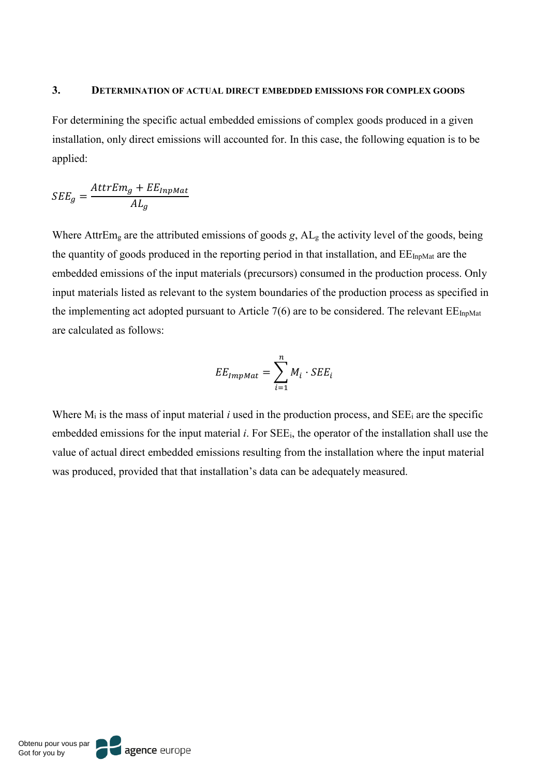#### **3. DETERMINATION OF ACTUAL DIRECT EMBEDDED EMISSIONS FOR COMPLEX GOODS**

For determining the specific actual embedded emissions of complex goods produced in a given installation, only direct emissions will accounted for. In this case, the following equation is to be applied:

$$
SEE_g = \frac{AttrEm_g + EE_{Inputat}}{AL_g}
$$

Where AttrEm<sub>g</sub> are the attributed emissions of goods *g*, AL<sub>g</sub> the activity level of the goods, being the quantity of goods produced in the reporting period in that installation, and  $EE_{InpMat}$  are the embedded emissions of the input materials (precursors) consumed in the production process. Only input materials listed as relevant to the system boundaries of the production process as specified in the implementing act adopted pursuant to Article 7(6) are to be considered. The relevant  $EE_{InpMat}$ are calculated as follows:

$$
EE_{ImpMat} = \sum_{i=1}^{n} M_i \cdot SEE_i
$$

Where  $M_i$  is the mass of input material *i* used in the production process, and SEE<sub>i</sub> are the specific embedded emissions for the input material *i*. For SEEi, the operator of the installation shall use the value of actual direct embedded emissions resulting from the installation where the input material was produced, provided that that installation's data can be adequately measured.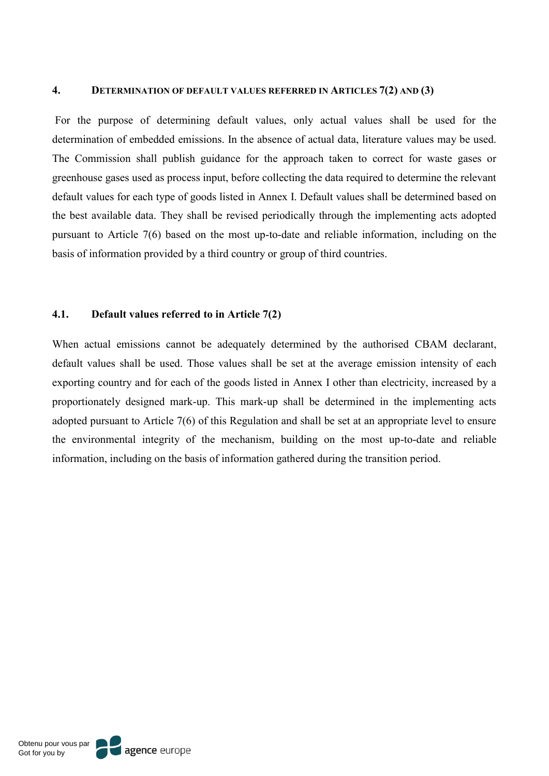#### **4. DETERMINATION OF DEFAULT VALUES REFERRED IN ARTICLES 7(2) AND (3)**

For the purpose of determining default values, only actual values shall be used for the determination of embedded emissions. In the absence of actual data, literature values may be used. The Commission shall publish guidance for the approach taken to correct for waste gases or greenhouse gases used as process input, before collecting the data required to determine the relevant default values for each type of goods listed in Annex I. Default values shall be determined based on the best available data. They shall be revised periodically through the implementing acts adopted pursuant to Article 7(6) based on the most up-to-date and reliable information, including on the basis of information provided by a third country or group of third countries.

#### **4.1. Default values referred to in Article 7(2)**

When actual emissions cannot be adequately determined by the authorised CBAM declarant, default values shall be used. Those values shall be set at the average emission intensity of each exporting country and for each of the goods listed in Annex I other than electricity, increased by a proportionately designed mark-up. This mark-up shall be determined in the implementing acts adopted pursuant to Article 7(6) of this Regulation and shall be set at an appropriate level to ensure the environmental integrity of the mechanism, building on the most up-to-date and reliable information, including on the basis of information gathered during the transition period.

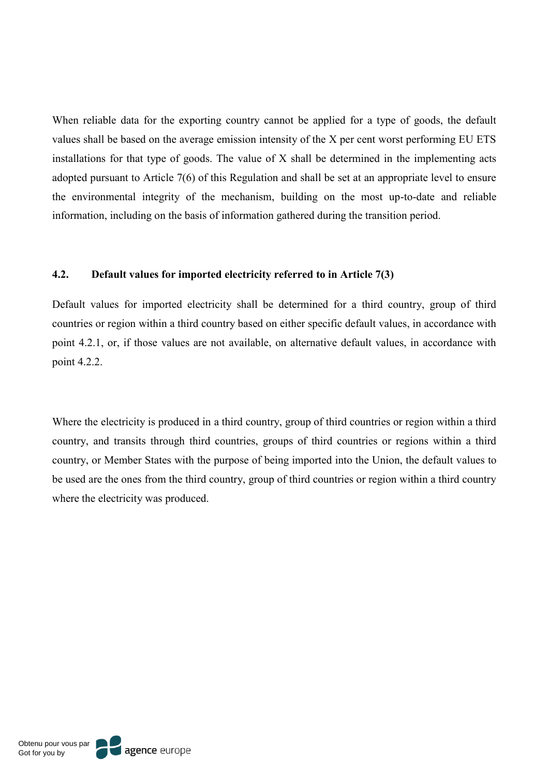When reliable data for the exporting country cannot be applied for a type of goods, the default values shall be based on the average emission intensity of the X per cent worst performing EU ETS installations for that type of goods. The value of X shall be determined in the implementing acts adopted pursuant to Article 7(6) of this Regulation and shall be set at an appropriate level to ensure the environmental integrity of the mechanism, building on the most up-to-date and reliable information, including on the basis of information gathered during the transition period.

## **4.2. Default values for imported electricity referred to in Article 7(3)**

Default values for imported electricity shall be determined for a third country, group of third countries or region within a third country based on either specific default values, in accordance with point 4.2.1, or, if those values are not available, on alternative default values, in accordance with point 4.2.2.

Where the electricity is produced in a third country, group of third countries or region within a third country, and transits through third countries, groups of third countries or regions within a third country, or Member States with the purpose of being imported into the Union, the default values to be used are the ones from the third country, group of third countries or region within a third country where the electricity was produced.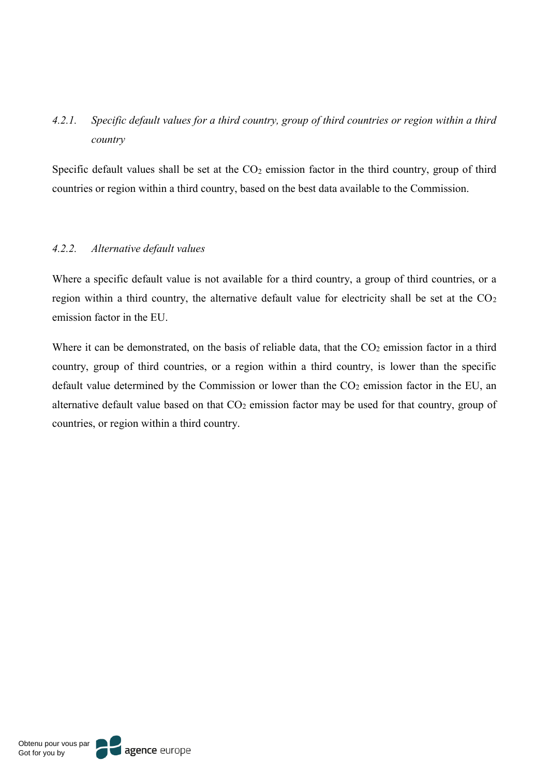# *4.2.1. Specific default values for a third country, group of third countries or region within a third country*

Specific default values shall be set at the  $CO<sub>2</sub>$  emission factor in the third country, group of third countries or region within a third country, based on the best data available to the Commission.

### *4.2.2. Alternative default values*

Where a specific default value is not available for a third country, a group of third countries, or a region within a third country, the alternative default value for electricity shall be set at the  $CO<sub>2</sub>$ emission factor in the EU.

Where it can be demonstrated, on the basis of reliable data, that the  $CO<sub>2</sub>$  emission factor in a third country, group of third countries, or a region within a third country, is lower than the specific default value determined by the Commission or lower than the  $CO<sub>2</sub>$  emission factor in the EU, an alternative default value based on that  $CO<sub>2</sub>$  emission factor may be used for that country, group of countries, or region within a third country.

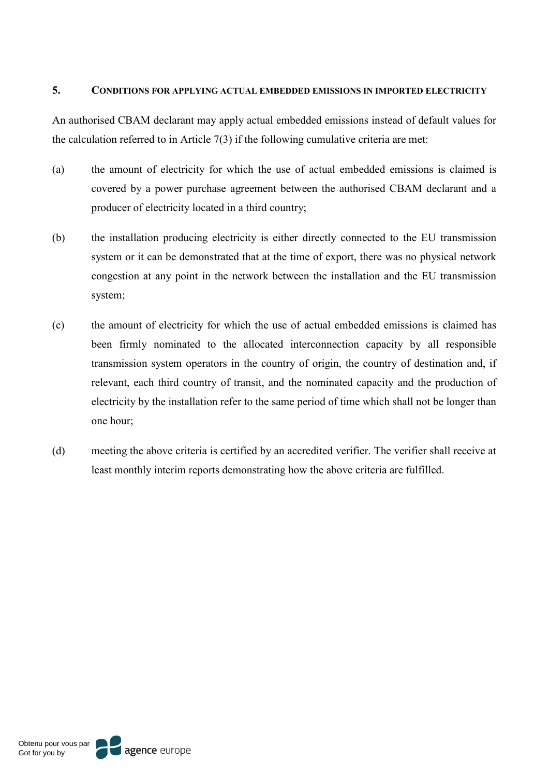### **5. CONDITIONS FOR APPLYING ACTUAL EMBEDDED EMISSIONS IN IMPORTED ELECTRICITY**

An authorised CBAM declarant may apply actual embedded emissions instead of default values for the calculation referred to in Article 7(3) if the following cumulative criteria are met:

- (a) the amount of electricity for which the use of actual embedded emissions is claimed is covered by a power purchase agreement between the authorised CBAM declarant and a producer of electricity located in a third country;
- (b) the installation producing electricity is either directly connected to the EU transmission system or it can be demonstrated that at the time of export, there was no physical network congestion at any point in the network between the installation and the EU transmission system;
- (c) the amount of electricity for which the use of actual embedded emissions is claimed has been firmly nominated to the allocated interconnection capacity by all responsible transmission system operators in the country of origin, the country of destination and, if relevant, each third country of transit, and the nominated capacity and the production of electricity by the installation refer to the same period of time which shall not be longer than one hour;
- (d) meeting the above criteria is certified by an accredited verifier. The verifier shall receive at least monthly interim reports demonstrating how the above criteria are fulfilled.

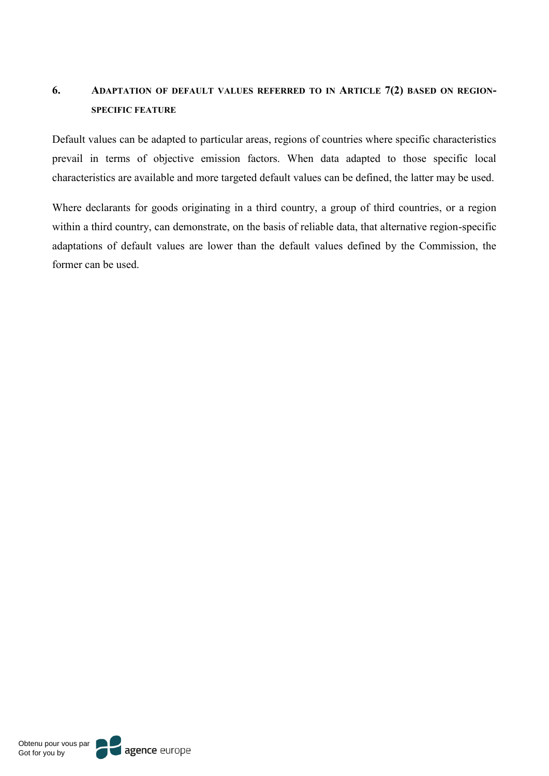# **6. ADAPTATION OF DEFAULT VALUES REFERRED TO IN ARTICLE 7(2) BASED ON REGION-SPECIFIC FEATURE**

Default values can be adapted to particular areas, regions of countries where specific characteristics prevail in terms of objective emission factors. When data adapted to those specific local characteristics are available and more targeted default values can be defined, the latter may be used.

Where declarants for goods originating in a third country, a group of third countries, or a region within a third country, can demonstrate, on the basis of reliable data, that alternative region-specific adaptations of default values are lower than the default values defined by the Commission, the former can be used.

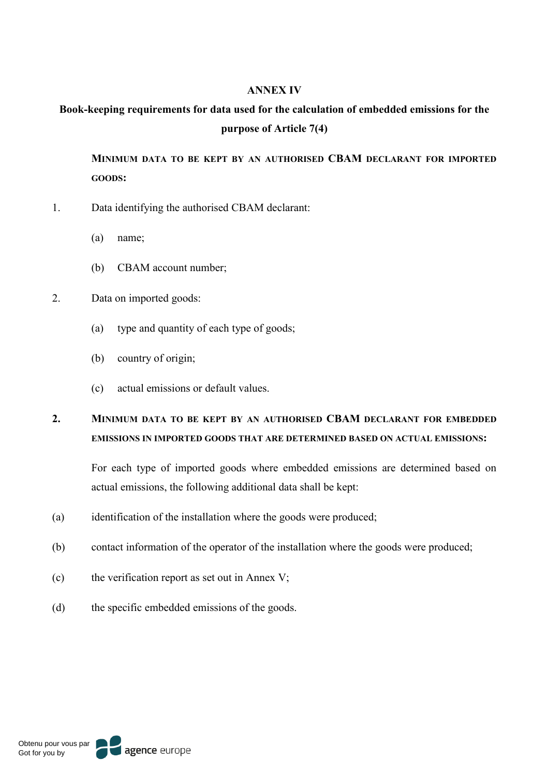#### **ANNEX IV**

# **Book-keeping requirements for data used for the calculation of embedded emissions for the purpose of Article 7(4)**

**MINIMUM DATA TO BE KEPT BY AN AUTHORISED CBAM DECLARANT FOR IMPORTED GOODS:**

- 1. Data identifying the authorised CBAM declarant:
	- (a) name;
	- (b) CBAM account number;
- 2. Data on imported goods:
	- (a) type and quantity of each type of goods;
	- (b) country of origin;
	- (c) actual emissions or default values.

# **2. MINIMUM DATA TO BE KEPT BY AN AUTHORISED CBAM DECLARANT FOR EMBEDDED EMISSIONS IN IMPORTED GOODS THAT ARE DETERMINED BASED ON ACTUAL EMISSIONS:**

For each type of imported goods where embedded emissions are determined based on actual emissions, the following additional data shall be kept:

- (a) identification of the installation where the goods were produced;
- (b) contact information of the operator of the installation where the goods were produced;
- (c) the verification report as set out in Annex V;
- (d) the specific embedded emissions of the goods.

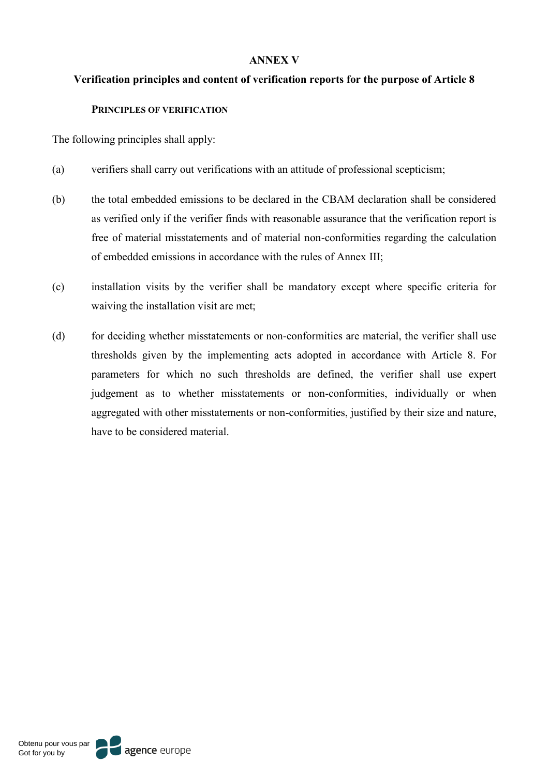### **ANNEX V**

### **Verification principles and content of verification reports for the purpose of Article 8**

#### **PRINCIPLES OF VERIFICATION**

The following principles shall apply:

- (a) verifiers shall carry out verifications with an attitude of professional scepticism;
- (b) the total embedded emissions to be declared in the CBAM declaration shall be considered as verified only if the verifier finds with reasonable assurance that the verification report is free of material misstatements and of material non-conformities regarding the calculation of embedded emissions in accordance with the rules of Annex III;
- (c) installation visits by the verifier shall be mandatory except where specific criteria for waiving the installation visit are met;
- (d) for deciding whether misstatements or non-conformities are material, the verifier shall use thresholds given by the implementing acts adopted in accordance with Article 8. For parameters for which no such thresholds are defined, the verifier shall use expert judgement as to whether misstatements or non-conformities, individually or when aggregated with other misstatements or non-conformities, justified by their size and nature, have to be considered material.

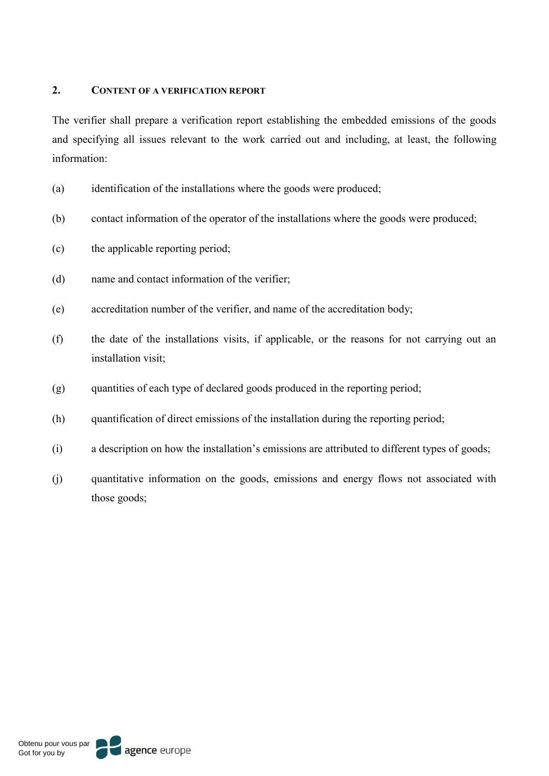### **2. CONTENT OF A VERIFICATION REPORT**

The verifier shall prepare a verification report establishing the embedded emissions of the goods and specifying all issues relevant to the work carried out and including, at least, the following information:

- (a) identification of the installations where the goods were produced;
- (b) contact information of the operator of the installations where the goods were produced;
- (c) the applicable reporting period;
- (d) name and contact information of the verifier;
- (e) accreditation number of the verifier, and name of the accreditation body;
- (f) the date of the installations visits, if applicable, or the reasons for not carrying out an installation visit;
- (g) quantities of each type of declared goods produced in the reporting period;
- (h) quantification of direct emissions of the installation during the reporting period;
- (i) a description on how the installation's emissions are attributed to different types of goods;
- (j) quantitative information on the goods, emissions and energy flows not associated with those goods;